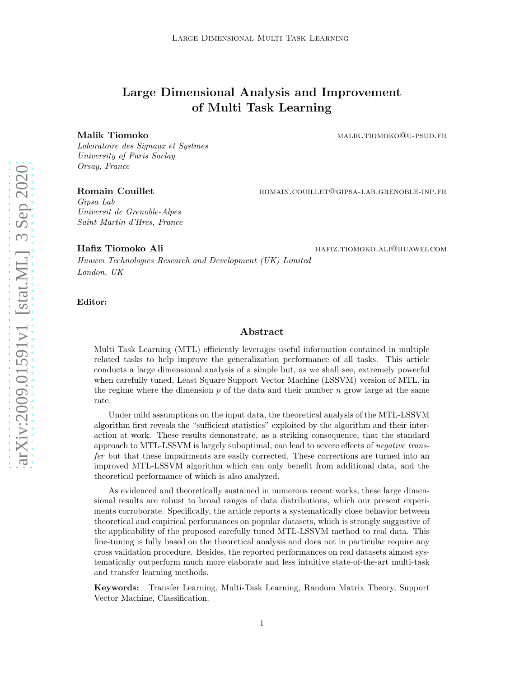# Large Dimensional Analysis and Improvement of Multi Task Learning

Malik Tiomoko malike malik.tiomoko malik.tiomoko malik.tiomoko malik.tiomoko malike malike malike malike mali

Laboratoire des Signaux et Systmes University of Paris Saclay Orsay, France

Romain Couillet **Romain Couillet** ROMAIN.COUILLET@GIPSA-LAB.GRENOBLE-INP.FR

Gipsa Lab Universit de Grenoble-Alpes Saint Martin d'Hres, France

Hafiz Tiomoko Ali hafiz.tiomoko.ali@huawei.com

Huawei Technologies Research and Development (UK) Limited London, UK

Editor:

## Abstract

Multi Task Learning (MTL) efficiently leverages useful information contained in multiple related tasks to help improve the generalization performance of all tasks. This article conducts a large dimensional analysis of a simple but, as we shall see, extremely powerful when carefully tuned, Least Square Support Vector Machine (LSSVM) version of MTL, in the regime where the dimension  $p$  of the data and their number  $n$  grow large at the same rate.

Under mild assumptions on the input data, the theoretical analysis of the MTL-LSSVM algorithm first reveals the "sufficient statistics" exploited by the algorithm and their interaction at work. These results demonstrate, as a striking consequence, that the standard approach to MTL-LSSVM is largely suboptimal, can lead to severe effects of negative transfer but that these impairments are easily corrected. These corrections are turned into an improved MTL-LSSVM algorithm which can only benefit from additional data, and the theoretical performance of which is also analyzed.

As evidenced and theoretically sustained in numerous recent works, these large dimensional results are robust to broad ranges of data distributions, which our present experiments corroborate. Specifically, the article reports a systematically close behavior between theoretical and empirical performances on popular datasets, which is strongly suggestive of the applicability of the proposed carefully tuned MTL-LSSVM method to real data. This fine-tuning is fully based on the theoretical analysis and does not in particular require any cross validation procedure. Besides, the reported performances on real datasets almost systematically outperform much more elaborate and less intuitive state-of-the-art multi-task and transfer learning methods.

Keywords: Transfer Learning, Multi-Task Learning, Random Matrix Theory, Support Vector Machine, Classification.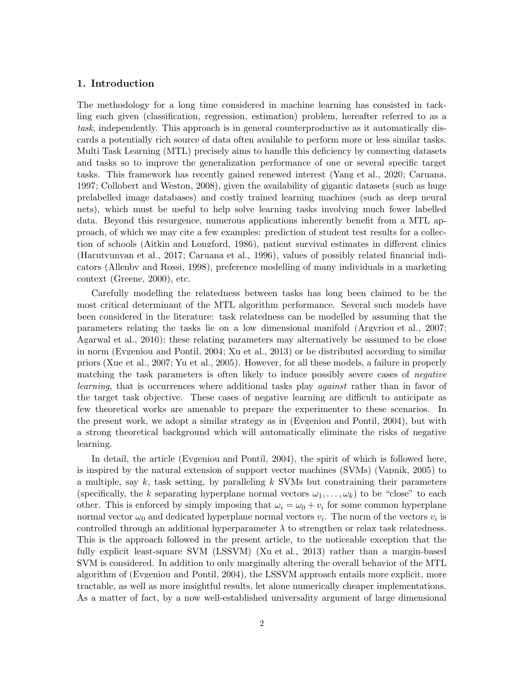# 1. Introduction

The methodology for a long time considered in machine learning has consisted in tackling each given (classification, regression, estimation) problem, hereafter referred to as a task, independently. This approach is in general counterproductive as it automatically discards a potentially rich source of data often available to perform more or less similar tasks. Multi Task Learning (MTL) precisely aims to handle this deficiency by connecting datasets and tasks so to improve the generalization performance of one or several specific target tasks. This framework has recently gained renewed interest [\(Yang et al.](#page-52-0), [2020;](#page-52-0) [Caruana](#page-50-0), [1997;](#page-50-0) [Collobert and Weston, 2008\)](#page-50-1), given the availability of gigantic datasets (such as huge prelabelled image databases) and costly trained learning machines (such as deep neural nets), which must be useful to help solve learning tasks involving much fewer labelled data. Beyond this resurgence, numerous applications inherently benefit from a MTL approach, of which we may cite a few examples: prediction of student test results for a collection of schools [\(Aitkin and Longford, 1986](#page-49-0)), patient survival estimates in different clinics [\(Harutyunyan et al.](#page-50-2), [2017](#page-50-2); [Caruana et al.](#page-50-3), [1996](#page-50-3)), values of possibly related financial indicators [\(Allenby and Rossi, 1998](#page-49-1)), preference modelling of many individuals in a marketing context [\(Greene](#page-50-4), [2000](#page-50-4)), etc.

Carefully modelling the relatedness between tasks has long been claimed to be the most critical determinant of the MTL algorithm performance. Several such models have been considered in the literature: task relatedness can be modelled by assuming that the parameters relating the tasks lie on a low dimensional manifold [\(Argyriou et al., 2007](#page-49-2); [Agarwal et al.](#page-49-3), [2010](#page-49-3)); these relating parameters may alternatively be assumed to be close in norm [\(Evgeniou and Pontil](#page-50-5), [2004](#page-50-5); [Xu et al.](#page-52-1), [2013](#page-52-1)) or be distributed according to similar priors [\(Xue et al.](#page-52-2), [2007](#page-52-2); [Yu et al.](#page-52-3), [2005\)](#page-52-3). However, for all these models, a failure in properly matching the task parameters is often likely to induce possibly severe cases of *negative* learning, that is occurrences where additional tasks play *against* rather than in favor of the target task objective. These cases of negative learning are difficult to anticipate as few theoretical works are amenable to prepare the experimenter to these scenarios. In the present work, we adopt a similar strategy as in (Evgeniou [and Pontil, 2004](#page-50-5)), but with a strong theoretical background which will automatically eliminate the risks of negative learning.

In detail, the article [\(Evgeniou and Pontil](#page-50-5), [2004](#page-50-5)), the spirit of which is followed here, is inspired by the natural extension of support vector machines (SVMs) [\(Vapnik, 2005](#page-52-4)) to a multiple, say  $k$ , task setting, by paralleling  $k$  SVMs but constraining their parameters (specifically, the k separating hyperplane normal vectors  $\omega_1, \ldots, \omega_k$ ) to be "close" to each other. This is enforced by simply imposing that  $\omega_i = \omega_0 + v_i$  for some common hyperplane normal vector  $\omega_0$  and dedicated hyperplane normal vectors  $v_i$ . The norm of the vectors  $v_i$  is controlled through an additional hyperparameter  $\lambda$  to strengthen or relax task relatedness. This is the approach followed in the present article, to the noticeable exception that the fully explicit least-square SVM (LSSVM) [\(Xu et al.](#page-52-1), [2013\)](#page-52-1) rather than a margin-based SVM is considered. In addition to only marginally altering the overall behavior of the MTL algorithm of [\(Evgeniou and Pontil, 2004](#page-50-5)), the LSSVM approach entails more explicit, more tractable, as well as more insightful results, let alone numerically cheaper implementations. As a matter of fact, by a now well-established universality argument of large dimensional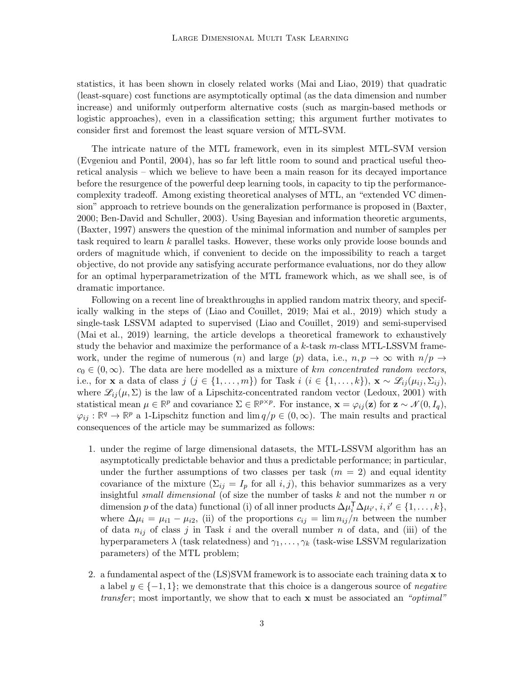statistics, it has been shown in closely related works [\(Mai and Liao](#page-51-0), [2019](#page-51-0)) that quadratic (least-square) cost functions are asymptotically optimal (as the data dimension and number increase) and uniformly outperform alternative costs (such as margin-based methods or logistic approaches), even in a classification setting; this argument further motivates to consider first and foremost the least square version of MTL-SVM.

The intricate nature of the MTL framework, even in its simplest MTL-SVM version [\(Evgeniou and Pontil, 2004](#page-50-5)), has so far left little room to sound and practical useful theoretical analysis – which we believe to have been a main reason for its decayed importance before the resurgence of the powerful deep learning tools, in capacity to tip the performancecomplexity tradeoff. Among existing theoretical analyses of MTL, an "extended VC dimension" approach to retrieve bounds on the generalization performance is proposed in [\(Baxter](#page-50-6), [2000;](#page-50-6) [Ben-David and Schuller, 2003](#page-50-7)). Using Bayesian and information theoretic arguments, [\(Baxter](#page-49-4), [1997](#page-49-4)) answers the question of the minimal information and number of samples per task required to learn k parallel tasks. However, these works only provide loose bounds and orders of magnitude which, if convenient to decide on the impossibility to reach a target objective, do not provide any satisfying accurate performance evaluations, nor do they allow for an optimal hyperparametrization of the MTL framework which, as we shall see, is of dramatic importance.

Following on a recent line of breakthroughs in applied random matrix theory, and specifically walking in the steps of [\(Liao and Couillet](#page-51-1), [2019](#page-51-1); [Mai et al.](#page-51-2), [2019](#page-51-2)) which study a single-task LSSVM adapted to supervised [\(Liao and Couillet](#page-51-1), [2019\)](#page-51-1) and semi-supervised [\(Mai et al., 2019](#page-51-2)) learning, the article develops a theoretical framework to exhaustively study the behavior and maximize the performance of a  $k$ -task m-class MTL-LSSVM framework, under the regime of numerous (n) and large (p) data, i.e.,  $n, p \to \infty$  with  $n/p \to$  $c_0 \in (0,\infty)$ . The data are here modelled as a mixture of km concentrated random vectors, i.e., for **x** a data of class  $j$   $(j \in \{1, ..., m\})$  for Task  $i$   $(i \in \{1, ..., k\})$ ,  $\mathbf{x} \sim \mathcal{L}_{ij}(\mu_{ij}, \Sigma_{ij})$ , where  $\mathscr{L}_{ij}(\mu, \Sigma)$  is the law of a Lipschitz-concentrated random vector [\(Ledoux](#page-51-3), [2001\)](#page-51-3) with statistical mean  $\mu \in \mathbb{R}^p$  and covariance  $\Sigma \in \mathbb{R}^{p \times p}$ . For instance,  $\mathbf{x} = \varphi_{ij}(\mathbf{z})$  for  $\mathbf{z} \sim \mathcal{N}(0, I_q)$ ,  $\varphi_{ij} : \mathbb{R}^q \to \mathbb{R}^p$  a 1-Lipschitz function and  $\lim q/p \in (0,\infty)$ . The main results and practical consequences of the article may be summarized as follows:

- 1. under the regime of large dimensional datasets, the MTL-LSSVM algorithm has an asymptotically predictable behavior and thus a predictable performance; in particular, under the further assumptions of two classes per task  $(m = 2)$  and equal identity covariance of the mixture  $(\Sigma_{ij} = I_p \text{ for all } i, j)$ , this behavior summarizes as a very insightful *small dimensional* (of size the number of tasks  $k$  and not the number  $n$  or dimension p of the data) functional (i) of all inner products  $\Delta \mu_i^T \Delta \mu_{i'}, i, i' \in \{1, ..., k\},$ where  $\Delta \mu_i = \mu_{i1} - \mu_{i2}$ , (ii) of the proportions  $c_{ij} = \lim n_{ij}/n$  between the number of data  $n_{ij}$  of class j in Task i and the overall number n of data, and (iii) of the hyperparameters  $\lambda$  (task relatedness) and  $\gamma_1, \ldots, \gamma_k$  (task-wise LSSVM regularization parameters) of the MTL problem;
- 2. a fundamental aspect of the  $(LS)$ SVM framework is to associate each training data  $x$  to a label  $y \in \{-1,1\}$ ; we demonstrate that this choice is a dangerous source of *negative* transfer; most importantly, we show that to each **x** must be associated an "*optimal*"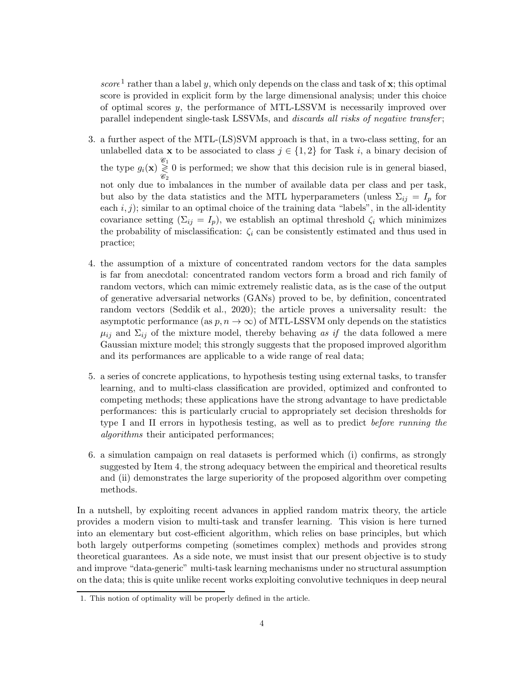score<sup>[1](#page-3-0)</sup> rather than a label y, which only depends on the class and task of  $x$ ; this optimal score is provided in explicit form by the large dimensional analysis; under this choice of optimal scores y, the performance of MTL-LSSVM is necessarily improved over parallel independent single-task LSSVMs, and *discards all risks of negative transfer*;

- 3. a further aspect of the MTL-(LS)SVM approach is that, in a two-class setting, for an unlabelled data **x** to be associated to class  $j \in \{1, 2\}$  for Task i, a binary decision of the type  $g_i(\mathbf{x}) \overset{\mathscr{C}_1}{\gtrless}$  $\mathscr{C}_2$ 0 is performed; we show that this decision rule is in general biased, not only due to imbalances in the number of available data per class and per task, but also by the data statistics and the MTL hyperparameters (unless  $\Sigma_{ij} = I_p$  for each  $i, j$ ); similar to an optimal choice of the training data "labels", in the all-identity covariance setting  $(\Sigma_{ij} = I_p)$ , we establish an optimal threshold  $\zeta_i$  which minimizes the probability of misclassification:  $\zeta_i$  can be consistently estimated and thus used in practice;
- <span id="page-3-1"></span>4. the assumption of a mixture of concentrated random vectors for the data samples is far from anecdotal: concentrated random vectors form a broad and rich family of random vectors, which can mimic extremely realistic data, as is the case of the output of generative adversarial networks (GANs) proved to be, by definition, concentrated random vectors [\(Seddik et al., 2020](#page-52-5)); the article proves a universality result: the asymptotic performance (as  $p, n \to \infty$ ) of MTL-LSSVM only depends on the statistics  $\mu_{ij}$  and  $\Sigma_{ij}$  of the mixture model, thereby behaving as if the data followed a mere Gaussian mixture model; this strongly suggests that the proposed improved algorithm and its performances are applicable to a wide range of real data;
- 5. a series of concrete applications, to hypothesis testing using external tasks, to transfer learning, and to multi-class classification are provided, optimized and confronted to competing methods; these applications have the strong advantage to have predictable performances: this is particularly crucial to appropriately set decision thresholds for type I and II errors in hypothesis testing, as well as to predict before running the algorithms their anticipated performances;
- 6. a simulation campaign on real datasets is performed which (i) confirms, as strongly suggested by Item [4,](#page-3-1) the strong adequacy between the empirical and theoretical results and (ii) demonstrates the large superiority of the proposed algorithm over competing methods.

In a nutshell, by exploiting recent advances in applied random matrix theory, the article provides a modern vision to multi-task and transfer learning. This vision is here turned into an elementary but cost-efficient algorithm, which relies on base principles, but which both largely outperforms competing (sometimes complex) methods and provides strong theoretical guarantees. As a side note, we must insist that our present objective is to study and improve "data-generic" multi-task learning mechanisms under no structural assumption on the data; this is quite unlike recent works exploiting convolutive techniques in deep neural

<span id="page-3-0"></span><sup>1.</sup> This notion of optimality will be properly defined in the article.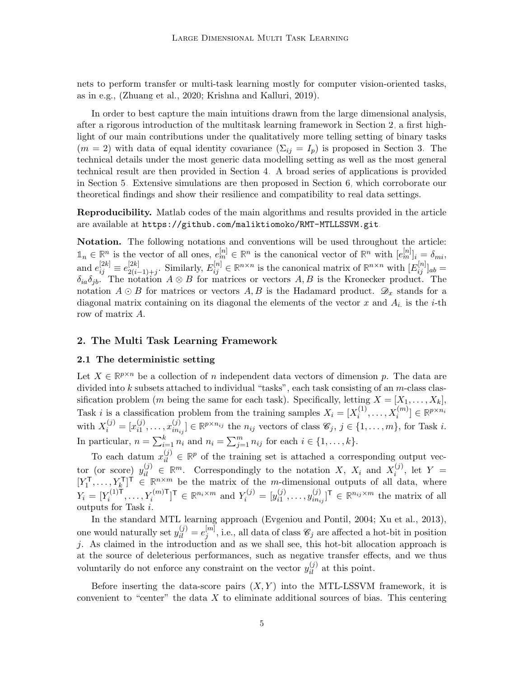nets to perform transfer or multi-task learning mostly for computer vision-oriented tasks, as in e.g., [\(Zhuang et al., 2020](#page-52-6); [Krishna and Kalluri, 2019](#page-51-4)).

In order to best capture the main intuitions drawn from the large dimensional analysis, after a rigorous introduction of the multitask learning framework in Section [2,](#page-4-0) a first highlight of our main contributions under the qualitatively more telling setting of binary tasks  $(m = 2)$  with data of equal identity covariance  $(\Sigma_{ij} = I_p)$  is proposed in Section [3.](#page-9-0) The technical details under the most generic data modelling setting as well as the most general technical result are then provided in Section [4.](#page-17-0) A broad series of applications is provided in Section [5.](#page-22-0) Extensive simulations are then proposed in Section [6,](#page-28-0) which corroborate our theoretical findings and show their resilience and compatibility to real data settings.

Reproducibility. Matlab codes of the main algorithms and results provided in the article are available at <https://github.com/maliktiomoko/RMT-MTLLSSVM.git>.

Notation. The following notations and conventions will be used throughout the article:  $\mathbb{1}_n \in \mathbb{R}^n$  is the vector of all ones,  $e_m^{[n]} \in \mathbb{R}^n$  is the canonical vector of  $\mathbb{R}^n$  with  $[e_m^{[n]}]_i = \delta_{mi}$ , and  $e_{ij}^{[2k]} \equiv e_{2(i-1)}^{[2k]}$  $\mathbb{E}^{[2k]}_{2(i-1)+j}$ . Similarly,  $E_{ij}^{[n]} \in \mathbb{R}^{n \times n}$  is the canonical matrix of  $\mathbb{R}^{n \times n}$  with  $[E_{ij}^{[n]}]_{ab} =$  $\delta_{ia}\delta_{jb}$ . The notation  $A \otimes B$  for matrices or vectors  $A, B$  is the Kronecker product. The notation  $A \odot B$  for matrices or vectors  $A, B$  is the Hadamard product.  $\mathscr{D}_x$  stands for a diagonal matrix containing on its diagonal the elements of the vector  $x$  and  $A_i$  is the *i*-th row of matrix A.

## <span id="page-4-0"></span>2. The Multi Task Learning Framework

## 2.1 The deterministic setting

Let  $X \in \mathbb{R}^{p \times n}$  be a collection of n independent data vectors of dimension p. The data are divided into  $k$  subsets attached to individual "tasks", each task consisting of an  $m$ -class classification problem (*m* being the same for each task). Specifically, letting  $X = [X_1, \ldots, X_k]$ , Task *i* is a classification problem from the training samples  $X_i = [X_i^{(1)}]$  $\mathbf{x}_i^{(1)}, \ldots, \mathbf{x}_i^{(m)}] \in \mathbb{R}^{p \times n_i}$ with  $X_i^{(j)} = [x_{i1}^{(j)}]$  $x_{i1}^{(j)}, \ldots, x_{in_i}^{(j)}$  $\{S_{i1}}_{i1_{ij}} \in \mathbb{R}^{p \times n_{ij}}$  the  $n_{ij}$  vectors of class  $\mathscr{C}_j$ ,  $j \in \{1, \ldots, m\}$ , for Task i. In particular,  $n = \sum_{i=1}^{k} n_i$  and  $n_i = \sum_{j=1}^{m} n_{ij}$  for each  $i \in \{1, ..., k\}$ .

To each datum  $x_{il}^{(j)} \in \mathbb{R}^p$  of the training set is attached a corresponding output vector (or score)  $y_{il}^{(j)} \in \mathbb{R}^m$ . Correspondingly to the notation X,  $X_i$  and  $X_i^{(j)}$  $i^{(J)}$ , let  $Y =$  $[Y_1^{\mathsf{T}}$  $X_1^{\mathsf{T}}, \ldots, Y_k^{\mathsf{T}}$   $\vdots$   $\in \mathbb{R}^{n \times m}$  be the matrix of the *m*-dimensional outputs of all data, where  $Y_i = [Y_i^{(1)\mathsf{\ddot{T}}}$  $Y_i^{(1)\mathsf{T}}, \ldots, Y_i^{(m)\mathsf{T}}]^{\mathsf{T}} \in \mathbb{R}^{n_i \times m}$  and  $Y_i^{(j)} = [y_{i1}^{(j)}]$  $\binom{(j)}{i1}, \ldots, \binom{(j)}{i n_i}$  $\{(\boldsymbol{\eta})_{i n_{ij}}\}^{\mathsf{T}} \in \mathbb{R}^{n_{ij} \times m}$  the matrix of all outputs for Task i.

In the standard MTL learning approach [\(Evgeniou and Pontil](#page-50-5), [2004](#page-50-5); [Xu et al., 2013\)](#page-52-1), one would naturally set  $y_{il}^{(j)} = e_j^{[m]}$  $j^{[m]}$ , i.e., all data of class  $\mathscr{C}_j$  are affected a hot-bit in position j. As claimed in the introduction and as we shall see, this hot-bit allocation approach is at the source of deleterious performances, such as negative transfer effects, and we thus voluntarily do not enforce any constraint on the vector  $y_{il}^{(j)}$  at this point.

Before inserting the data-score pairs  $(X, Y)$  into the MTL-LSSVM framework, it is convenient to "center" the data  $X$  to eliminate additional sources of bias. This centering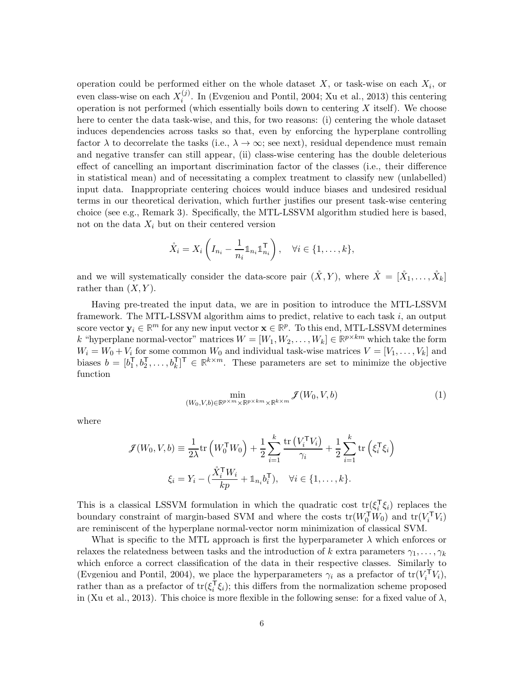operation could be performed either on the whole dataset  $X$ , or task-wise on each  $X_i$ , or even class-wise on each  $X_i^{(j)}$  $i<sup>(J)</sup>$ . In [\(Evgeniou and Pontil, 2004;](#page-50-5) [Xu et al.](#page-52-1), [2013](#page-52-1)) this centering operation is not performed (which essentially boils down to centering  $X$  itself). We choose here to center the data task-wise, and this, for two reasons: (i) centering the whole dataset induces dependencies across tasks so that, even by enforcing the hyperplane controlling factor  $\lambda$  to decorrelate the tasks (i.e.,  $\lambda \to \infty$ ; see next), residual dependence must remain and negative transfer can still appear, (ii) class-wise centering has the double deleterious effect of cancelling an important discrimination factor of the classes (i.e., their difference in statistical mean) and of necessitating a complex treatment to classify new (unlabelled) input data. Inappropriate centering choices would induce biases and undesired residual terms in our theoretical derivation, which further justifies our present task-wise centering choice (see e.g., Remark [3\)](#page-7-0). Specifically, the MTL-LSSVM algorithm studied here is based, not on the data  $X_i$  but on their centered version

$$
\mathring{X}_i = X_i \left( I_{n_i} - \frac{1}{n_i} \mathbb{1}_{n_i} \mathbb{1}_{n_i}^{\mathsf{T}} \right), \quad \forall i \in \{1, \dots, k\},
$$

and we will systematically consider the data-score pair  $(\mathring{X}, Y)$ , where  $\mathring{X} = [\mathring{X}_1, \ldots, \mathring{X}_k]$ rather than  $(X, Y)$ .

Having pre-treated the input data, we are in position to introduce the MTL-LSSVM framework. The MTL-LSSVM algorithm aims to predict, relative to each task  $i$ , an output score vector  $y_i \in \mathbb{R}^m$  for any new input vector  $x \in \mathbb{R}^p$ . To this end, MTL-LSSVM determines k "hyperplane normal-vector" matrices  $W = [W_1, W_2, \dots, W_k] \in \mathbb{R}^{p \times km}$  which take the form  $W_i = W_0 + V_i$  for some common  $W_0$  and individual task-wise matrices  $V = [V_1, \ldots, V_k]$  and biases  $b = [b_1^{\mathsf{T}}]$  $\overline{A}_1^T, b_2^T, \ldots, b_k^T$ <sup>T</sup>  $\in \mathbb{R}^{k \times m}$ . These parameters are set to minimize the objective function

<span id="page-5-0"></span>
$$
\min_{(W_0, V, b) \in \mathbb{R}^{p \times m} \times \mathbb{R}^{p \times km} \times \mathbb{R}^{k \times m}} \mathcal{F}(W_0, V, b) \tag{1}
$$

where

$$
\mathcal{J}(W_0, V, b) \equiv \frac{1}{2\lambda} \text{tr}\left(W_0^{\mathsf{T}} W_0\right) + \frac{1}{2} \sum_{i=1}^k \frac{\text{tr}\left(V_i^{\mathsf{T}} V_i\right)}{\gamma_i} + \frac{1}{2} \sum_{i=1}^k \text{tr}\left(\xi_i^{\mathsf{T}} \xi_i\right)
$$

$$
\xi_i = Y_i - \left(\frac{\mathring{X}_i^{\mathsf{T}} W_i}{k p} + \mathbb{1}_{n_i} b_i^{\mathsf{T}}\right), \quad \forall i \in \{1, \dots, k\}.
$$

This is a classical LSSVM formulation in which the quadratic cost  $tr(\xi_i^T)$  $\frac{1}{i}\xi_i$ ) replaces the boundary constraint of margin-based SVM and where the costs  $tr(W_0^TW_0)$  and  $tr(V_i^TV_i)$ are reminiscent of the hyperplane normal-vector norm minimization of classical SVM.

What is specific to the MTL approach is first the hyperparameter  $\lambda$  which enforces or relaxes the relatedness between tasks and the introduction of k extra parameters  $\gamma_1, \ldots, \gamma_k$ which enforce a correct classification of the data in their respective classes. Similarly to [\(Evgeniou and Pontil, 2004\)](#page-50-5), we place the hyperparameters  $\gamma_i$  as a prefactor of  $tr(V_i^{\dagger}V_i)$ , rather than as a prefactor of  $\text{tr}(\xi_i)$  $\mathbf{g}_i^{\dagger}(\xi_i)$ ; this differs from the normalization scheme proposed in [\(Xu et al.](#page-52-1), [2013](#page-52-1)). This choice is more flexible in the following sense: for a fixed value of  $\lambda$ ,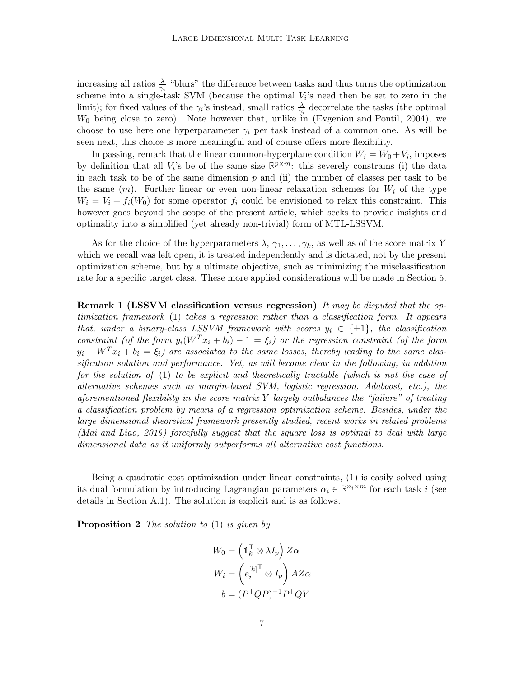increasing all ratios  $\frac{\lambda}{\gamma_i}$  "blurs" the difference between tasks and thus turns the optimization scheme into a single-task SVM (because the optimal  $V_i$ 's need then be set to zero in the limit); for fixed values of the  $\gamma_i$ 's instead, small ratios  $\frac{\lambda}{\gamma_i}$  decorrelate the tasks (the optimal  $W_0$  being close to zero). Note however that, unlike in (Evgeniou [and Pontil](#page-50-5), [2004\)](#page-50-5), we choose to use here one hyperparameter  $\gamma_i$  per task instead of a common one. As will be seen next, this choice is more meaningful and of course offers more flexibility.

In passing, remark that the linear common-hyperplane condition  $W_i = W_0 + V_i$ , imposes by definition that all  $V_i$ 's be of the same size  $\mathbb{R}^{p \times m}$ : this severely constrains (i) the data in each task to be of the same dimension  $p$  and (ii) the number of classes per task to be the same  $(m)$ . Further linear or even non-linear relaxation schemes for  $W_i$  of the type  $W_i = V_i + f_i(W_0)$  for some operator  $f_i$  could be envisioned to relax this constraint. This however goes beyond the scope of the present article, which seeks to provide insights and optimality into a simplified (yet already non-trivial) form of MTL-LSSVM.

As for the choice of the hyperparameters  $\lambda$ ,  $\gamma_1, \ldots, \gamma_k$ , as well as of the score matrix Y which we recall was left open, it is treated independently and is dictated, not by the present optimization scheme, but by a ultimate objective, such as minimizing the misclassification rate for a specific target class. These more applied considerations will be made in Section [5.](#page-22-0)

**Remark 1 (LSSVM classification versus regression)** It may be disputed that the optimization framework [\(1\)](#page-5-0) takes a regression rather than a classification form. It appears that, under a binary-class LSSVM framework with scores  $y_i \in \{\pm 1\}$ , the classification constraint (of the form  $y_i(W^T x_i + b_i) - 1 = \xi_i$ ) or the regression constraint (of the form  $y_i - W^T x_i + b_i = \xi_i$  are associated to the same losses, thereby leading to the same classification solution and performance. Yet, as will become clear in the following, in addition for the solution of [\(1\)](#page-5-0) to be explicit and theoretically tractable (which is not the case of alternative schemes such as margin-based SVM, logistic regression, Adaboost, etc.), the aforementioned flexibility in the score matrix  $Y$  largely outbalances the "failure" of treating a classification problem by means of a regression optimization scheme. Besides, under the large dimensional theoretical framework presently studied, recent works in related problems [\(Mai and Liao](#page-51-0), [2019](#page-51-0)) forcefully suggest that the square loss is optimal to deal with large dimensional data as it uniformly outperforms all alternative cost functions.

Being a quadratic cost optimization under linear constraints, [\(1\)](#page-5-0) is easily solved using its dual formulation by introducing Lagrangian parameters  $\alpha_i \in \mathbb{R}^{n_i \times m}$  for each task i (see details in Section [A.1\)](#page-39-0). The solution is explicit and is as follows.

**Proposition 2** The solution to  $(1)$  is given by

<span id="page-6-0"></span>
$$
W_0 = \left(\mathbb{1}_k^{\mathsf{T}} \otimes \lambda I_p\right) Z\alpha
$$

$$
W_i = \left(e_i^{[k] \mathsf{T}} \otimes I_p\right) AZ\alpha
$$

$$
b = (P^{\mathsf{T}} Q P)^{-1} P^{\mathsf{T}} Q Y
$$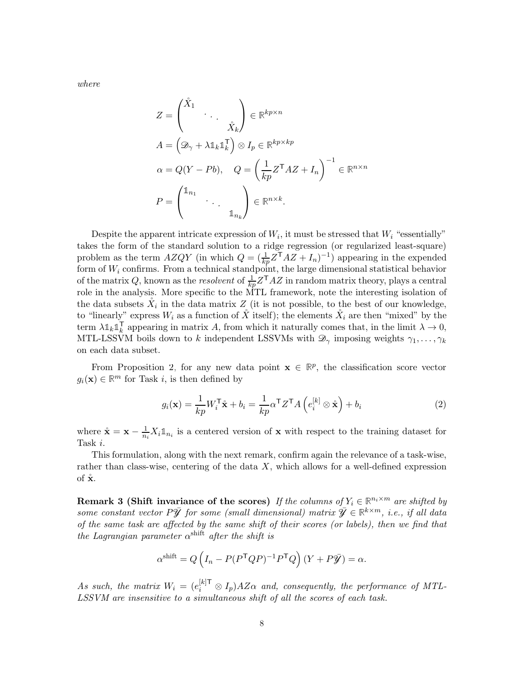where

$$
Z = \begin{pmatrix} \mathring{X}_1 & & \\ & \ddots & \\ & & \mathring{X}_k \end{pmatrix} \in \mathbb{R}^{kp \times n}
$$
  
\n
$$
A = \left( \mathcal{D}_{\gamma} + \lambda \mathbb{1}_k \mathbb{1}_k^{\mathsf{T}} \right) \otimes I_p \in \mathbb{R}^{kp \times kp}
$$
  
\n
$$
\alpha = Q(Y - Pb), \quad Q = \left( \frac{1}{kp} Z^{\mathsf{T}} A Z + I_n \right)^{-1} \in \mathbb{R}^{n \times n}
$$
  
\n
$$
P = \begin{pmatrix} \mathbb{1}_{n_1} & & \\ & \ddots & \\ & & \mathbb{1}_{n_k} \end{pmatrix} \in \mathbb{R}^{n \times k}.
$$

Despite the apparent intricate expression of  $W_i$ , it must be stressed that  $W_i$  "essentially" takes the form of the standard solution to a ridge regression (or regularized least-square) problem as the term  $AZQY$  (in which  $Q = (\frac{1}{kp}Z^{\mathsf{T}}AZ + I_n)^{-1}$ ) appearing in the expended form of  $W_i$  confirms. From a technical standpoint, the large dimensional statistical behavior of the matrix Q, known as the resolvent of  $\frac{1}{kp}Z^{\mathsf{T}}AZ$  in random matrix theory, plays a central role in the analysis. More specific to the MTL framework, note the interesting isolation of the data subsets  $\mathring{X}_i$  in the data matrix  $Z$  (it is not possible, to the best of our knowledge, to "linearly" express  $W_i$  as a function of  $\hat{X}$  itself); the elements  $\hat{X}_i$  are then "mixed" by the  $\text{term }\lambda \mathbb{1}_k \mathbb{1}_k^{\mathsf{T}}$ <sup>1</sup><sub>k</sub> appearing in matrix A, from which it naturally comes that, in the limit  $\lambda \to 0$ , MTL-LSSVM boils down to k independent LSSVMs with  $\mathscr{D}_{\gamma}$  imposing weights  $\gamma_1, \ldots, \gamma_k$ on each data subset.

From Proposition [2,](#page-6-0) for any new data point  $\mathbf{x} \in \mathbb{R}^p$ , the classification score vector  $g_i(\mathbf{x}) \in \mathbb{R}^m$  for Task *i*, is then defined by

<span id="page-7-1"></span>
$$
g_i(\mathbf{x}) = \frac{1}{kp} W_i^{\mathsf{T}} \mathbf{\hat{x}} + b_i = \frac{1}{kp} \alpha^{\mathsf{T}} Z^{\mathsf{T}} A \left( e_i^{[k]} \otimes \mathbf{\hat{x}} \right) + b_i
$$
 (2)

where  $\mathbf{\hat{x}} = \mathbf{x} - \frac{1}{n_i} X_i \mathbb{1}_{n_i}$  is a centered version of **x** with respect to the training dataset for Task i.

<span id="page-7-0"></span>This formulation, along with the next remark, confirm again the relevance of a task-wise, rather than class-wise, centering of the data  $X$ , which allows for a well-defined expression of  $\mathbf{\dot{x}}$ .

**Remark 3 (Shift invariance of the scores)** If the columns of  $Y_i \in \mathbb{R}^{n_i \times m}$  are shifted by some constant vector  $P\bar{\mathbf{y}}$  for some (small dimensional) matrix  $\bar{\mathbf{y}} \in \mathbb{R}^{k \times m}$ , i.e., if all data of the same task are affected by the same shift of their scores (or labels), then we find that the Lagrangian parameter  $\alpha^{\text{shift}}$  after the shift is

$$
\alpha^{\text{shift}} = Q \left( I_n - P(P^{\mathsf{T}} Q P)^{-1} P^{\mathsf{T}} Q \right) (Y + P \bar{\mathcal{Y}}) = \alpha.
$$

As such, the matrix  $W_i = (e_i^{[k] \mathsf{T}} \otimes I_p) A Z \alpha$  and, consequently, the performance of MTL-LSSVM are insensitive to a simultaneous shift of all the scores of each task.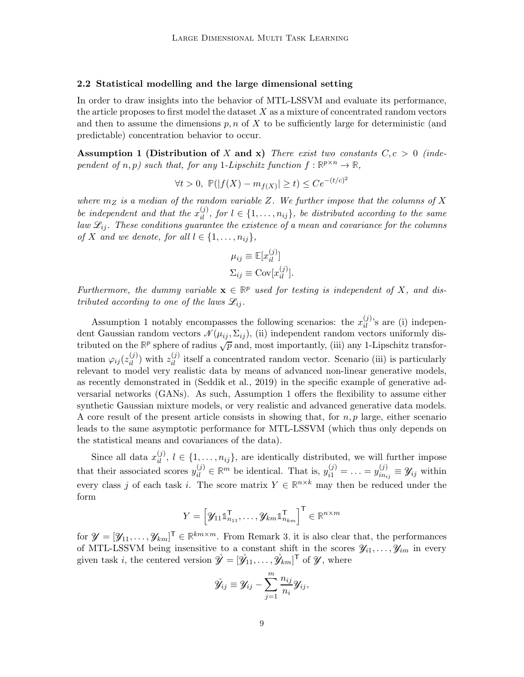# <span id="page-8-1"></span>2.2 Statistical modelling and the large dimensional setting

In order to draw insights into the behavior of MTL-LSSVM and evaluate its performance, the article proposes to first model the dataset  $X$  as a mixture of concentrated random vectors and then to assume the dimensions  $p, n$  of X to be sufficiently large for deterministic (and predictable) concentration behavior to occur.

<span id="page-8-0"></span>Assumption 1 (Distribution of X and x) There exist two constants  $C, c > 0$  (independent of  $n, p$ ) such that, for any 1-Lipschitz function  $f : \mathbb{R}^{p \times n} \to \mathbb{R}$ ,

$$
\forall t > 0, \ \mathbb{P}(|f(X) - m_{f(X)}| \ge t) \le C e^{-(t/c)^2}
$$

where  $m_Z$  is a median of the random variable Z. We further impose that the columns of X be independent and that the  $x_{il}^{(j)}$ , for  $l \in \{1, \ldots, n_{ij}\}$ , be distributed according to the same law  $\mathcal{L}_{ij}$ . These conditions guarantee the existence of a mean and covariance for the columns of X and we denote, for all  $l \in \{1, \ldots, n_{ij}\},\$ 

$$
\mu_{ij} \equiv \mathbb{E}[x_{il}^{(j)}]
$$

$$
\Sigma_{ij} \equiv \text{Cov}[x_{il}^{(j)}].
$$

Furthermore, the dummy variable  $\mathbf{x} \in \mathbb{R}^p$  used for testing is independent of X, and distributed according to one of the laws  $\mathscr{L}_{ii}$ .

Assumption [1](#page-8-0) notably encompasses the following scenarios: the  $x_{il}^{(j)}$ 's are (i) independent Gaussian random vectors  $\mathcal{N}(\mu_{ij}, \Sigma_{ij})$ , (ii) independent random vectors uniformly distributed on the  $\mathbb{R}^p$  sphere of radius  $\sqrt{p}$  and, most importantly, (iii) any 1-Lipschitz transformation  $\varphi_{ij}(z_{il}^{(j)})$  with  $z_{il}^{(j)}$  itself a concentrated random vector. Scenario (iii) is particularly relevant to model very realistic data by means of advanced non-linear generative models, as recently demonstrated in [\(Seddik et al.](#page-52-7), [2019\)](#page-52-7) in the specific example of generative adversarial networks (GANs). As such, Assumption [1](#page-8-0) offers the flexibility to assume either synthetic Gaussian mixture models, or very realistic and advanced generative data models. A core result of the present article consists in showing that, for  $n, p$  large, either scenario leads to the same asymptotic performance for MTL-LSSVM (which thus only depends on the statistical means and covariances of the data).

Since all data  $x_{il}^{(j)}$ ,  $l \in \{1, \ldots, n_{ij}\}$ , are identically distributed, we will further impose that their associated scores  $y_{il}^{(j)} \in \mathbb{R}^m$  be identical. That is,  $y_{i1}^{(j)} = \ldots = y_{in_i}^{(j)}$  $\mathcal{Y}_{in_{ij}}^{(j)} \equiv \mathcal{Y}_{ij}$  within every class j of each task i. The score matrix  $Y \in \mathbb{R}^{n \times k}$  may then be reduced under the form

$$
Y = \left[ \mathcal{Y}_{11} \mathbb{1}_{n_{11}}^\mathsf{T}, \ldots, \mathcal{Y}_{km} \mathbb{1}_{n_{km}}^\mathsf{T} \right]^\mathsf{T} \in \mathbb{R}^{n \times m}
$$

for  $\mathcal{Y} = [\mathcal{Y}_{11}, \ldots, \mathcal{Y}_{km}]^{\mathsf{T}} \in \mathbb{R}^{km \times m}$ . From Remark [3,](#page-7-0) it is also clear that, the performances of MTL-LSSVM being insensitive to a constant shift in the scores  $\mathscr{Y}_{i_1}, \ldots, \mathscr{Y}_{i_m}$  in every given task *i*, the centered version  $\mathring{\mathcal{Y}} = [\mathring{\mathcal{Y}}_{11}, \dots, \mathring{\mathcal{Y}}_{km}]^{\mathsf{T}}$  of  $\mathcal{Y}$ , where

$$
\mathring{\mathscr{Y}}_{ij} \equiv \mathscr{Y}_{ij} - \sum_{j=1}^m \frac{n_{ij}}{n_i} \mathscr{Y}_{ij},
$$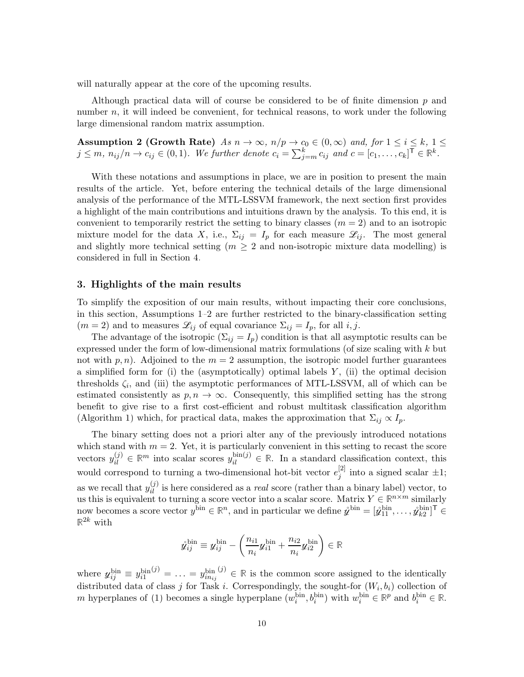will naturally appear at the core of the upcoming results.

<span id="page-9-1"></span>Although practical data will of course be considered to be of finite dimension  $p$  and number  $n$ , it will indeed be convenient, for technical reasons, to work under the following large dimensional random matrix assumption.

Assumption 2 (Growth Rate)  $As\ n \to \infty$ ,  $n/p \to c_0 \in (0,\infty)$  and, for  $1 \le i \le k$ ,  $1 \le j \le k$  $j \leq m, n_{ij}/n \to c_{ij} \in (0, 1)$ . We further denote  $c_i = \sum_{j=m}^k c_{ij}$  and  $c = [c_1, \ldots, c_k]^{\mathsf{T}} \in \mathbb{R}^k$ .

With these notations and assumptions in place, we are in position to present the main results of the article. Yet, before entering the technical details of the large dimensional analysis of the performance of the MTL-LSSVM framework, the next section first provides a highlight of the main contributions and intuitions drawn by the analysis. To this end, it is convenient to temporarily restrict the setting to binary classes  $(m = 2)$  and to an isotropic mixture model for the data X, i.e.,  $\Sigma_{ij} = I_p$  for each measure  $\mathscr{L}_{ij}$ . The most general and slightly more technical setting  $(m \geq 2$  and non-isotropic mixture data modelling) is considered in full in Section [4.](#page-17-0)

### <span id="page-9-0"></span>3. Highlights of the main results

To simplify the exposition of our main results, without impacting their core conclusions, in this section, Assumptions [1–](#page-8-0)[2](#page-9-1) are further restricted to the binary-classification setting  $(m = 2)$  and to measures  $\mathcal{L}_{ij}$  of equal covariance  $\Sigma_{ij} = I_p$ , for all i, j.

The advantage of the isotropic  $(\Sigma_{ij} = I_p)$  condition is that all asymptotic results can be expressed under the form of low-dimensional matrix formulations (of size scaling with k but not with  $p, n$ . Adjoined to the  $m = 2$  assumption, the isotropic model further guarantees a simplified form for (i) the (asymptotically) optimal labels  $Y$ , (ii) the optimal decision thresholds  $\zeta_i$ , and (iii) the asymptotic performances of MTL-LSSVM, all of which can be estimated consistently as  $p, n \to \infty$ . Consequently, this simplified setting has the strong benefit to give rise to a first cost-efficient and robust multitask classification algorithm (Algorithm [1\)](#page-15-0) which, for practical data, makes the approximation that  $\Sigma_{ij} \propto I_p$ .

The binary setting does not a priori alter any of the previously introduced notations which stand with  $m = 2$ . Yet, it is particularly convenient in this setting to recast the score vectors  $y_{il}^{(j)} \in \mathbb{R}^m$  into scalar scores  $y_{il}^{\text{bin}(j)} \in \mathbb{R}$ . In a standard classification context, this would correspond to turning a two-dimensional hot-bit vector  $e_i^{[2]}$  $j^{2}$  into a signed scalar  $\pm 1$ ; as we recall that  $y_{il}^{(j)}$  is here considered as a *real* score (rather than a binary label) vector, to us this is equivalent to turning a score vector into a scalar score. Matrix  $Y \in \mathbb{R}^{n \times m}$  similarly now becomes a score vector  $y^{\text{bin}} \in \mathbb{R}^n$ , and in particular we define  $\hat{y}^{\text{bin}} = [\hat{y}_{11}^{\text{bin}}, \dots, \hat{y}_{k2}^{\text{bin}}]^{\mathsf{T}} \in$  $\mathbb{R}^{2k}$  with

$$
\hat{\mathbf{y}}_{ij}^{\text{bin}} \equiv \mathbf{y}_{ij}^{\text{bin}} - \left(\frac{n_{i1}}{n_i} \mathbf{y}_{i1}^{\text{bin}} + \frac{n_{i2}}{n_i} \mathbf{y}_{i2}^{\text{bin}}\right) \in \mathbb{R}
$$

where  $y_{ij}^{\text{bin}} \equiv y_{i1}^{\text{bin}}$  $j^{(j)} = \ldots = y_{i n_{ij}}^{\text{bin}}$  $(3) \in \mathbb{R}$  is the common score assigned to the identically distributed data of class j for Task *i*. Correspondingly, the sought-for  $(W_i, b_i)$  collection of m hyperplanes of [\(1\)](#page-5-0) becomes a single hyperplane  $(w_i^{\text{bin}}, b_i^{\text{bin}})$  with  $w_i^{\text{bin}} \in \mathbb{R}^p$  and  $b_i^{\text{bin}} \in \mathbb{R}$ .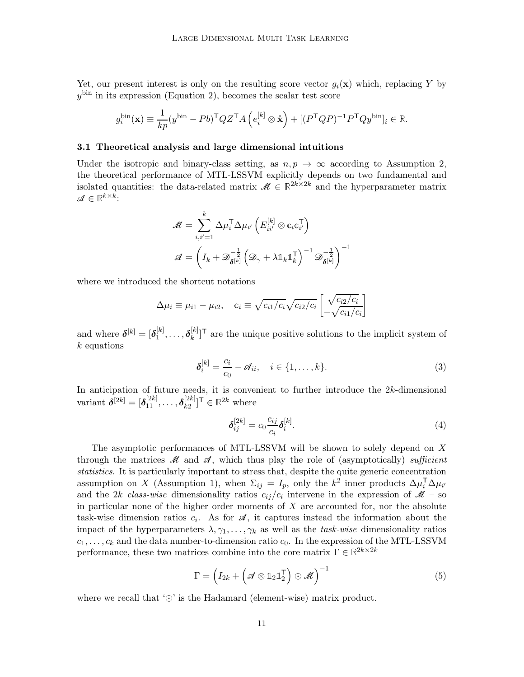Yet, our present interest is only on the resulting score vector  $g_i(\mathbf{x})$  which, replacing Y by  $y^{\text{bin}}$  in its expression (Equation [2\)](#page-7-1), becomes the scalar test score

$$
g_i^{\text{bin}}(\mathbf{x}) \equiv \frac{1}{kp} (y^{\text{bin}} - Pb)^{\mathsf{T}} Q Z^{\mathsf{T}} A \left( e_i^{[k]} \otimes \mathring{\mathbf{x}} \right) + [(P^{\mathsf{T}} Q P)^{-1} P^{\mathsf{T}} Q y^{\text{bin}}]_i \in \mathbb{R}.
$$

#### 3.1 Theoretical analysis and large dimensional intuitions

Under the isotropic and binary-class setting, as  $n, p \rightarrow \infty$  according to Assumption [2,](#page-9-1) the theoretical performance of MTL-LSSVM explicitly depends on two fundamental and isolated quantities: the data-related matrix  $\mathcal{M} \in \mathbb{R}^{2k \times 2k}$  and the hyperparameter matrix  $\mathscr{A} \in \mathbb{R}^{k \times k}$ :

$$
\mathscr{M} = \sum_{i,i'=1}^{k} \Delta \mu_i^{\mathsf{T}} \Delta \mu_{i'} \left( E_{ii'}^{[k]} \otimes c_i c_{i'}^{\mathsf{T}} \right)
$$

$$
\mathscr{A} = \left( I_k + \mathscr{D}_{\boldsymbol{\delta}^{[k]}}^{-\frac{1}{2}} \left( \mathscr{D}_{\gamma} + \lambda \mathbb{1}_k \mathbb{1}_k^{\mathsf{T}} \right)^{-1} \mathscr{D}_{\boldsymbol{\delta}^{[k]}}^{-\frac{1}{2}} \right)^{-1}
$$

where we introduced the shortcut notations

$$
\Delta \mu_i \equiv \mu_{i1} - \mu_{i2}, \quad c_i \equiv \sqrt{c_{i1}/c_i} \sqrt{c_{i2}/c_i} \left[ \frac{\sqrt{c_{i2}/c_i}}{-\sqrt{c_{i1}/c_i}} \right]
$$

and where  $\boldsymbol{\delta}^{[k]} = [\boldsymbol{\delta}_1^{[k]}]$  $\mathbf{b}^{[k]}_1, \ldots, \boldsymbol{\delta}^{[k]}_k$  $\binom{[k]}{k}$ <sup>T</sup> are the unique positive solutions to the implicit system of  $k$  equations

$$
\delta_i^{[k]} = \frac{c_i}{c_0} - \mathcal{A}_{ii}, \quad i \in \{1, \dots, k\}.
$$
\n(3)

In anticipation of future needs, it is convenient to further introduce the 2k-dimensional variant  $\boldsymbol{\delta}^{[2k]} = [\boldsymbol{\delta}^{[2k]}_{11}, \ldots, \boldsymbol{\delta}^{[2k]}_{k2}]$  $\begin{bmatrix} [2k] \\ k2 \end{bmatrix}$ <sup>T</sup>  $\in \mathbb{R}^{2k}$  where

<span id="page-10-1"></span>
$$
\delta_{ij}^{[2k]} = c_0 \frac{c_{ij}}{c_i} \delta_i^{[k]}.
$$
\n
$$
(4)
$$

The asymptotic performances of MTL-LSSVM will be shown to solely depend on X through the matrices  $\mathcal M$  and  $\mathcal A$ , which thus play the role of (asymptotically) sufficient statistics. It is particularly important to stress that, despite the quite generic concentration assumption on X (Assumption [1\)](#page-8-0), when  $\Sigma_{ij} = I_p$ , only the  $k^2$  inner products  $\Delta \mu_i^T \Delta \mu_{i'}$ and the 2k class-wise dimensionality ratios  $c_{ij}/c_i$  intervene in the expression of  $\mathcal{M}$  – so in particular none of the higher order moments of  $X$  are accounted for, nor the absolute task-wise dimension ratios  $c_i$ . As for  $\mathscr A$ , it captures instead the information about the impact of the hyperparameters  $\lambda, \gamma_1, \ldots, \gamma_k$  as well as the task-wise dimensionality ratios  $c_1, \ldots, c_k$  and the data number-to-dimension ratio  $c_0$ . In the expression of the MTL-LSSVM performance, these two matrices combine into the core matrix  $\Gamma \in \mathbb{R}^{2k \times 2k}$ 

<span id="page-10-2"></span>
$$
\Gamma = \left(I_{2k} + \left(\mathscr{A} \otimes \mathbb{1}_2 \mathbb{1}_2^{\mathsf{T}}\right) \odot \mathscr{M}\right)^{-1} \tag{5}
$$

<span id="page-10-0"></span>where we recall that ' $\odot$ ' is the Hadamard (element-wise) matrix product.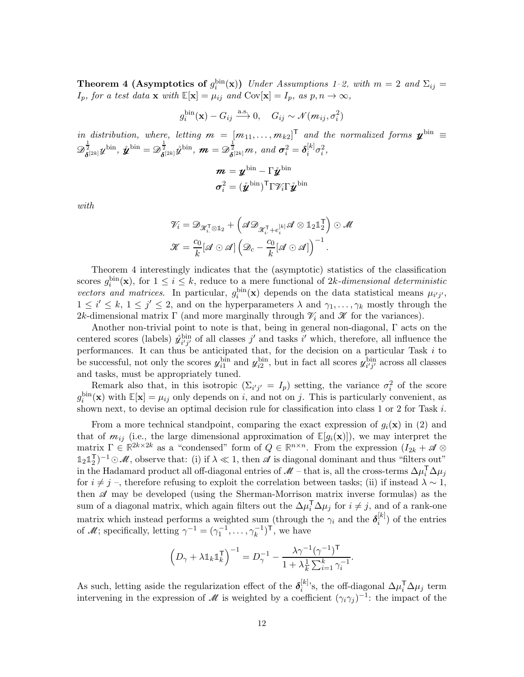**Theorem 4 (Asymptotics of**  $g_i^{\text{bin}}(\mathbf{x})$ ) Under Assumptions [1](#page-8-0)-2, with  $m = 2$  and  $\Sigma_{ij} =$  $I_p$ , for a test data **x** with  $\mathbb{E}[\mathbf{x}] = \mu_{ij}$  and  $Cov[\mathbf{x}] = I_p$ , as  $p, n \to \infty$ ,

$$
g_i^{\text{bin}}(\mathbf{x}) - G_{ij} \xrightarrow{\text{a.s.}} 0, \quad G_{ij} \sim \mathcal{N}(m_{ij}, \sigma_i^2)
$$

in distribution, where, letting  $m = [m_{11}, \ldots, m_{k2}]^T$  and the normalized forms  $\mathbf{y}^{\text{bin}} \equiv$  $\mathscr{D}^{\frac{1}{2}}_{\boldsymbol{\delta}^{[2k]}}y^{\text{bin}},\ \mathring{y}^{\text{bin}}=\mathscr{D}^{\frac{1}{2}}_{\boldsymbol{\delta}^{[2k]}}\mathring{y}^{\text{bin}},\ \boldsymbol{\mathcal{m}}=\mathscr{D}^{\frac{1}{2}}_{\boldsymbol{\delta}^{[2k]}}\boldsymbol{\mathcal{m}},\ and\ \boldsymbol{\sigma}^2_i=\boldsymbol{\delta}^{[k]}_i$  $i^{[k]}\sigma_i^2,$ 

$$
\begin{aligned} \bm{m} &= \bm{y}^{\text{bin}} - \Gamma \mathring{\bm{y}}^{\text{bin}} \\ \bm{\sigma}_i^2 &= (\mathring{\bm{y}}^{\text{bin}})^\mathsf{T} \Gamma \mathscr{V}_i \Gamma \mathring{\bm{y}}^{\text{bin}} \end{aligned}
$$

with

$$
\mathscr{V}_i = \mathscr{D}_{\mathscr{K}_i^{\mathsf{T}} \otimes \mathbb{1}_2} + \left(\mathscr{A} \mathscr{D}_{\mathscr{K}_i^{\mathsf{T}} + e_i^{[k]}} \mathscr{A} \otimes \mathbb{1}_2 \mathbb{1}_2^{\mathsf{T}}\right) \odot \mathscr{M}
$$

$$
\mathscr{K} = \frac{c_0}{k} [\mathscr{A} \odot \mathscr{A}] \left(\mathscr{D}_c - \frac{c_0}{k} [\mathscr{A} \odot \mathscr{A}]\right)^{-1}.
$$

Theorem [4](#page-10-0) interestingly indicates that the (asymptotic) statistics of the classification scores  $g_i^{\text{bin}}(\mathbf{x})$ , for  $1 \leq i \leq k$ , reduce to a mere functional of 2k-dimensional deterministic vectors and matrices. In particular,  $g_i^{\text{bin}}(\mathbf{x})$  depends on the data statistical means  $\mu_{i'j'}$ ,  $1 \leq i' \leq k, 1 \leq j' \leq 2$ , and on the hyperparameters  $\lambda$  and  $\gamma_1, \ldots, \gamma_k$  mostly through the 2k-dimensional matrix Γ (and more marginally through  $\mathcal{V}_i$  and  $\mathcal X$  for the variances).

Another non-trivial point to note is that, being in general non-diagonal, Γ acts on the centered scores (labels)  $\mathring{y}_{i'j'}^{\text{bin}}$  of all classes j' and tasks i' which, therefore, all influence the performances. It can thus be anticipated that, for the decision on a particular Task i to be successful, not only the scores  $y_{i1}^{bin}$  and  $y_{i2}^{bin}$ , but in fact all scores  $y_{i'j'}^{bin}$  across all classes and tasks, must be appropriately tuned.

Remark also that, in this isotropic  $(\Sigma_{i'j'} = I_p)$  setting, the variance  $\sigma_i^2$  of the score  $g_i^{\text{bin}}(\mathbf{x})$  with  $\mathbb{E}[\mathbf{x}] = \mu_{ij}$  only depends on i, and not on j. This is particularly convenient, as shown next, to devise an optimal decision rule for classification into class 1 or 2 for Task  $i$ .

From a more technical standpoint, comparing the exact expression of  $g_i(\mathbf{x})$  in [\(2\)](#page-7-1) and that of  $m_{ij}$  (i.e., the large dimensional approximation of  $\mathbb{E}[g_i(\mathbf{x})]$ ), we may interpret the matrix  $\Gamma \in \mathbb{R}^{2k \times 2k}$  as a "condensed" form of  $Q \in \mathbb{R}^{n \times n}$ . From the expression  $(I_{2k} + \mathcal{A} \otimes$  $\mathbb{1}_2 \mathbb{1}_2^{\mathsf{T}}$  $\mathcal{L}^{-}_{1}$ )<sup>-1</sup> ⊙ $\mathcal{M}$ , observe that: (i) if  $\lambda \ll 1$ , then  $\mathcal{A}$  is diagonal dominant and thus "filters out" in the Hadamard product all off-diagonal entries of  $\mathcal{M}$  – that is, all the cross-terms  $\Delta \mu_i^T \Delta \mu_j$ for  $i \neq j$  –, therefore refusing to exploit the correlation between tasks; (ii) if instead  $\lambda \sim 1$ , then  $\mathscr A$  may be developed (using the Sherman-Morrison matrix inverse formulas) as the sum of a diagonal matrix, which again filters out the  $\Delta \mu_i^T \Delta \mu_j$  for  $i \neq j$ , and of a rank-one matrix which instead performs a weighted sum (through the  $\gamma_i$  and the  $\delta_i^{[k]}$  $i^{(\kappa)}$  of the entries of M; specifically, letting  $\gamma^{-1} = (\gamma_1^{-1}, \dots, \gamma_k^{-1})^{\mathsf{T}}$ , we have

$$
\Big(D_{\gamma}+\lambda \mathbb{1}_k \mathbb{1}_k^{\mathsf{T}}\Big)^{-1}=D_{\gamma}^{-1}-\frac{\lambda \gamma^{-1}(\gamma^{-1})^{\mathsf{T}}}{1+\lambda \frac{1}{k}\sum_{i=1}^k \gamma_i^{-1}}.
$$

As such, letting aside the regularization effect of the  $\delta_i^{[k]}$  ${}^{[k]}_i$ 's, the off-diagonal  $\Delta \mu_i^{\sf T} \Delta \mu_j$  term intervening in the expression of  $\mathcal M$  is weighted by a coefficient  $(\gamma_i \gamma_j)^{-1}$ : the impact of the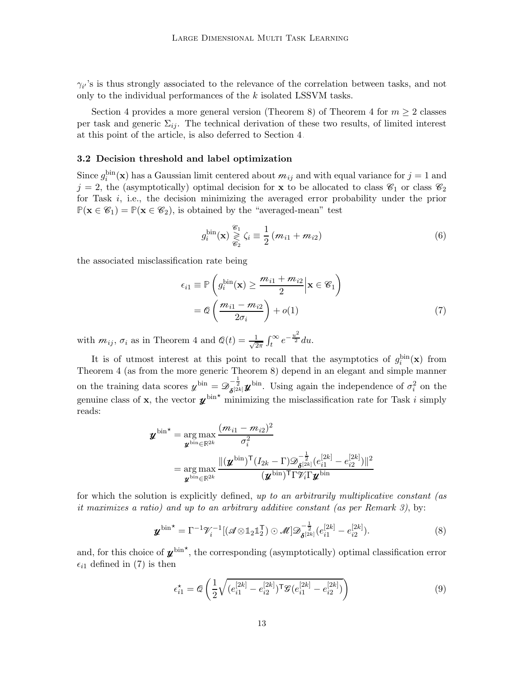$\gamma_{i'}$ 's is thus strongly associated to the relevance of the correlation between tasks, and not only to the individual performances of the k isolated LSSVM tasks.

Section [4](#page-10-0) provides a more general version (Theorem [8\)](#page-19-0) of Theorem 4 for  $m \geq 2$  classes per task and generic  $\Sigma_{ij}$ . The technical derivation of these two results, of limited interest at this point of the article, is also deferred to Section [4.](#page-17-0)

# 3.2 Decision threshold and label optimization

Since  $g_i^{\text{bin}}(\mathbf{x})$  has a Gaussian limit centered about  $m_{ij}$  and with equal variance for  $j = 1$  and  $j = 2$ , the (asymptotically) optimal decision for **x** to be allocated to class  $\mathscr{C}_1$  or class  $\mathscr{C}_2$ for Task  $i$ , i.e., the decision minimizing the averaged error probability under the prior  $P(\mathbf{x} \in \mathscr{C}_1) = P(\mathbf{x} \in \mathscr{C}_2)$ , is obtained by the "averaged-mean" test

<span id="page-12-2"></span><span id="page-12-0"></span>
$$
g_i^{\text{bin}}(\mathbf{x}) \underset{\mathcal{C}_2}{\geq} \zeta_i \equiv \frac{1}{2} \left( m_{i1} + m_{i2} \right) \tag{6}
$$

the associated misclassification rate being

$$
\epsilon_{i1} \equiv \mathbb{P}\left(g_i^{\text{bin}}(\mathbf{x}) \ge \frac{m_{i1} + m_{i2}}{2}\bigg|\mathbf{x} \in \mathcal{C}_1\right)
$$

$$
= \mathcal{Q}\left(\frac{m_{i1} - m_{i2}}{2\sigma_i}\right) + o(1) \tag{7}
$$

with  $m_{ij}$ ,  $\sigma_i$  as in Theorem [4](#page-10-0) and  $\mathcal{Q}(t) = \frac{1}{\sqrt{2}}$  $\frac{1}{2\pi} \int_t^\infty e^{-\frac{u^2}{2}} du.$ 

It is of utmost interest at this point to recall that the asymptotics of  $g_i^{\text{bin}}(\mathbf{x})$  from Theorem [4](#page-10-0) (as from the more generic Theorem [8\)](#page-19-0) depend in an elegant and simple manner on the training data scores  $\psi^{\text{bin}} = \mathcal{D}_{\delta^{[2k]}}^{-\frac{1}{2}} \mathcal{U}^{\text{bin}}$ . Using again the independence of  $\sigma_i^2$  on the genuine class of **x**, the vector  $\boldsymbol{\chi}^{\text{bin}}$  minimizing the misclassification rate for Task i simply reads:

**y** bin⋆ = arg max **<sup>y</sup>**bin∈**R**2<sup>k</sup> (mi<sup>1</sup> − mi2) 2 σ 2 i = arg max **<sup>y</sup>**bin∈**R**2<sup>k</sup> <sup>k</sup>(**y**bin) <sup>T</sup>(I2<sup>k</sup> <sup>−</sup> Γ)<sup>D</sup> − 1 2 δ [2k] (e [2k] <sup>i</sup><sup>1</sup> − e [2k] i2 )k 2 (**y**bin) <sup>T</sup>ΓViΓ**y**bin

for which the solution is explicitly defined, up to an arbitrarily multiplicative constant (as it maximizes a ratio) and up to an arbitrary additive constant (as per Remark [3\)](#page-7-0), by:

$$
\boldsymbol{y}^{\text{bin}} = \Gamma^{-1} \mathcal{V}_i^{-1} [(\mathcal{A} \otimes \mathbb{1}_2 \mathbb{1}_2^{\mathsf{T}}) \odot \mathcal{M}] \mathcal{D}_{\boldsymbol{\delta}^{[2k]}}^{-\frac{1}{2}} (e_{i1}^{[2k]} - e_{i2}^{[2k]}).
$$
 (8)

and, for this choice of  $\mathbf{y}^{\text{bin}}$ <sup>\*</sup>, the corresponding (asymptotically) optimal classification error  $\epsilon_{i1}$  defined in [\(7\)](#page-12-0) is then

<span id="page-12-1"></span>
$$
\epsilon_{i1}^{\star} = \mathcal{Q}\left(\frac{1}{2}\sqrt{(e_{i1}^{[2k]} - e_{i2}^{[2k]})^{\mathsf{T}}\mathcal{G}(e_{i1}^{[2k]} - e_{i2}^{[2k]})}\right)
$$
(9)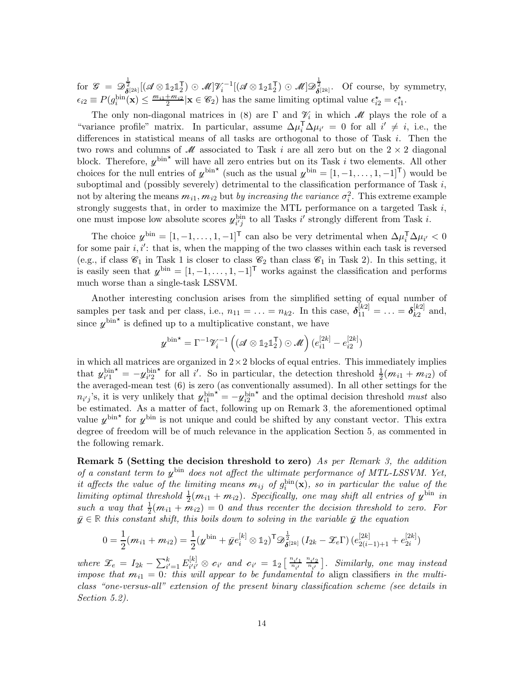$\text{for} \ \ \mathscr{G} \ = \ \mathscr{D}^{\frac{1}{2}}_{\boldsymbol{\delta}^{[2k]}}[(\mathscr{A} \otimes \mathbb{1}_2 \mathbb{1}_2^\mathsf{T}$  $(\mathcal{A}^{\mathsf{T}}) \odot \mathcal{M}$ ] $\mathcal{V}^{-1}_{i}$ [( $\mathcal{A} \otimes \mathbb{1}_2 \mathbb{1}_2^{\mathsf{T}}$  $\mathcal{Z}_2^{\mathsf{T}}(\mathcal{Z}) \odot \mathcal{M} \mathcal{Z}_{\boldsymbol{\delta}^{[2k]}}^{\frac{1}{2}}$ . Of course, by symmetry,  $\epsilon_{i2} \equiv P(g_i^{\text{bin}}(\mathbf{x}) \le \frac{m_{i1}+m_{i2}}{2} | \mathbf{x} \in \mathscr{C}_2)$  has the same limiting optimal value  $\epsilon_{i2}^* = \epsilon_{i1}^*$ .

The only non-diagonal matrices in [\(8\)](#page-12-1) are  $\Gamma$  and  $\mathcal{V}_i$  in which  $\mathcal{M}$  plays the role of a "variance profile" matrix. In particular, assume  $\Delta \mu_i^T \Delta \mu_{i'} = 0$  for all  $i' \neq i$ , i.e., the differences in statistical means of all tasks are orthogonal to those of Task i. Then the two rows and columns of  $\mathcal M$  associated to Task i are all zero but on the  $2 \times 2$  diagonal block. Therefore,  $y^{\text{bin}}$  will have all zero entries but on its Task i two elements. All other choices for the null entries of  $y^{\text{bin}}$  (such as the usual  $y^{\text{bin}} = [1, -1, \dots, 1, -1]^{\text{T}}$ ) would be suboptimal and (possibly severely) detrimental to the classification performance of Task  $i$ , not by altering the means  $m_{i1}, m_{i2}$  but *by increasing the variance*  $\sigma_i^2$ . This extreme example strongly suggests that, in order to maximize the MTL performance on a targeted Task  $i$ , one must impose low absolute scores  $y_{i'j}^{\text{bin}}$  to all Tasks i' strongly different from Task i.

The choice  $\psi^{\text{bin}} = [1, -1, \dots, 1, -1]^\mathsf{T}$  can also be very detrimental when  $\Delta \mu_i^{\mathsf{T}} \Delta \mu_{i'} < 0$ for some pair  $i, i'$ : that is, when the mapping of the two classes within each task is reversed (e.g., if class  $\mathcal{C}_1$  in Task 1 is closer to class  $\mathcal{C}_2$  than class  $\mathcal{C}_1$  in Task 2). In this setting, it is easily seen that  $\psi^{\text{bin}} = [1, -1, \ldots, 1, -1]^\mathsf{T}$  works against the classification and performs much worse than a single-task LSSVM.

Another interesting conclusion arises from the simplified setting of equal number of samples per task and per class, i.e.,  $n_{11} = \ldots = n_{k2}$ . In this case,  $\delta_{11}^{[k2]} = \ldots = \delta_{k2}^{[k2]}$  $\frac{k^{2}}{k^{2}}$  and, since  $\psi^{\text{bin}}$  is defined up to a multiplicative constant, we have

$$
\boldsymbol{y}^{\text{bin}} \star = \Gamma^{-1} \boldsymbol{\mathcal{V}}_i^{-1} \left( \left( \boldsymbol{\mathcal{A}} \otimes \mathbb{1}_2 \mathbb{1}_2^{\mathsf{T}} \right) \odot \boldsymbol{\mathcal{M}} \right) (e_{i1}^{[2k]} - e_{i2}^{[2k]})
$$

in which all matrices are organized in  $2\times 2$  blocks of equal entries. This immediately implies that  $y_{i'1}^{\text{bin}} = -y_{i'2}^{\text{bin}}$  for all i'. So in particular, the detection threshold  $\frac{1}{2}(m_{i1} + m_{i2})$  of the averaged-mean test [\(6\)](#page-12-2) is zero (as conventionally assumed). In all other settings for the  $n_{i'j}$ 's, it is very unlikely that  $y_{i1}^{\text{bin}}$  $\mathbf{r} = -y_{i2}^{\mathrm{bin}}$  $\star$  and the optimal decision threshold *must* also be estimated. As a matter of fact, following up on Remark [3,](#page-7-0) the aforementioned optimal value  $\psi^{\text{bin}}$  for  $\psi^{\text{bin}}$  is not unique and could be shifted by any constant vector. This extra degree of freedom will be of much relevance in the application Section [5,](#page-22-0) as commented in the following remark.

<span id="page-13-1"></span>**Remark 5 (Setting the decision threshold to zero)** As per Remark [3,](#page-7-0) the addition of a constant term to  $y^{\text{bin}}$  does not affect the ultimate performance of MTL-LSSVM. Yet, it affects the value of the limiting means  $m_{ij}$  of  $g_i^{\text{bin}}(\mathbf{x})$ , so in particular the value of the limiting optimal threshold  $\frac{1}{2}(m_{i1} + m_{i2})$ . Specifically, one may shift all entries of  $y^{\text{bin}}$  in such a way that  $\frac{1}{2}(m_{i1} + m_{i2}) = 0$  and thus recenter the decision threshold to zero. For  $\bar{y} \in \mathbb{R}$  this constant shift, this boils down to solving in the variable  $\bar{y}$  the equation

$$
0 = \frac{1}{2}(m_{i1} + m_{i2}) = \frac{1}{2}(\mathbf{y}^{\text{bin}} + \bar{\mathbf{y}}e_i^{[k]} \otimes \mathbf{1}_2)^{\text{T}} \mathbf{\mathcal{D}}_{\boldsymbol{\delta}^{[2k]}}^{\frac{1}{2}} (I_{2k} - \mathbf{\mathcal{F}}_e \boldsymbol{\Gamma}) \left( e_{2(i-1)+1}^{[2k]} + e_{2i}^{[2k]} \right)
$$

<span id="page-13-0"></span>where  $\mathscr{Z}_e = I_{2k} - \sum_{i'=1}^k E_{i'i'}^{[k]}$  $\begin{array}{rcl} {}^{[k]}_{i'i'}\otimes c_{i'} \end{array}$  and  $c_{i'} = \mathbb{1}_2\begin{bmatrix} \frac{n_{i'1}}{n_{i'}} \end{bmatrix}$  $\frac{n_{i'1}}{n_{i'}} \frac{n_{i'2}}{n_{i'}}$  $\left[\begin{smallmatrix} n_{i'2}\ n_{i'} \end{smallmatrix}\right]$ . Similarly, one may instead impose that  $m_{i1} = 0$ : this will appear to be fundamental to align classifiers in the multiclass "one-versus-all" extension of the present binary classification scheme (see details in Section [5.2\)](#page-23-0).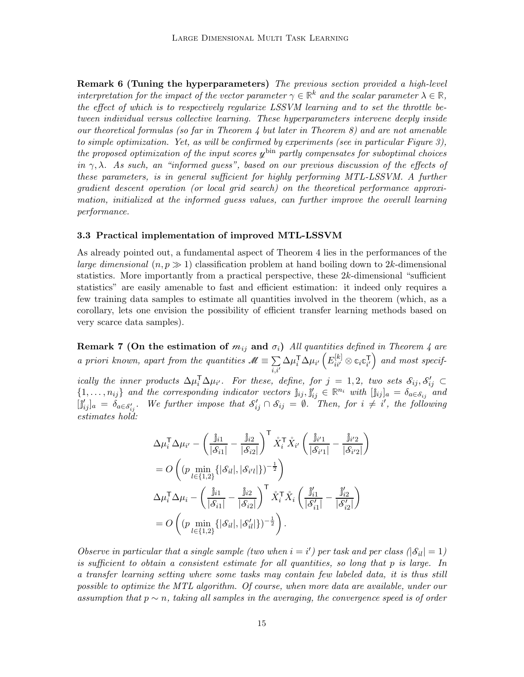**Remark 6 (Tuning the hyperparameters)** The previous section provided a high-level interpretation for the impact of the vector parameter  $\gamma \in \mathbb{R}^k$  and the scalar parameter  $\lambda \in \mathbb{R}$ , the effect of which is to respectively regularize LSSVM learning and to set the throttle between individual versus collective learning. These hyperparameters intervene deeply inside our theoretical formulas (so far in Theorem [4](#page-10-0) but later in Theorem [8\)](#page-19-0) and are not amenable to simple optimization. Yet, as will be confirmed by experiments (see in particular Figure [3\)](#page-31-0), the proposed optimization of the input scores  $y^{\text{bin}}$  partly compensates for suboptimal choices in  $\gamma, \lambda$ . As such, an "informed guess", based on our previous discussion of the effects of these parameters, is in general sufficient for highly performing MTL-LSSVM. A further gradient descent operation (or local grid search) on the theoretical performance approximation, initialized at the informed guess values, can further improve the overall learning performance.

### 3.3 Practical implementation of improved MTL-LSSVM

As already pointed out, a fundamental aspect of Theorem [4](#page-10-0) lies in the performances of the large dimensional  $(n, p \gg 1)$  classification problem at hand boiling down to 2k-dimensional statistics. More importantly from a practical perspective, these  $2k$ -dimensional "sufficient" statistics" are easily amenable to fast and efficient estimation: it indeed only requires a few training data samples to estimate all quantities involved in the theorem (which, as a corollary, lets one envision the possibility of efficient transfer learning methods based on very scarce data samples).

<span id="page-14-0"></span>**Remark 7 (On the estimation of**  $m_{ij}$  **and**  $\sigma_i$ **)** All quantities defined in Theorem [4](#page-10-0) are a priori known, apart from the quantities  $\mathcal{M} \equiv \sum_{i=1}^{n}$  $\overline{\overline{i,i'}}$  $\Delta \mu_i^{\sf T} \Delta \mu_{i'} \left(E^{[k]}_{ii'} \otimes \mathbb{c}_i \mathbb{c}_{i'}^{\sf T} \right)$  $\left(\begin{smallmatrix} \mathsf{T} \ i' \end{smallmatrix}\right)$  and most specif-

ically the inner products  $\Delta \mu_i^T \Delta \mu_{i'}$ . For these, define, for  $j = 1, 2$ , two sets  $\mathcal{S}_{ij}, \mathcal{S}'_{ij} \subset$  $\{1,\ldots,n_{ij}\}\$  and the corresponding indicator vectors  $\hat{\mathbf{j}}_{ij},\hat{\mathbf{j}}'_{ij}\in\mathbb{R}^{n_i}$  with  $[\hat{\mathbf{j}}_{ij}]_a=\delta_{a\in\mathcal{S}_{ij}}$  and  $[\hat{\jmath}'_{ij}]_a = \delta_{a \in \mathcal{S}'_{ij}}$ . We further impose that  $\mathcal{S}'_{ij} \cap \mathcal{S}_{ij} = \emptyset$ . Then, for  $i \neq i'$ , the following estimates hold:

$$
\Delta \mu_i^{\mathsf{T}} \Delta \mu_{i'} - \left(\frac{\mathbb{j}_{i1}}{|\mathcal{S}_{i1}|} - \frac{\mathbb{j}_{i2}}{|\mathcal{S}_{i2}|}\right)^{\mathsf{T}} \mathring{X}_i^{\mathsf{T}} \mathring{X}_{i'} \left(\frac{\mathbb{j}_{i'1}}{|\mathcal{S}_{i'1}|} - \frac{\mathbb{j}_{i'2}}{|\mathcal{S}_{i'2}|}\right) \n= O\left((p \min_{l \in \{1,2\}} \{|\mathcal{S}_{il}|, |\mathcal{S}_{i'l}|\})^{-\frac{1}{2}}\right) \n\Delta \mu_i^{\mathsf{T}} \Delta \mu_i - \left(\frac{\mathbb{j}_{i1}}{|\mathcal{S}_{i1}|} - \frac{\mathbb{j}_{i2}}{|\mathcal{S}_{i2}|}\right)^{\mathsf{T}} \mathring{X}_i^{\mathsf{T}} \mathring{X}_i \left(\frac{\mathbb{j}_{i1}'}{|\mathcal{S}_{i1}'} - \frac{\mathbb{j}_{i2}'}{|\mathcal{S}_{i2}'}\right) \n= O\left((p \min_{l \in \{1,2\}} \{|\mathcal{S}_{il}|, |\mathcal{S}_{il}|\})^{-\frac{1}{2}}\right).
$$

Observe in particular that a single sample (two when  $i = i'$ ) per task and per class ( $|\mathcal{S}_{il}| = 1$ ) is sufficient to obtain a consistent estimate for all quantities, so long that p is large. In a transfer learning setting where some tasks may contain few labeled data, it is thus still possible to optimize the MTL algorithm. Of course, when more data are available, under our assumption that  $p \sim n$ , taking all samples in the averaging, the convergence speed is of order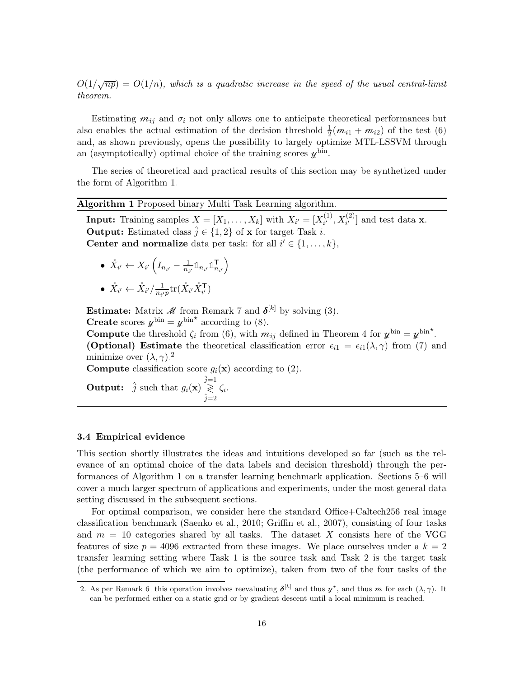$O(1/\sqrt{np}) = O(1/n)$ , which is a quadratic increase in the speed of the usual central-limit theorem.

Estimating  $m_{ij}$  and  $\sigma_i$  not only allows one to anticipate theoretical performances but also enables the actual estimation of the decision threshold  $\frac{1}{2}$  $\frac{1}{2}(m_{i1} + m_{i2})$  of the test [\(6\)](#page-12-2) and, as shown previously, opens the possibility to largely optimize MTL-LSSVM through an (asymptotically) optimal choice of the training scores  $\psi^{\text{bin}}$ .

The series of theoretical and practical results of this section may be synthetized under the form of Algorithm [1.](#page-15-0)

# <span id="page-15-0"></span>Algorithm 1 Proposed binary Multi Task Learning algorithm.

**Input:** Training samples  $X = [X_1, \ldots, X_k]$  with  $X_{i'} = [X_{i'}^{(1)}]$  $X_{i'}^{(1)}, X_{i'}^{(2)}$  and test data **x**. **Output:** Estimated class  $\hat{j} \in \{1, 2\}$  of **x** for target Task *i*. **Center and normalize** data per task: for all  $i' \in \{1, ..., k\}$ ,

\n- \n
$$
\hat{X}_{i'} \leftarrow X_{i'} \left( I_{n_{i'}} - \frac{1}{n_{i'}} \mathbb{1}_{n_{i'}} \mathbb{1}_{n_{i'}}^{\mathsf{T}} \right)
$$
\n
\n- \n
$$
\hat{X}_{i'} \leftarrow \hat{X}_{i'} / \frac{1}{n_{i'}p} \text{tr}(\hat{X}_{i'} \hat{X}_{i'}^{\mathsf{T}})
$$
\n
\n

**Estimate:** Matrix *M* from Remark [7](#page-14-0) and  $\delta^{[k]}$  by solving [\(3\)](#page-10-1).

**Create** scores  $\psi^{\text{bin}} = \psi^{\text{bin} \star}$  according to [\(8\)](#page-12-1).

**Compute** the threshold  $\zeta_i$  from [\(6\)](#page-12-2), with  $m_{ij}$  defined in Theorem [4](#page-10-0) for  $y^{\text{bin}} = y^{\text{bin}}$ . **(Optional) Estimate** the theoretical classification error  $\epsilon_{i1} = \epsilon_{i1}(\lambda, \gamma)$  from [\(7\)](#page-12-0) and minimize over  $(\lambda, \gamma)$ .<sup>[2](#page-15-1)</sup>

**Compute** classification score  $g_i(\mathbf{x})$  according to [\(2\)](#page-7-1).

**Output:**  $\hat{j}$  such that  $g_i(\mathbf{x}) \stackrel{\hat{j}=1}{\gtrless}$ ≷  $\hat{j}=2$  $\zeta_i.$ 

#### 3.4 Empirical evidence

This section shortly illustrates the ideas and intuitions developed so far (such as the relevance of an optimal choice of the data labels and decision threshold) through the performances of Algorithm [1](#page-15-0) on a transfer learning benchmark application. Sections [5–](#page-22-0)[6](#page-28-0) will cover a much larger spectrum of applications and experiments, under the most general data setting discussed in the subsequent sections.

For optimal comparison, we consider here the standard Office+Caltech256 real image classification benchmark [\(Saenko et al.](#page-52-8), [2010;](#page-52-8) [Griffin et al.,](#page-50-8) [2007\)](#page-50-8), consisting of four tasks and  $m = 10$  categories shared by all tasks. The dataset X consists here of the VGG features of size  $p = 4096$  extracted from these images. We place ourselves under a  $k = 2$ transfer learning setting where Task 1 is the source task and Task 2 is the target task (the performance of which we aim to optimize), taken from two of the four tasks of the

<span id="page-15-1"></span><sup>2.</sup> As per Remark [6,](#page-13-0) this operation involves reevaluating  $\delta^{[k]}$  and thus  $\mu^*$ , and thus m for each  $(\lambda, \gamma)$ . It can be performed either on a static grid or by gradient descent until a local minimum is reached.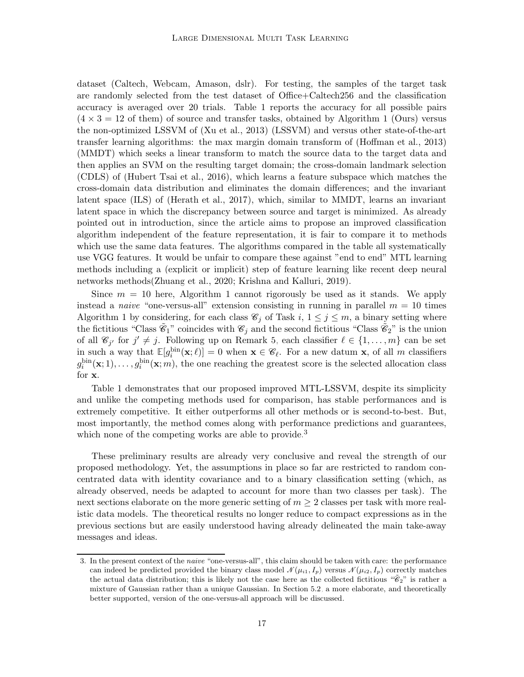dataset (Caltech, Webcam, Amason, dslr). For testing, the samples of the target task are randomly selected from the test dataset of Office+Caltech256 and the classification accuracy is averaged over 20 trials. Table [1](#page-17-1) reports the accuracy for all possible pairs  $(4 \times 3 = 12$  $(4 \times 3 = 12$  $(4 \times 3 = 12$  of them) of source and transfer tasks, obtained by Algorithm 1 (Ours) versus the non-optimized LSSVM of [\(Xu et al., 2013](#page-52-1)) (LSSVM) and versus other state-of-the-art transfer learning algorithms: the max margin domain transform of [\(Hoffman et al., 2013\)](#page-51-5) (MMDT) which seeks a linear transform to match the source data to the target data and then applies an SVM on the resulting target domain; the cross-domain landmark selection (CDLS) of [\(Hubert Tsai et al.](#page-51-6), [2016](#page-51-6)), which learns a feature subspace which matches the cross-domain data distribution and eliminates the domain differences; and the invariant latent space (ILS) of [\(Herath et al.](#page-51-7), [2017](#page-51-7)), which, similar to MMDT, learns an invariant latent space in which the discrepancy between source and target is minimized. As already pointed out in introduction, since the article aims to propose an improved classification algorithm independent of the feature representation, it is fair to compare it to methods which use the same data features. The algorithms compared in the table all systematically use VGG features. It would be unfair to compare these against "end to end" MTL learning methods including a (explicit or implicit) step of feature learning like recent deep neural networks methods[\(Zhuang et al., 2020](#page-52-6); [Krishna and Kalluri,](#page-51-4) [2019](#page-51-4)).

Since  $m = 10$  $m = 10$  $m = 10$  here, Algorithm 1 cannot rigorously be used as it stands. We apply instead a *naive* "one-versus-all" extension consisting in running in parallel  $m = 10$  times Algorithm [1](#page-15-0) by considering, for each class  $\mathscr{C}_j$  of Task  $i, 1 \leq j \leq m$ , a binary setting where the fictitious "Class  $\tilde{e}_1$ " coincides with  $\mathscr{C}_j$  and the second fictitious "Class  $\tilde{e}_2$ " is the union of all  $\mathscr{C}_{j'}$  for  $j' \neq j$ . Following up on Remark [5,](#page-13-1) each classifier  $\ell \in \{1, \ldots, m\}$  can be set in such a way that  $\mathbb{E}[g_i^{\text{bin}}(\mathbf{x}; \ell)] = 0$  when  $\mathbf{x} \in \mathscr{C}_{\ell}$ . For a new datum x, of all m classifiers  $g_i^{\text{bin}}(\mathbf{x};1),\ldots,g_i^{\text{bin}}(\mathbf{x};m)$ , the one reaching the greatest score is the selected allocation class for x.

Table [1](#page-17-1) demonstrates that our proposed improved MTL-LSSVM, despite its simplicity and unlike the competing methods used for comparison, has stable performances and is extremely competitive. It either outperforms all other methods or is second-to-best. But, most importantly, the method comes along with performance predictions and guarantees, which none of the competing works are able to provide.<sup>[3](#page-16-0)</sup>

These preliminary results are already very conclusive and reveal the strength of our proposed methodology. Yet, the assumptions in place so far are restricted to random concentrated data with identity covariance and to a binary classification setting (which, as already observed, needs be adapted to account for more than two classes per task). The next sections elaborate on the more generic setting of  $m \geq 2$  classes per task with more realistic data models. The theoretical results no longer reduce to compact expressions as in the previous sections but are easily understood having already delineated the main take-away messages and ideas.

<span id="page-16-0"></span><sup>3.</sup> In the present context of the naive "one-versus-all", this claim should be taken with care: the performance can indeed be predicted provided the binary class model  $\mathcal{N}(\mu_{i1}, I_p)$  versus  $\mathcal{N}(\mu_{i2}, I_p)$  correctly matches the actual data distribution; this is likely not the case here as the collected fictitious " $\mathscr{C}_2$ " is rather a mixture of Gaussian rather than a unique Gaussian. In Section [5.2,](#page-23-0) a more elaborate, and theoretically better supported, version of the one-versus-all approach will be discussed.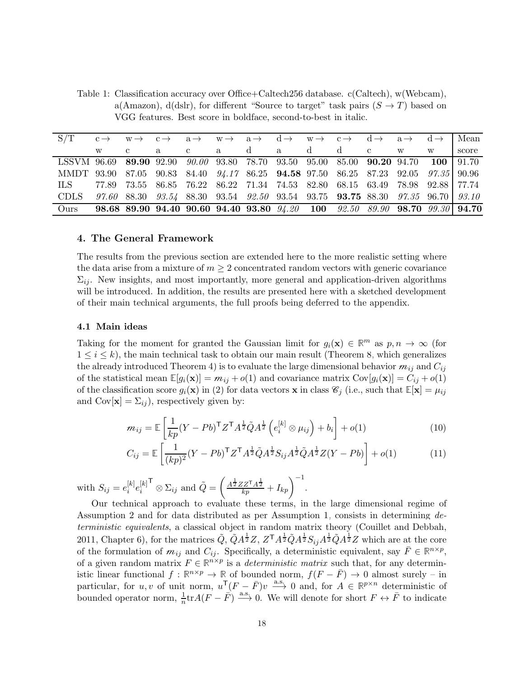<span id="page-17-1"></span>Table 1: Classification accuracy over Office+Caltech256 database. c(Caltech), w(Webcam), a(Amazon), d(dslr), for different "Source to target" task pairs  $(S \to T)$  based on VGG features. Best score in boldface, second-to-best in italic.

| $S/T$ $c \rightarrow w \rightarrow c \rightarrow a \rightarrow w \rightarrow a \rightarrow d \rightarrow w \rightarrow c \rightarrow d \rightarrow a \rightarrow d \rightarrow l$ Mean |              |   |              |  |  |               |  |       |
|----------------------------------------------------------------------------------------------------------------------------------------------------------------------------------------|--------------|---|--------------|--|--|---------------|--|-------|
|                                                                                                                                                                                        | $\mathbf{c}$ | a | $\mathbf{c}$ |  |  | a da dd c w w |  | score |
| LSSVM 96.69 89.90 92.90 90.00 93.80 78.70 93.50 95.00 85.00 90.20 94.70 100 91.70                                                                                                      |              |   |              |  |  |               |  |       |
| MMDT 93.90 87.05 90.83 84.40 94.17 86.25 94.58 97.50 86.25 87.23 92.05 97.35 90.96                                                                                                     |              |   |              |  |  |               |  |       |
| ILS 77.89 73.55 86.85 76.22 86.22 71.34 74.53 82.80 68.15 63.49 78.98 92.88 77.74                                                                                                      |              |   |              |  |  |               |  |       |
| CDLS 97.60 88.30 93.54 88.30 93.54 92.50 93.54 93.75 93.75 88.30 97.35 96.70 93.10                                                                                                     |              |   |              |  |  |               |  |       |
| Ours 98.68 89.90 94.40 90.60 94.40 93.80 $94.20$ 100 $92.50$ $89.90$ 98.70 $99.30$   94.70                                                                                             |              |   |              |  |  |               |  |       |
|                                                                                                                                                                                        |              |   |              |  |  |               |  |       |

#### <span id="page-17-0"></span>4. The General Framework

The results from the previous section are extended here to the more realistic setting where the data arise from a mixture of  $m \geq 2$  concentrated random vectors with generic covariance  $\Sigma_{ii}$ . New insights, and most importantly, more general and application-driven algorithms will be introduced. In addition, the results are presented here with a sketched development of their main technical arguments, the full proofs being deferred to the appendix.

## 4.1 Main ideas

Taking for the moment for granted the Gaussian limit for  $g_i(\mathbf{x}) \in \mathbb{R}^m$  as  $p, n \to \infty$  (for  $1 \leq i \leq k$ , the main technical task to obtain our main result (Theorem [8,](#page-19-0) which generalizes the already introduced Theorem [4\)](#page-10-0) is to evaluate the large dimensional behavior  $m_{ij}$  and  $C_{ij}$ of the statistical mean  $\mathbb{E}[g_i(\mathbf{x})] = m_{ij} + o(1)$  and covariance matrix  $Cov[g_i(\mathbf{x})] = C_{ij} + o(1)$ of the classification score  $g_i(\mathbf{x})$  in [\(2\)](#page-7-1) for data vectors **x** in class  $\mathscr{C}_j$  (i.e., such that  $\mathbb{E}[\mathbf{x}] = \mu_{ij}$ and  $Cov[\mathbf{x}] = \Sigma_{ij}$ , respectively given by:

<span id="page-17-2"></span>
$$
m_{ij} = \mathbb{E}\left[\frac{1}{kp}(Y - Pb)^{\mathsf{T}}Z^{\mathsf{T}}A^{\frac{1}{2}}\tilde{Q}A^{\frac{1}{2}}\left(e_i^{[k]}\otimes\mu_{ij}\right) + b_i\right] + o(1)
$$
\n(10)

<span id="page-17-3"></span>
$$
C_{ij} = \mathbb{E}\left[\frac{1}{(kp)^2}(Y - Pb)^{\mathsf{T}}Z^{\mathsf{T}}A^{\frac{1}{2}}\tilde{Q}A^{\frac{1}{2}}S_{ij}A^{\frac{1}{2}}\tilde{Q}A^{\frac{1}{2}}Z(Y - Pb)\right] + o(1)
$$
(11)

with  $S_{ij} = e_i^{[k]}$  $\left[ k \right]_e \!\!\left[ \begin{smallmatrix} k \ i \end{smallmatrix} \right] \!\!\! e_i^{[k]}$ i  $\mathsf{T} \otimes \Sigma_{ij}$  and  $\tilde{Q} = \begin{pmatrix} \frac{A^{\frac{1}{2}} Z Z^{\mathsf{T}} A^{\frac{1}{2}}}{k p} \end{pmatrix}$  $\frac{ZZ^\mathsf{T} A^\frac{1}{2}}{kp} + I_{kp} \bigg)^{-1}.$ 

Our technical approach to evaluate these terms, in the large dimensional regime of Assumption [2](#page-9-1) and for data distributed as per Assumption [1,](#page-8-0) consists in determining deterministic equivalents, a classical object in random matrix theory [\(Couillet and Debbah,](#page-50-9) [2011,](#page-50-9) Chapter 6), for the matrices  $\tilde{Q}$ ,  $\tilde{Q}A^{\frac{1}{2}}Z$ ,  $Z^{\mathsf{T}}A^{\frac{1}{2}}\tilde{Q}A^{\frac{1}{2}}S_{ij}A^{\frac{1}{2}}\tilde{Q}A^{\frac{1}{2}}Z$  which are at the core of the formulation of  $m_{ij}$  and  $C_{ij}$ . Specifically, a deterministic equivalent, say  $\bar{F} \in \mathbb{R}^{n \times p}$ , of a given random matrix  $F \in \mathbb{R}^{n \times p}$  is a *deterministic matrix* such that, for any deterministic linear functional  $f : \mathbb{R}^{n \times p} \to \mathbb{R}$  of bounded norm,  $f(F - \overline{F}) \to 0$  almost surely – in particular, for u, v of unit norm,  $u \cdot (F - \bar{F})v \xrightarrow{a.s} 0$  and, for  $A \in \mathbb{R}^{p \times n}$  deterministic of bounded operator norm,  $\frac{1}{n}$ tr $A(F - \overline{F}) \stackrel{\text{a.s.}}{\longrightarrow} 0$ . We will denote for short  $F \leftrightarrow \overline{F}$  to indicate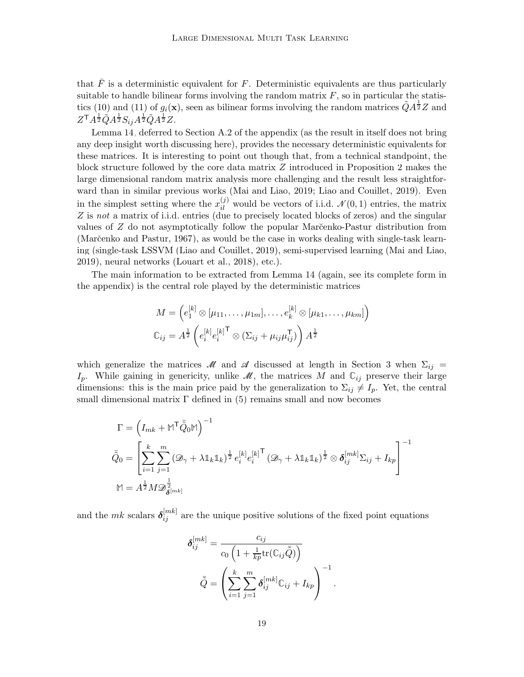that  $\overline{F}$  is a deterministic equivalent for F. Deterministic equivalents are thus particularly suitable to handle bilinear forms involving the random matrix  $F$ , so in particular the statis-tics [\(10\)](#page-17-2) and [\(11\)](#page-17-3) of  $g_i(\mathbf{x})$ , seen as bilinear forms involving the random matrices  $\tilde{Q}A^{\frac{1}{2}}Z$  and  $Z^{\mathsf{T}} A^{\frac{1}{2}} \tilde{Q} A^{\frac{1}{2}} S_{ij} A^{\frac{1}{2}} \tilde{Q} A^{\frac{1}{2}} Z.$ 

Lemma [14,](#page-40-0) deferred to Section [A.2](#page-40-1) of the appendix (as the result in itself does not bring any deep insight worth discussing here), provides the necessary deterministic equivalents for these matrices. It is interesting to point out though that, from a technical standpoint, the block structure followed by the core data matrix Z introduced in Proposition [2](#page-6-0) makes the large dimensional random matrix analysis more challenging and the result less straightforward than in similar previous works [\(Mai and Liao](#page-51-0), [2019](#page-51-0); Liao [and Couillet, 2019\)](#page-51-1). Even in the simplest setting where the  $x_{il}^{(j)}$  would be vectors of i.i.d.  $\mathcal{N}(0, 1)$  entries, the matrix Z is not a matrix of i.i.d. entries (due to precisely located blocks of zeros) and the singular values of  $Z$  do not asymptotically follow the popular Mar $\zeta$ enko-Pastur distribution from (Marčenko and Pastur, 1967), as would be the case in works dealing with single-task learning (single-task LSSVM [\(Liao and Couillet, 2019\)](#page-51-1), semi-supervised learning [\(Mai and Liao,](#page-51-0) [2019\)](#page-51-0), neural networks [\(Louart et al.](#page-51-9), [2018\)](#page-51-9), etc.).

The main information to be extracted from Lemma [14](#page-40-0) (again, see its complete form in the appendix) is the central role played by the deterministic matrices

$$
M = \left(e_1^{[k]} \otimes [\mu_{11}, \dots, \mu_{1m}], \dots, e_k^{[k]} \otimes [\mu_{k1}, \dots, \mu_{km}]\right)
$$
  

$$
\mathbb{C}_{ij} = A^{\frac{1}{2}} \left(e_i^{[k]} e_i^{[k] \mathsf{T}} \otimes (\Sigma_{ij} + \mu_{ij} \mu_{ij}^{\mathsf{T}})\right) A^{\frac{1}{2}}
$$

which generalize the matrices M and A discussed at length in Section [3](#page-9-0) when  $\Sigma_{ij}$  =  $I_p$ . While gaining in genericity, unlike  $\mathcal{M}$ , the matrices M and  $\mathbb{C}_{ij}$  preserve their large dimensions: this is the main price paid by the generalization to  $\Sigma_{ij} \neq I_p$ . Yet, the central small dimensional matrix  $\Gamma$  defined in [\(5\)](#page-10-2) remains small and now becomes

$$
\begin{split} \Gamma &= \left(I_{mk} + \mathbb{M}^\mathsf{T} \bar{\tilde{Q}}_0 \mathbb{M}\right)^{-1} \\ \bar{\tilde{Q}}_0 &= \left[\sum_{i=1}^k \sum_{j=1}^m \left(\mathcal{D}_\gamma + \lambda \mathbb{1}_k \mathbb{1}_k\right)^{\frac{1}{2}} e_i^{[k]} e_i^{[k]}^\mathsf{T} \left(\mathcal{D}_\gamma + \lambda \mathbb{1}_k \mathbb{1}_k\right)^{\frac{1}{2}} \otimes \boldsymbol{\delta}_{ij}^{[mk]} \Sigma_{ij} + I_{kp} \right]^{-1} \\ \mathbb{M} &= A^{\frac{1}{2}} M \mathcal{D}_{\tilde{\boldsymbol{\delta}}^{[mk]}}^{\frac{1}{2}} \\ \end{split}
$$

and the  $mk$  scalars  $\delta_{ij}^{[mk]}$  are the unique positive solutions of the fixed point equations

$$
\delta_{ij}^{[mk]} = \frac{c_{ij}}{c_0 \left(1 + \frac{1}{kp} \text{tr}(\mathbb{C}_{ij} \overline{\tilde{Q}})\right)}
$$

$$
\overline{\tilde{Q}} = \left(\sum_{i=1}^k \sum_{j=1}^m \delta_{ij}^{[mk]} \mathbb{C}_{ij} + I_{kp}\right)^{-1}.
$$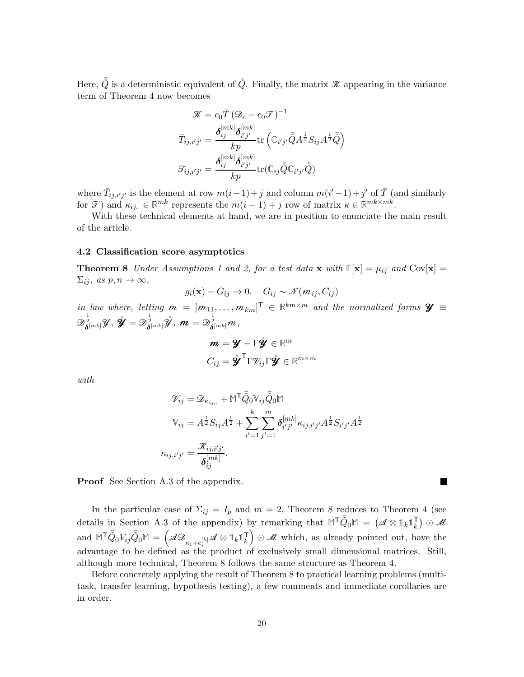Here,  $\tilde{Q}$  is a deterministic equivalent of  $\tilde{Q}$ . Finally, the matrix  $\mathscr K$  appearing in the variance term of Theorem [4](#page-10-0) now becomes

$$
\mathcal{K} = c_0 \overline{T} (\mathcal{D}_c - c_0 \mathcal{T})^{-1}
$$

$$
\overline{T}_{ij,i'j'} = \frac{\delta_{ij}^{[mk]} \delta_{i'j'}^{[mk]}}{kp} tr \left( \mathbb{C}_{i'j'} \overline{\tilde{Q}} A^{\frac{1}{2}} S_{ij} A^{\frac{1}{2}} \overline{\tilde{Q}} \right)
$$

$$
\mathcal{T}_{ij,i'j'} = \frac{\delta_{ij}^{[mk]} \delta_{i'j'}^{[mk]}}{kp} tr (\mathbb{C}_{ij} \overline{\tilde{Q}} \mathbb{C}_{i'j'} \overline{\tilde{Q}})
$$

where  $\bar{T}_{ij,i'j'}$  is the element at row  $m(i-1)+j$  and column  $m(i'-1)+j'$  of  $\bar{T}$  (and similarly for  $\mathcal{T}$ ) and  $\kappa_{ij,} \in \mathbb{R}^{mk}$  represents the  $m(i-1) + j$  row of matrix  $\kappa \in \mathbb{R}^{mk \times mk}$ .

With these technical elements at hand, we are in position to enunciate the main result of the article.

### <span id="page-19-0"></span>4.2 Classification score asymptotics

**Theorem 8** Under Assumptions [1](#page-8-0) and [2,](#page-9-1) for a test data **x** with  $\mathbb{E}[\mathbf{x}] = \mu_{ij}$  and  $Cov[\mathbf{x}] =$  $\Sigma_{ij}, \text{ as } p, n \to \infty,$ 

$$
g_i(\mathbf{x}) - G_{ij} \to 0, \quad G_{ij} \sim \mathcal{N}(m_{ij}, C_{ij})
$$

in law where, letting  $m = [m_{11}, \ldots, m_{km}]^{\mathsf{T}} \in \mathbb{R}^{km \times m}$  and the normalized forms  $\mathcal{Y} \equiv$  $\mathscr{D}^{\frac{1}{2}}_{\boldsymbol{\delta}^{[mk]}}\mathscr{Y},\, \mathring{\boldsymbol{\mathscr{Y}}}=\mathscr{D}^{\frac{1}{2}}_{\boldsymbol{\delta}^{[mk]}}\mathring{\mathscr{Y}},\, \boldsymbol{m}=\mathscr{D}^{\frac{1}{2}}_{\boldsymbol{\delta}^{[mk]}}m,$ 

$$
\mathbf{m} = \mathbf{Y} - \Gamma \mathbf{\hat{y}} \in \mathbb{R}^m
$$

$$
C_{ij} = \mathbf{\hat{y}}^{\mathsf{T}} \Gamma \mathcal{V}_{ij} \Gamma \mathbf{\hat{y}} \in \mathbb{R}^{m \times m}
$$

with

$$
\mathcal{V}_{ij} = \mathcal{D}_{\kappa_{ij,.}} + \mathbb{M}^{\mathsf{T}} \bar{\tilde{Q}}_{0} \mathbb{V}_{ij} \bar{\tilde{Q}}_{0} \mathbb{M}
$$

$$
\mathbb{V}_{ij} = A^{\frac{1}{2}} S_{ij} A^{\frac{1}{2}} + \sum_{i'=1}^{k} \sum_{j'=1}^{m} \delta_{i'j'}^{[mk]} \kappa_{ij,i'j'} A^{\frac{1}{2}} S_{i'j'} A^{\frac{1}{2}}
$$

$$
\kappa_{ij,i'j'} = \frac{\mathcal{K}_{ij,i'j'}}{\delta_{ij}^{[mk]}}.
$$

**In the Second State** 

Proof See Section [A.3](#page-45-0) of the appendix.

In the particular case of  $\Sigma_{ij} = I_p$  and  $m = 2$ , Theorem [8](#page-19-0) reduces to Theorem [4](#page-10-0) (see details in Section [A.3](#page-45-0) of the appendix) by remarking that  $M^{\mathsf{T}}\bar{Q}_0M = (\mathscr{A} \otimes \mathbb{1}_k1_k^{\mathsf{T}})$  $\binom{1}{k}$   $\odot$  M  $\text{and } \mathbb{M}^{\mathsf{T}} \bar{\tilde{Q}}_0 V_{ij} \bar{\tilde{Q}}_0 \mathbb{M} = \left( \mathscr{A} \mathscr{D}_{\kappa_i + e_i^{[k]}} \mathscr{A} \otimes \mathbb{1}_k \mathbb{1}_k^{\mathsf{T}} \right)$  $\begin{bmatrix} \n\overline{k} \n\end{bmatrix} \odot \mathcal{M}$  which, as already pointed out, have the advantage to be defined as the product of exclusively small dimensional matrices. Still, although more technical, Theorem [8](#page-19-0) follows the same structure as Theorem [4.](#page-10-0)

<span id="page-19-1"></span>Before concretely applying the result of Theorem [8](#page-19-0) to practical learning problems (multitask, transfer learning, hypothesis testing), a few comments and immediate corollaries are in order.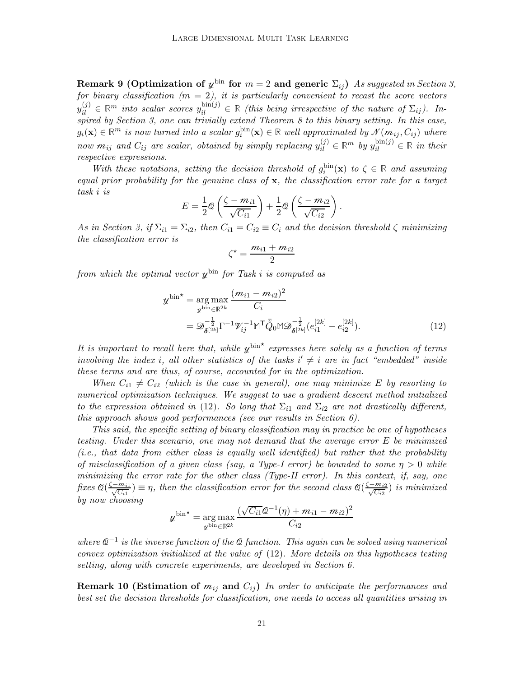Remark 9 (Optimization of  $\psi^{\text{bin}}$  for  $m=2$  and generic  $\Sigma_{ij}$ ) As suggested in Section [3,](#page-9-0) for binary classification  $(m = 2)$ , it is particularly convenient to recast the score vectors  $y_{il}^{(j)} \in \mathbb{R}^m$  into scalar scores  $y_{il}^{\text{bin}(j)} \in \mathbb{R}$  (this being irrespective of the nature of  $\Sigma_{ij}$ ). Inspired by Section [3,](#page-9-0) one can trivially extend Theorem [8](#page-19-0) to this binary setting. In this case,  $g_i(\mathbf{x}) \in \mathbb{R}^m$  is now turned into a scalar  $g_i^{\text{bin}}(\mathbf{x}) \in \mathbb{R}$  well approximated by  $\mathcal{N}(m_{ij}, C_{ij})$  where now  $m_{ij}$  and  $C_{ij}$  are scalar, obtained by simply replacing  $y_{il}^{(j)} \in \mathbb{R}^m$  by  $y_{il}^{\text{bin}(j)} \in \mathbb{R}$  in their respective expressions.

With these notations, setting the decision threshold of  $g_i^{\text{bin}}(\mathbf{x})$  to  $\zeta \in \mathbb{R}$  and assuming equal prior probability for the genuine class of  $x$ , the classification error rate for a target task i is

$$
E = \frac{1}{2}\mathcal{Q}\left(\frac{\zeta - m_{i1}}{\sqrt{C_{i1}}}\right) + \frac{1}{2}\mathcal{Q}\left(\frac{\zeta - m_{i2}}{\sqrt{C_{i2}}}\right).
$$

As in Section [3,](#page-9-0) if  $\Sigma_{i1} = \Sigma_{i2}$ , then  $C_{i1} = C_{i2} \equiv C_i$  and the decision threshold  $\zeta$  minimizing the classification error is

<span id="page-20-0"></span>
$$
\zeta^{\star} = \frac{m_{i1} + m_{i2}}{2}
$$

from which the optimal vector  $y^{\text{bin}}$  for Task i is computed as

$$
\mathcal{U}^{\text{bin}} = \underset{\mathcal{U}^{\text{bin}} \in \mathbb{R}^{2k}}{\arg \max} \frac{(m_{i1} - m_{i2})^2}{C_i}
$$
  
= 
$$
\mathcal{D}_{\delta^{[2k]}}^{-\frac{1}{2}} \Gamma^{-1} \mathcal{V}_{ij}^{-1} \mathbb{M}^{\mathsf{T}} \bar{Q}_0 \mathbb{M} \mathcal{D}_{\delta^{[2k]}}^{-\frac{1}{2}} (e_{i1}^{[2k]} - e_{i2}^{[2k]}).
$$
 (12)

It is important to recall here that, while  $y^{\text{bin}}$  expresses here solely as a function of terms involving the index i, all other statistics of the tasks  $i' \neq i$  are in fact "embedded" inside these terms and are thus, of course, accounted for in the optimization.

When  $C_{i1} \neq C_{i2}$  (which is the case in general), one may minimize E by resorting to numerical optimization techniques. We suggest to use a gradient descent method initialized to the expression obtained in [\(12\)](#page-20-0). So long that  $\Sigma_{i1}$  and  $\Sigma_{i2}$  are not drastically different, this approach shows good performances (see our results in Section [6\)](#page-28-0).

This said, the specific setting of binary classification may in practice be one of hypotheses testing. Under this scenario, one may not demand that the average error E be minimized (i.e., that data from either class is equally well identified) but rather that the probability of misclassification of a given class (say, a Type-I error) be bounded to some  $\eta > 0$  while minimizing the error rate for the other class (Type-II error). In this context, if, say, one fixes  $\mathcal{Q}(\frac{\zeta - m_{i1}}{\sqrt{C_{i1}}}) \equiv \eta$ , then the classification error for the second class  $\mathcal{Q}(\frac{\zeta - m_{i2}}{\sqrt{C_{i2}}})$  is minimized by now choosing

$$
\psi^{\text{bin}} = \arg \max_{\psi^{\text{bin}} \in \mathbb{R}^{2k}} \frac{(\sqrt{C_{i1}} \mathcal{Q}^{-1}(\eta) + m_{i1} - m_{i2})^2}{C_{i2}}
$$

where  $\mathcal{Q}^{-1}$  is the inverse function of the  $\mathcal Q$  function. This again can be solved using numerical convex optimization initialized at the value of [\(12\)](#page-20-0). More details on this hypotheses testing setting, along with concrete experiments, are developed in Section [6.](#page-28-0)

<span id="page-20-1"></span>**Remark 10 (Estimation of**  $m_{ij}$  and  $C_{ij}$ ) In order to anticipate the performances and best set the decision thresholds for classification, one needs to access all quantities arising in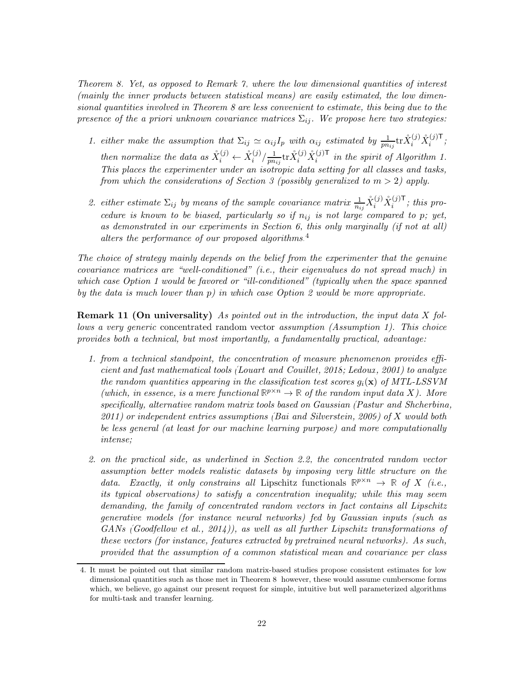Theorem [8.](#page-19-0) Yet, as opposed to Remark [7,](#page-14-0) where the low dimensional quantities of interest (mainly the inner products between statistical means) are easily estimated, the low dimensional quantities involved in Theorem [8](#page-19-0) are less convenient to estimate, this being due to the presence of the a priori unknown covariance matrices  $\Sigma_{ii}$ . We propose here two strategies:

- 1. either make the assumption that  $\Sigma_{ij} \simeq \alpha_{ij} I_p$  with  $\alpha_{ij}$  estimated by  $\frac{1}{p n_{ij}} \text{tr} \mathring{X}_i^{(j)} \mathring{X}_i^{(j)\mathsf{T}}$ ; then normalize the data as  $\mathring{X}_i^{(j)} \leftarrow \mathring{X}_i^{(j)}/\frac{1}{pn}$  $\frac{1}{pn_{ij}}$ tr $\overset{\circ}{X}_{i}^{(j)}\overset{\circ}{X}_{i}^{(j)\mathsf{T}}$  in the spirit of Algorithm [1.](#page-15-0) This places the experimenter under an isotropic data setting for all classes and tasks, from which the considerations of Section [3](#page-9-0) (possibly generalized to  $m > 2$ ) apply.
- 2. either estimate  $\Sigma_{ij}$  by means of the sample covariance matrix  $\frac{1}{n_{ij}}\mathring{X}_i^{(j)}\mathring{X}_i^{(j)}$ ; this procedure is known to be biased, particularly so if  $n_{ij}$  is not large compared to p; yet, as demonstrated in our experiments in Section [6,](#page-28-0) this only marginally (if not at all) alters the performance of our proposed algorithms. $4$

The choice of strategy mainly depends on the belief from the experimenter that the genuine covariance matrices are "well-conditioned" (i.e., their eigenvalues do not spread much) in which case Option 1 would be favored or "ill-conditioned" (typically when the space spanned by the data is much lower than  $p$ ) in which case Option 2 would be more appropriate.

**Remark 11 (On universality)** As pointed out in the introduction, the input data X follows a very generic concentrated random vector assumption (Assumption [1\)](#page-8-0). This choice provides both a technical, but most importantly, a fundamentally practical, advantage:

- 1. from a technical standpoint, the concentration of measure phenomenon provides efficient and fast mathematical tools [\(Louart and Couillet, 2018](#page-51-10); [Ledoux](#page-51-3), [2001\)](#page-51-3) to analyze the random quantities appearing in the classification test scores  $q_i(\mathbf{x})$  of MTL-LSSVM (which, in essence, is a mere functional  $\mathbb{R}^{p \times n} \to \mathbb{R}$  of the random input data X). More specifically, alternative random matrix tools based on Gaussian [\(Pastur and Shcherbina,](#page-52-9)  $2011$ ) or independent entries assumptions [\(Bai and Silverstein, 2009](#page-49-5)) of X would both be less general (at least for our machine learning purpose) and more computationally intense;
- 2. on the practical side, as underlined in Section [2.2,](#page-8-1) the concentrated random vector assumption better models realistic datasets by imposing very little structure on the data. Exactly, it only constrains all Lipschitz functionals  $\mathbb{R}^{p \times n} \to \mathbb{R}$  of X (i.e., its typical observations) to satisfy a concentration inequality; while this may seem demanding, the family of concentrated random vectors in fact contains all Lipschitz generative models (for instance neural networks) fed by Gaussian inputs (such as GANs [\(Goodfellow et al., 2014\)](#page-50-10)), as well as all further Lipschitz transformations of these vectors (for instance, features extracted by pretrained neural networks). As such, provided that the assumption of a common statistical mean and covariance per class

<span id="page-21-0"></span><sup>4.</sup> It must be pointed out that similar random matrix-based studies propose consistent estimates for low dimensional quantities such as those met in Theorem [8;](#page-19-0) however, these would assume cumbersome forms which, we believe, go against our present request for simple, intuitive but well parameterized algorithms for multi-task and transfer learning.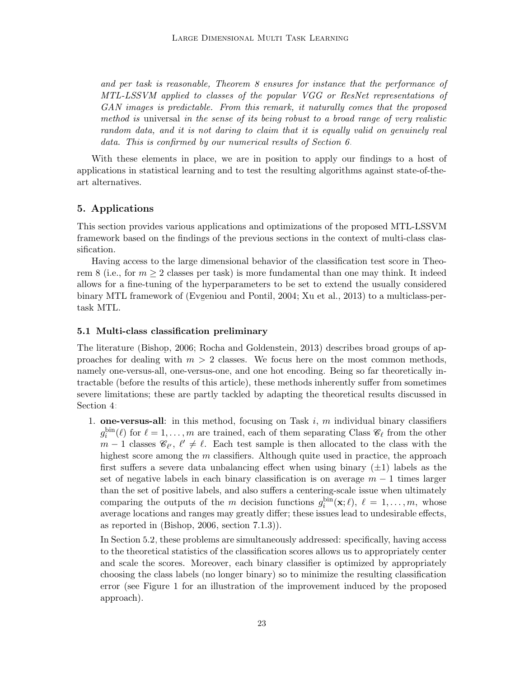and per task is reasonable, Theorem [8](#page-19-0) ensures for instance that the performance of MTL-LSSVM applied to classes of the popular VGG or ResNet representations of GAN images is predictable. From this remark, it naturally comes that the proposed method is universal in the sense of its being robust to a broad range of very realistic random data, and it is not daring to claim that it is equally valid on genuinely real data. This is confirmed by our numerical results of Section [6.](#page-28-0)

With these elements in place, we are in position to apply our findings to a host of applications in statistical learning and to test the resulting algorithms against state-of-theart alternatives.

# <span id="page-22-0"></span>5. Applications

This section provides various applications and optimizations of the proposed MTL-LSSVM framework based on the findings of the previous sections in the context of multi-class classification.

Having access to the large dimensional behavior of the classification test score in Theo-rem [8](#page-19-0) (i.e., for  $m \geq 2$  classes per task) is more fundamental than one may think. It indeed allows for a fine-tuning of the hyperparameters to be set to extend the usually considered binary MTL framework of [\(Evgeniou and Pontil, 2004;](#page-50-5) [Xu et al.](#page-52-1), [2013](#page-52-1)) to a multiclass-pertask MTL.

## 5.1 Multi-class classification preliminary

The literature [\(Bishop, 2006](#page-50-11); [Rocha and Goldenstein](#page-52-10), [2013\)](#page-52-10) describes broad groups of approaches for dealing with  $m > 2$  classes. We focus here on the most common methods, namely one-versus-all, one-versus-one, and one hot encoding. Being so far theoretically intractable (before the results of this article), these methods inherently suffer from sometimes severe limitations; these are partly tackled by adapting the theoretical results discussed in Section [4:](#page-17-0)

1. **one-versus-all**: in this method, focusing on Task i, m individual binary classifiers  $g_i^{\text{bin}}(\ell)$  for  $\ell = 1, \ldots, m$  are trained, each of them separating Class  $\mathscr{C}_{\ell}$  from the other  $m-1$  classes  $\mathscr{C}_{\ell'}, \ell' \neq \ell$ . Each test sample is then allocated to the class with the highest score among the  $m$  classifiers. Although quite used in practice, the approach first suffers a severe data unbalancing effect when using binary  $(\pm 1)$  labels as the set of negative labels in each binary classification is on average  $m - 1$  times larger than the set of positive labels, and also suffers a centering-scale issue when ultimately comparing the outputs of the m decision functions  $g_i^{\text{bin}}(\mathbf{x}; \ell)$ ,  $\ell = 1, \ldots, m$ , whose average locations and ranges may greatly differ; these issues lead to undesirable effects, as reported in [\(Bishop](#page-50-11), [2006](#page-50-11), section 7.1.3)).

In Section [5.2,](#page-23-0) these problems are simultaneously addressed: specifically, having access to the theoretical statistics of the classification scores allows us to appropriately center and scale the scores. Moreover, each binary classifier is optimized by appropriately choosing the class labels (no longer binary) so to minimize the resulting classification error (see Figure [1](#page-26-0) for an illustration of the improvement induced by the proposed approach).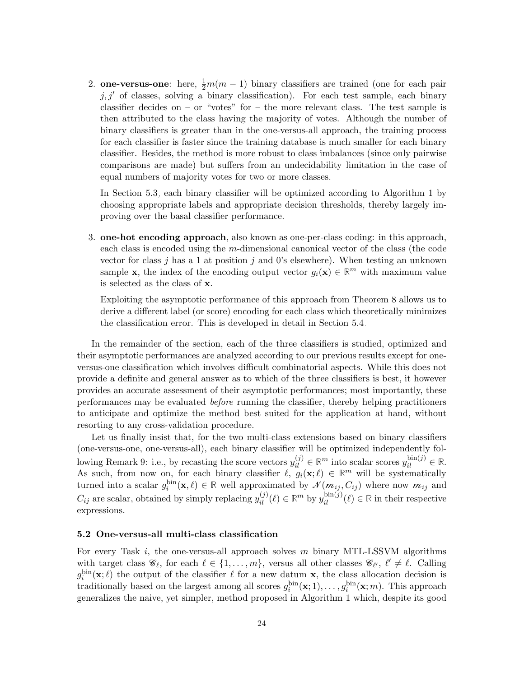2. **one-versus-one**: here,  $\frac{1}{2}m(m-1)$  binary classifiers are trained (one for each pair  $j, j'$  of classes, solving a binary classification). For each test sample, each binary classifier decides on – or "votes" for – the more relevant class. The test sample is then attributed to the class having the majority of votes. Although the number of binary classifiers is greater than in the one-versus-all approach, the training process for each classifier is faster since the training database is much smaller for each binary classifier. Besides, the method is more robust to class imbalances (since only pairwise comparisons are made) but suffers from an undecidability limitation in the case of equal numbers of majority votes for two or more classes.

In Section [5.3,](#page-26-1) each binary classifier will be optimized according to Algorithm [1](#page-15-0) by choosing appropriate labels and appropriate decision thresholds, thereby largely improving over the basal classifier performance.

3. one-hot encoding approach, also known as one-per-class coding: in this approach, each class is encoded using the m-dimensional canonical vector of the class (the code vector for class j has a 1 at position j and 0's elsewhere). When testing an unknown sample **x**, the index of the encoding output vector  $g_i(\mathbf{x}) \in \mathbb{R}^m$  with maximum value is selected as the class of x.

Exploiting the asymptotic performance of this approach from Theorem [8](#page-19-0) allows us to derive a different label (or score) encoding for each class which theoretically minimizes the classification error. This is developed in detail in Section [5.4.](#page-27-0)

In the remainder of the section, each of the three classifiers is studied, optimized and their asymptotic performances are analyzed according to our previous results except for oneversus-one classification which involves difficult combinatorial aspects. While this does not provide a definite and general answer as to which of the three classifiers is best, it however provides an accurate assessment of their asymptotic performances; most importantly, these performances may be evaluated before running the classifier, thereby helping practitioners to anticipate and optimize the method best suited for the application at hand, without resorting to any cross-validation procedure.

Let us finally insist that, for the two multi-class extensions based on binary classifiers (one-versus-one, one-versus-all), each binary classifier will be optimized independently fol-lowing Remark [9:](#page-19-1) i.e., by recasting the score vectors  $y_{il}^{(j)} \in \mathbb{R}^m$  into scalar scores  $y_{il}^{\text{bin}(j)} \in \mathbb{R}$ . As such, from now on, for each binary classifier  $\ell$ ,  $g_i(\mathbf{x}; \ell) \in \mathbb{R}^m$  will be systematically turned into a scalar  $g_i^{\text{bin}}(\mathbf{x}, \ell) \in \mathbb{R}$  well approximated by  $\mathcal{N}(m_{ij}, C_{ij})$  where now  $m_{ij}$  and  $C_{ij}$  are scalar, obtained by simply replacing  $y_{il}^{(j)}(\ell) \in \mathbb{R}^m$  by  $y_{il}^{\text{bin}(j)}(\ell) \in \mathbb{R}$  in their respective expressions.

#### <span id="page-23-0"></span>5.2 One-versus-all multi-class classification

For every Task  $i$ , the one-versus-all approach solves m binary MTL-LSSVM algorithms with target class  $\mathscr{C}_{\ell}$ , for each  $\ell \in \{1, \ldots, m\}$ , versus all other classes  $\mathscr{C}_{\ell'}$ ,  $\ell' \neq \ell$ . Calling  $g_i^{\text{bin}}(\mathbf{x};\ell)$  the output of the classifier  $\ell$  for a new datum **x**, the class allocation decision is traditionally based on the largest among all scores  $g_i^{\text{bin}}(\mathbf{x};1),\ldots,g_i^{\text{bin}}(\mathbf{x};m)$ . This approach generalizes the naive, yet simpler, method proposed in Algorithm [1](#page-15-0) which, despite its good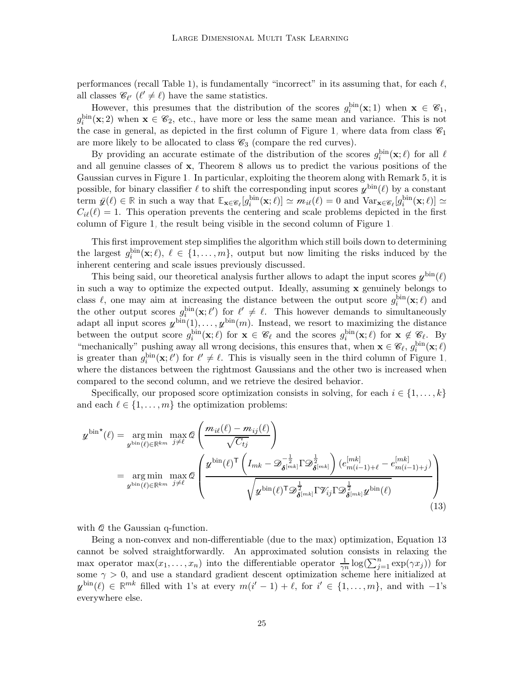performances (recall Table [1\)](#page-17-1), is fundamentally "incorrect" in its assuming that, for each  $\ell$ , all classes  $\mathcal{C}_{\ell'}$  ( $\ell' \neq \ell$ ) have the same statistics.

However, this presumes that the distribution of the scores  $g_i^{\text{bin}}(x;1)$  when  $x \in \mathscr{C}_1$ ,  $g_i^{\text{bin}}(x; 2)$  when  $x \in \mathscr{C}_2$ , etc., have more or less the same mean and variance. This is not the case in general, as depicted in the first column of Figure [1,](#page-26-0) where data from class  $\mathscr{C}_1$ are more likely to be allocated to class  $\mathcal{C}_3$  (compare the red curves).

By providing an accurate estimate of the distribution of the scores  $g_i^{\text{bin}}(\mathbf{x}; \ell)$  for all  $\ell$ and all genuine classes of x, Theorem [8](#page-19-0) allows us to predict the various positions of the Gaussian curves in Figure [1.](#page-26-0) In particular, exploiting the theorem along with Remark [5,](#page-13-1) it is possible, for binary classifier  $\ell$  to shift the corresponding input scores  $\psi^{\text{bin}}(\ell)$  by a constant term  $\bar{y}(\ell) \in \mathbb{R}$  in such a way that  $\mathbb{E}_{\mathbf{x} \in \mathscr{C}_{\ell}}[g_i^{\text{bin}}(\mathbf{x}; \ell)] \simeq m_i(\ell) = 0$  and  $\text{Var}_{\mathbf{x} \in \mathscr{C}_{\ell}}[g_i^{\text{bin}}(\mathbf{x}; \ell)] \simeq$  $C_{i\ell}(\ell) = 1$ . This operation prevents the centering and scale problems depicted in the first column of Figure [1,](#page-26-0) the result being visible in the second column of Figure [1.](#page-26-0)

This first improvement step simplifies the algorithm which still boils down to determining the largest  $g_i^{\text{bin}}(\mathbf{x}; \ell), \ell \in \{1, ..., m\}$ , output but now limiting the risks induced by the inherent centering and scale issues previously discussed.

This being said, our theoretical analysis further allows to adapt the input scores  $y^{\text{bin}}(\ell)$ in such a way to optimize the expected output. Ideally, assuming x genuinely belongs to class  $\ell$ , one may aim at increasing the distance between the output score  $g_i^{\text{bin}}(\mathbf{x};\ell)$  and the other output scores  $g_i^{\text{bin}}(\mathbf{x}; \ell')$  for  $\ell' \neq \ell$ . This however demands to simultaneously adapt all input scores  $y^{\text{bin}}(1), \ldots, y^{\text{bin}}(m)$ . Instead, we resort to maximizing the distance between the output score  $g_i^{\text{bin}}(\mathbf{x}; \ell)$  for  $\mathbf{x} \in \mathscr{C}_{\ell}$  and the scores  $g_i^{\text{bin}}(\mathbf{x}; \ell)$  for  $\mathbf{x} \notin \mathscr{C}_{\ell}$ . By "mechanically" pushing away all wrong decisions, this ensures that, when  $\mathbf{x} \in \mathscr{C}_{\ell}$ ,  $g_i^{\text{bin}}(\mathbf{x}; \ell)$ is greater than  $g_i^{\text{bin}}(\mathbf{x}; \ell')$  for  $\ell' \neq \ell$ . This is visually seen in the third column of Figure [1,](#page-26-0) where the distances between the rightmost Gaussians and the other two is increased when compared to the second column, and we retrieve the desired behavior.

Specifically, our proposed score optimization consists in solving, for each  $i \in \{1, \ldots, k\}$ and each  $\ell \in \{1, \ldots, m\}$  the optimization problems:

$$
\mathcal{U}^{\text{bin}}(\ell) = \underset{\mathcal{U}^{\text{bin}}(\ell) \in \mathbb{R}^{km}}{\arg \min} \max_{j \neq \ell} \mathcal{Q} \left( \frac{m_{i\ell}(\ell) - m_{ij}(\ell)}{\sqrt{C_{tj}}} \right)
$$
\n
$$
= \underset{\mathcal{U}^{\text{bin}}(\ell) \in \mathbb{R}^{km}}{\arg \min} \max_{j \neq \ell} \mathcal{Q} \left( \frac{\mathcal{U}^{\text{bin}}(\ell)^{\mathsf{T}} \left( I_{mk} - \mathcal{D}_{\delta^{[mk]}}^{-\frac{1}{2}} \Gamma \mathcal{D}_{\delta^{[mk]}}^{\frac{1}{2}} \right) (e_{m(i-1)+\ell}^{[mk]} - e_{m(i-1)+j}^{[mk]})}{\sqrt{\mathcal{U}^{\text{bin}}(\ell)^{\mathsf{T}} \mathcal{D}_{\delta^{[mk]}}^{\frac{1}{2}} \Gamma \mathcal{V}_{ij} \Gamma \mathcal{D}_{\delta^{[mk]}}^{\frac{1}{2}} \mathcal{U}^{\text{bin}}(\ell)} \right) \tag{13}
$$

<span id="page-24-0"></span>with  $Q$  the Gaussian q-function.

Being a non-convex and non-differentiable (due to the max) optimization, Equation [13](#page-24-0) cannot be solved straightforwardly. An approximated solution consists in relaxing the max operator  $\max(x_1,\ldots,x_n)$  into the differentiable operator  $\frac{1}{\gamma n} \log(\sum_{j=1}^n \exp(\gamma x_j))$  for some  $\gamma > 0$ , and use a standard gradient descent optimization scheme here initialized at  $y^{\text{bin}}(\ell) \in \mathbb{R}^{mk}$  filled with 1's at every  $m(i'-1) + \ell$ , for  $i' \in \{1, ..., m\}$ , and with  $-1$ 's everywhere else.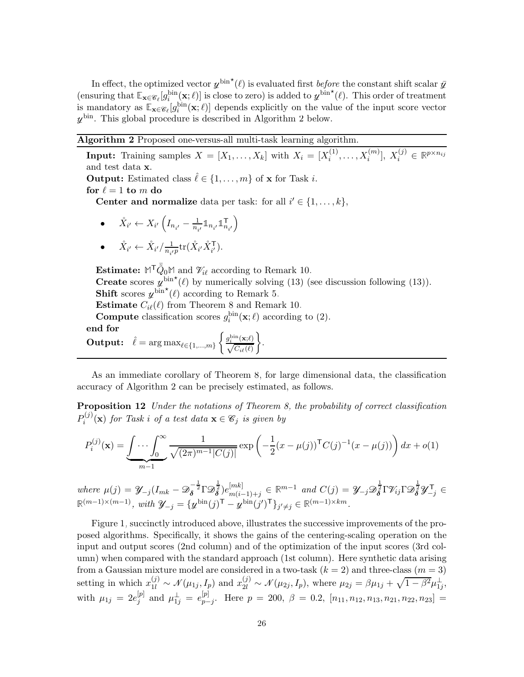In effect, the optimized vector  $y^{\text{bin}}(\ell)$  is evaluated first *before* the constant shift scalar  $\bar{y}$ (ensuring that  $\mathbb{E}_{\mathbf{x} \in \mathscr{C}_\ell}[g_i^{\text{bin}}(\mathbf{x}; \ell)]$  is close to zero) is added to  $\psi^{\text{bin}}(\ell)$ . This order of treatment is mandatory as  $\mathbb{E}_{\mathbf{x} \in \mathscr{C}_{\ell}}[g_i^{\text{bin}}(\mathbf{x}; \ell)]$  depends explicitly on the value of the input score vector  $y^{\text{bin}}$ . This global procedure is described in Algorithm [2](#page-25-0) below.

# <span id="page-25-0"></span>Algorithm 2 Proposed one-versus-all multi-task learning algorithm.

**Input:** Training samples  $X = [X_1, \ldots, X_k]$  with  $X_i = [X_i^{(1)}]$  $[X_i^{(1)},...,X_i^{(m)}], X_i^{(j)} \in \mathbb{R}^{p \times n_{ij}}$ and test data x. **Output:** Estimated class  $\hat{\ell} \in \{1, ..., m\}$  of **x** for Task *i*. for  $\ell = 1$  to m do

**Center and normalize** data per task: for all  $i' \in \{1, \ldots, k\}$ ,

 $\bullet$   $\overset{\circ}{X}_{i'} \leftarrow X_{i'} \left( I_{n_{i'}} - \frac{1}{n_i} \right)$  $\frac{1}{n_{i'}} \mathbb{1}_{n_{i'}} \mathbb{1}_n^{\mathsf{T}}$  $\mathsf{T}_{n_{i'}}\Big)$ 

• 
$$
\mathring{X}_{i'} \leftarrow \mathring{X}_{i'} / \frac{1}{n_{i'}p} tr(\mathring{X}_{i'} \mathring{X}_{i'}^{\mathsf{T}}).
$$

**Estimate:**  $M^{\mathsf{T}} \tilde{Q}_0 M$  and  $\mathcal{V}_{i\ell}$  according to Remark [10.](#page-20-1) **Create** scores  $\psi^{\text{bin}}(\ell)$  by numerically solving [\(13\)](#page-24-0) (see discussion following (13)). **Shift** scores  $\psi^{\text{bin}}(\ell)$  according to Remark [5.](#page-13-1)

<span id="page-25-1"></span>**Estimate**  $C_{i\ell}(\ell)$  from Theorem [8](#page-19-0) and Remark [10.](#page-20-1)

**Compute** classification scores  $g_i^{\text{bin}}(\mathbf{x}; \ell)$  according to [\(2\)](#page-7-1). end for

**Output:** 
$$
\hat{\ell} = \arg \max_{\ell \in \{1, ..., m\}} \left\{ \frac{g_i^{\text{bin}}(\mathbf{x}; \ell)}{\sqrt{C_{i\ell}(\ell)}} \right\}.
$$

As an immediate corollary of Theorem [8,](#page-19-0) for large dimensional data, the classification accuracy of Algorithm [2](#page-25-0) can be precisely estimated, as follows.

Proposition 12 Under the notations of Theorem [8,](#page-19-0) the probability of correct classification  $P_i^{(j)}$  $i_j^{(J)}(\mathbf{x})$  for Task i of a test data  $\mathbf{x} \in \mathscr{C}_j$  is given by

$$
P_i^{(j)}(\mathbf{x}) = \underbrace{\int \cdots \int_0^\infty}_{m-1} \frac{1}{\sqrt{(2\pi)^{m-1} |C(j)|}} \exp\left(-\frac{1}{2}(x-\mu(j))^{\mathsf{T}} C(j)^{-1}(x-\mu(j))\right) dx + o(1)
$$

where  $\mu(j) = \mathcal{Y}_{-j}(I_{mk} - \mathcal{D}_{\delta}^{-\frac{1}{2}} \Gamma \mathcal{D}_{\delta}^{\frac{1}{2}}) e_{m(i}^{[mk]}$  $\begin{aligned} {}^{[mk]}_{m(i-1)+j} \in \mathbb{R}^{m-1} \text{ and } C(j) = \mathcal{Y}_{-j} \mathcal{D}_{\delta}^{\frac{1}{2}} \Gamma \mathcal{V}_{ij} \Gamma \mathcal{D}_{\delta}^{\frac{1}{2}} \mathcal{Y}_{-j}^{\mathsf{T}} \in \mathcal{Y}_{-j} \end{aligned}$  $\mathbb{R}^{(m-1)\times(m-1)}$ , with  $\mathcal{Y}_{-j} = {\{\mathcal{y}^{\text{bin}}(j)^{\mathsf{T}} - \mathcal{y}^{\text{bin}}(j')^{\mathsf{T}}\}_{j'\neq j} \in \mathbb{R}^{(m-1)\times km}}$ .

Figure [1,](#page-26-0) succinctly introduced above, illustrates the successive improvements of the proposed algorithms. Specifically, it shows the gains of the centering-scaling operation on the input and output scores (2nd column) and of the optimization of the input scores (3rd column) when compared with the standard approach (1st column). Here synthetic data arising from a Gaussian mixture model are considered in a two-task  $(k = 2)$  and three-class  $(m = 3)$ setting in which  $x_{1l}^{(j)} \sim \mathcal{N}(\mu_{1j}, I_p)$  and  $x_{2l}^{(j)} \sim \mathcal{N}(\mu_{2j}, I_p)$ , where  $\mu_{2j} = \beta \mu_{1j} + \sqrt{1 - \beta^2} \mu_{1j}^{\perp}$ , with  $\mu_{1j} = 2e^{[p]}_j$  $_{j}^{[p]}$  and  $\mu_{1j}^{\perp} = e_{p-1}^{[p]}$  $p_{p-j}^{[p]}$ . Here  $p = 200, \ \beta = 0.2, \ [n_{11}, n_{12}, n_{13}, n_{21}, n_{22}, n_{23}] =$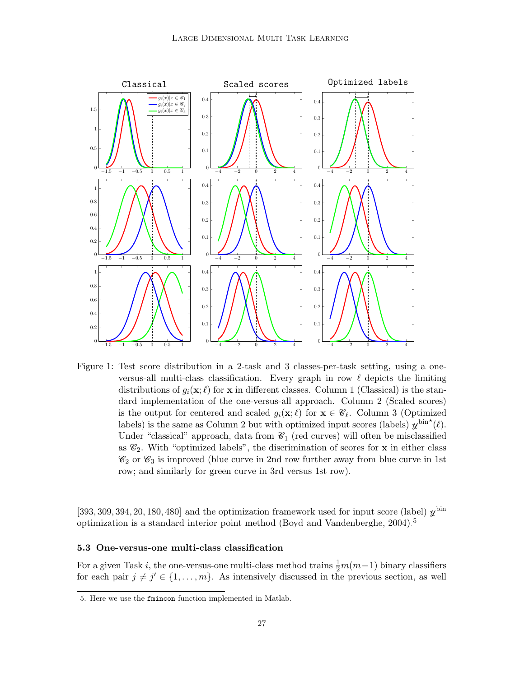

<span id="page-26-0"></span>Figure 1: Test score distribution in a 2-task and 3 classes-per-task setting, using a oneversus-all multi-class classification. Every graph in row  $\ell$  depicts the limiting distributions of  $g_i(\mathbf{x}; \ell)$  for x in different classes. Column 1 (Classical) is the standard implementation of the one-versus-all approach. Column 2 (Scaled scores) is the output for centered and scaled  $g_i(\mathbf{x}; \ell)$  for  $\mathbf{x} \in \mathscr{C}_{\ell}$ . Column 3 (Optimized labels) is the same as Column 2 but with optimized input scores (labels)  $y^{\text{bin}}(\ell)$ . Under "classical" approach, data from  $\mathcal{C}_1$  (red curves) will often be misclassified as  $\mathcal{C}_2$ . With "optimized labels", the discrimination of scores for **x** in either class  $\mathcal{C}_2$  or  $\mathcal{C}_3$  is improved (blue curve in 2nd row further away from blue curve in 1st row; and similarly for green curve in 3rd versus 1st row).

[393, 309, 394, 20, 180, 480] and the optimization framework used for input score (label)  $\chi^{\text{bin}}$ optimization is a standard interior point method [\(Boyd and Vandenberghe](#page-50-12), [2004](#page-50-12)).[5](#page-26-2)

#### <span id="page-26-1"></span>5.3 One-versus-one multi-class classification

For a given Task *i*, the one-versus-one multi-class method trains  $\frac{1}{2}m(m-1)$  binary classifiers for each pair  $j \neq j' \in \{1, \ldots, m\}$ . As intensively discussed in the previous section, as well

<span id="page-26-2"></span><sup>5.</sup> Here we use the fmincon function implemented in Matlab.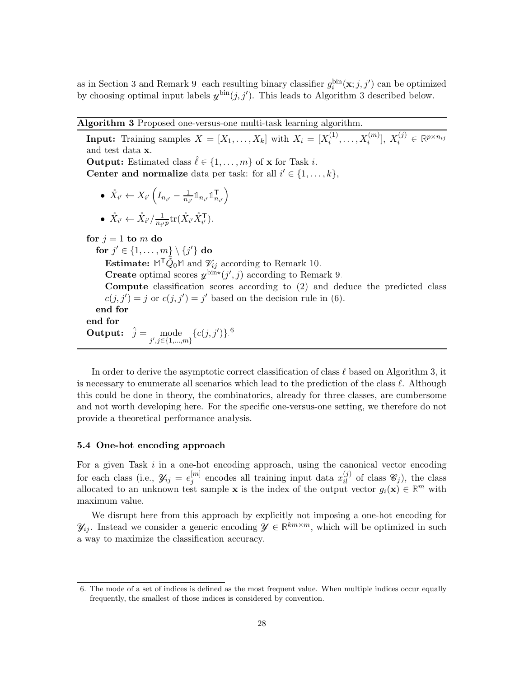as in Section [3](#page-9-0) and Remark [9,](#page-19-1) each resulting binary classifier  $g_i^{\text{bin}}(x;j,j')$  can be optimized by choosing optimal input labels  $y^{\text{bin}}(j, j')$ . This leads to Algorithm [3](#page-27-1) described below.

# <span id="page-27-1"></span>Algorithm 3 Proposed one-versus-one multi-task learning algorithm.

**Input:** Training samples  $X = [X_1, \ldots, X_k]$  with  $X_i = [X_i^{(1)}]$  $X_i^{(1)}, \ldots, X_i^{(m)}], X_i^{(j)} \in \mathbb{R}^{p \times n_{ij}}$ and test data x. **Output:** Estimated class  $\hat{\ell} \in \{1, ..., m\}$  of **x** for Task *i*. **Center and normalize** data per task: for all  $i' \in \{1, ..., k\}$ ,  $\bullet~~ \mathring{X}_{i'} \leftarrow X_{i'}\left(I_{n_{i'}}-\frac{1}{n_{i'}}\right)$  $\frac{1}{n_{i'}} \mathbb{1}_{n_{i'}} \mathbb{1}_n^{\mathsf{T}}$  $\mathsf{T}_{n_{i'}}\Big)$  $\bullet~~ \mathring{X}_{i'} \leftarrow \mathring{X}_{i'} / \frac{1}{n_{i'}}$  $\frac{1}{n_{i'}p}$ tr $(\mathring{X}_{i'}\mathring{X}_{i'}^{\mathsf{T}})$ . for  $j = 1$  to m do for  $j'\in\{1,\ldots,m\}\setminus\{j'\}$  do **Estimate:**  $M^{\mathsf{T}}\tilde{\bar{Q}}_0 M$  and  $\mathcal{V}_{ij}$  according to Remark [10.](#page-20-1) **Create** optimal scores  $y^{\text{bin}{*}}(j',j)$  according to Remark [9.](#page-19-1) Compute classification scores according to [\(2\)](#page-7-1) and deduce the predicted class  $c(j, j') = j$  or  $c(j, j') = j'$  based on the decision rule in [\(6\)](#page-12-2). end for end for **Output:**  $\hat{j} = \text{mode} \{c(j, j')\}$ .<sup>[6](#page-27-2)</sup><br> $j', j \in \{1, ..., m\}$ 

In order to derive the asymptotic correct classification of class  $\ell$  based on Algorithm [3,](#page-27-1) it is necessary to enumerate all scenarios which lead to the prediction of the class  $\ell$ . Although this could be done in theory, the combinatorics, already for three classes, are cumbersome and not worth developing here. For the specific one-versus-one setting, we therefore do not provide a theoretical performance analysis.

## <span id="page-27-0"></span>5.4 One-hot encoding approach

For a given Task  $i$  in a one-hot encoding approach, using the canonical vector encoding for each class (i.e.,  $\mathscr{Y}_{ij} = e_i^{[m]}$  $j^{[m]}$  encodes all training input data  $x_{il}^{(j)}$  of class  $\mathscr{C}_j$ ), the class allocated to an unknown test sample **x** is the index of the output vector  $g_i(\mathbf{x}) \in \mathbb{R}^m$  with maximum value.

<span id="page-27-3"></span>We disrupt here from this approach by explicitly not imposing a one-hot encoding for  $\mathcal{Y}_{ij}$ . Instead we consider a generic encoding  $\mathcal{Y} \in \mathbb{R}^{km \times m}$ , which will be optimized in such a way to maximize the classification accuracy.

<span id="page-27-2"></span><sup>6.</sup> The mode of a set of indices is defined as the most frequent value. When multiple indices occur equally frequently, the smallest of those indices is considered by convention.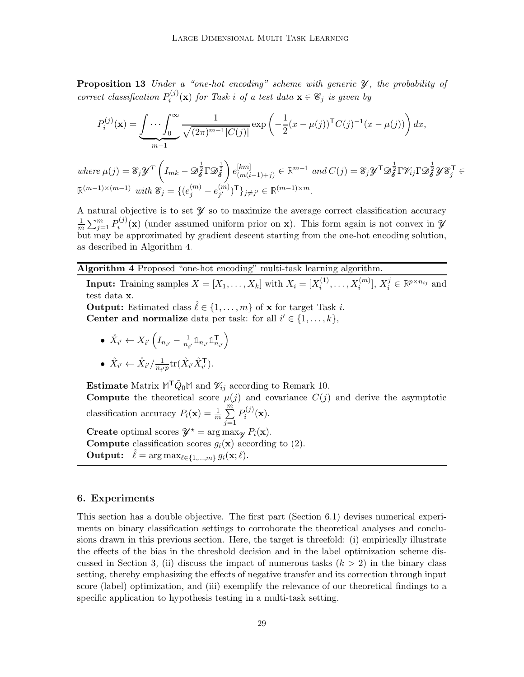**Proposition 13** Under a "one-hot encoding" scheme with generic  $\mathcal{Y}$ , the probability of correct classification  $P_i^{(j)}$  $i_j^{(J)}(\mathbf{x})$  for Task i of a test data  $\mathbf{x} \in \mathscr{C}_j$  is given by

$$
P_i^{(j)}(\mathbf{x}) = \underbrace{\int \cdots \int_0^\infty}_{m-1} \frac{1}{\sqrt{(2\pi)^{m-1} |C(j)|}} \exp\left(-\frac{1}{2}(x-\mu(j))^{\mathsf{T}} C(j)^{-1}(x-\mu(j))\right) dx,
$$

where  $\mu(j) = \mathcal{E}_j \mathcal{Y}^T\left($  $I_{mk}-\mathscr{D}_{\bm{\delta}}^{\frac{1}{2}}\Gamma\mathscr{D}_{\bm{\delta}}^{\frac{1}{2}}$  $\setminus$  $e^{[km]}_{(m(i))}$  $\binom{[km]}{(m(i-1)+j)} \in \mathbb{R}^{m-1}$  and  $C(j) = \mathcal{E}_j \mathcal{Y}^\mathsf{T} \mathcal{D}_{\boldsymbol{\delta}}^{\frac{1}{2}} \Gamma \mathcal{V}_{ij} \Gamma \mathcal{D}_{\boldsymbol{\delta}}^{\frac{1}{2}} \mathcal{Y} \mathcal{E}_j^\mathsf{T} \in$  $\mathbb{R}^{(m-1)\times(m-1)}$  with  $\mathscr{E}_j = \{ (e_j^{(m)} - e_{j'}^{(m)} \})$  ${m \choose j'}$ <sup>T</sup>}<sub>j≠j'</sub> ∈ ℝ<sup>(m-1)×m</sup>.

A natural objective is to set  $\mathcal Y$  so to maximize the average correct classification accuracy 1  $\frac{1}{m}\sum_{j=1}^{m}P_{i}^{(j)}$  $i^{(J)}(\mathbf{x})$  (under assumed uniform prior on **x**). This form again is not convex in  $\mathcal{Y}$  $\overline{m}$  but may be approximated by gradient descent starting from the one-hot encoding solution, as described in Algorithm [4.](#page-28-1)

# <span id="page-28-1"></span>Algorithm 4 Proposed "one-hot encoding" multi-task learning algorithm.

**Input:** Training samples  $X = [X_1, \ldots, X_k]$  with  $X_i = [X_i^{(1)}]$  $[X_i^{(1)},...,X_i^{(m)}], X_i^j \in \mathbb{R}^{p \times n_{ij}}$  and test data x.

**Output:** Estimated class  $\hat{\ell} \in \{1, ..., m\}$  of **x** for target Task *i*. **Center and normalize** data per task: for all  $i' \in \{1, ..., k\}$ ,

 $\bullet \ \ \mathring{X}_{i'} \leftarrow X_{i'}\left(I_{n_{i'}}-\frac{1}{n_{i}}\right)$  $\frac{1}{n_{i'}} \mathbb{1}_{n_{i'}} \mathbb{1}_n^{\mathsf{T}}$  $\mathsf{T}_{n_{i'}}\Big)$  $\bullet~~ \mathring{X}_{i'} \leftarrow \mathring{X}_{i'} / \frac{1}{n_{i'}}$  $\frac{1}{n_{i'}p}$ tr $(\mathring{X}_{i'}\mathring{X}_{i'}^{\mathsf{T}})$ .

**Estimate** Matrix  $M^{\mathsf{T}}\tilde{Q}_0 M$  and  $\mathcal{V}_{ij}$  according to Remark [10.](#page-20-1) **Compute** the theoretical score  $\mu(j)$  and covariance  $C(j)$  and derive the asymptotic classification accuracy  $P_i(\mathbf{x}) = \frac{1}{m} \sum_{i=1}^{m}$  $j=1$  $P_i^{(j)}$  $\mathbf{a}_{i}^{(J)}(\mathbf{x}).$ **Create** optimal scores  $\mathcal{Y}^* = \arg \max_{\mathcal{U}} P_i(\mathbf{x}).$ **Compute** classification scores  $q_i(\mathbf{x})$  according to [\(2\)](#page-7-1). **Output:**  $\hat{\ell} = \arg \max_{\ell \in \{1, ..., m\}} g_i(\mathbf{x}; \ell).$ 

# <span id="page-28-0"></span>6. Experiments

This section has a double objective. The first part (Section [6.1\)](#page-29-0) devises numerical experiments on binary classification settings to corroborate the theoretical analyses and conclusions drawn in this previous section. Here, the target is threefold: (i) empirically illustrate the effects of the bias in the threshold decision and in the label optimization scheme dis-cussed in Section [3,](#page-9-0) (ii) discuss the impact of numerous tasks  $(k > 2)$  in the binary class setting, thereby emphasizing the effects of negative transfer and its correction through input score (label) optimization, and (iii) exemplify the relevance of our theoretical findings to a specific application to hypothesis testing in a multi-task setting.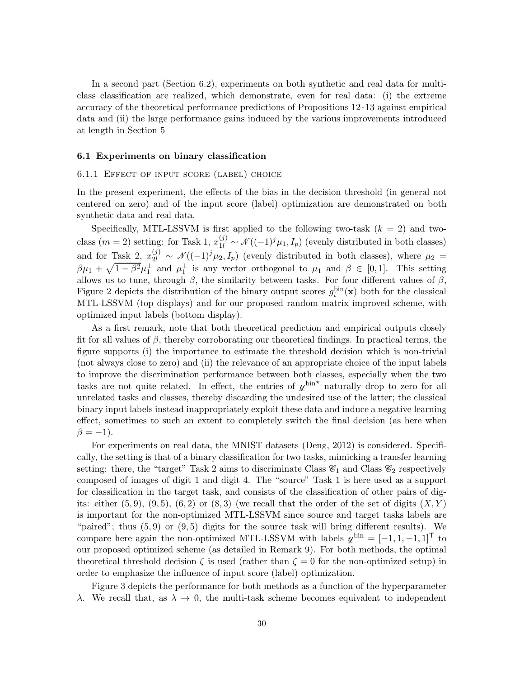In a second part (Section [6.2\)](#page-34-0), experiments on both synthetic and real data for multiclass classification are realized, which demonstrate, even for real data: (i) the extreme accuracy of the theoretical performance predictions of Propositions [12–](#page-25-1)[13](#page-27-3) against empirical data and (ii) the large performance gains induced by the various improvements introduced at length in Section [5.](#page-22-0)

#### <span id="page-29-0"></span>6.1 Experiments on binary classification

# 6.1.1 Effect of input score (label) choice

In the present experiment, the effects of the bias in the decision threshold (in general not centered on zero) and of the input score (label) optimization are demonstrated on both synthetic data and real data.

Specifically, MTL-LSSVM is first applied to the following two-task  $(k = 2)$  and twoclass  $(m = 2)$  setting: for Task 1,  $x_{1l}^{(j)} \sim \mathcal{N}((-1)^j \mu_1, I_p)$  (evenly distributed in both classes) and for Task 2,  $x_{2l}^{(j)} \sim \mathcal{N}((-1)^j \mu_2, I_p)$  (evenly distributed in both classes), where  $\mu_2 =$  $\beta\mu_1 + \sqrt{1-\beta^2}\mu_1^{\perp}$  and  $\mu_1^{\perp}$  is any vector orthogonal to  $\mu_1$  and  $\beta \in [0,1]$ . This setting allows us to tune, through  $\beta$ , the similarity between tasks. For four different values of  $\beta$ , Figure [2](#page-30-0) depicts the distribution of the binary output scores  $g_i^{\text{bin}}(\mathbf{x})$  both for the classical MTL-LSSVM (top displays) and for our proposed random matrix improved scheme, with optimized input labels (bottom display).

As a first remark, note that both theoretical prediction and empirical outputs closely fit for all values of  $\beta$ , thereby corroborating our theoretical findings. In practical terms, the figure supports (i) the importance to estimate the threshold decision which is non-trivial (not always close to zero) and (ii) the relevance of an appropriate choice of the input labels to improve the discrimination performance between both classes, especially when the two tasks are not quite related. In effect, the entries of  $y^{\text{bin}}$  naturally drop to zero for all unrelated tasks and classes, thereby discarding the undesired use of the latter; the classical binary input labels instead inappropriately exploit these data and induce a negative learning effect, sometimes to such an extent to completely switch the final decision (as here when  $\beta = -1$ ).

For experiments on real data, the MNIST datasets [\(Deng, 2012](#page-50-13)) is considered. Specifically, the setting is that of a binary classification for two tasks, mimicking a transfer learning setting: there, the "target" Task 2 aims to discriminate Class  $\mathcal{C}_1$  and Class  $\mathcal{C}_2$  respectively composed of images of digit 1 and digit 4. The "source" Task 1 is here used as a support for classification in the target task, and consists of the classification of other pairs of digits: either  $(5, 9)$ ,  $(9, 5)$ ,  $(6, 2)$  or  $(8, 3)$  (we recall that the order of the set of digits  $(X, Y)$ is important for the non-optimized MTL-LSSVM since source and target tasks labels are "paired"; thus  $(5, 9)$  or  $(9, 5)$  digits for the source task will bring different results). We compare here again the non-optimized MTL-LSSVM with labels  $\chi^{\text{bin}} = [-1, 1, -1, 1]^{\text{T}}$  to our proposed optimized scheme (as detailed in Remark [9\)](#page-19-1). For both methods, the optimal theoretical threshold decision  $\zeta$  is used (rather than  $\zeta = 0$  for the non-optimized setup) in order to emphasize the influence of input score (label) optimization.

Figure [3](#page-31-0) depicts the performance for both methods as a function of the hyperparameter λ. We recall that, as λ → 0, the multi-task scheme becomes equivalent to independent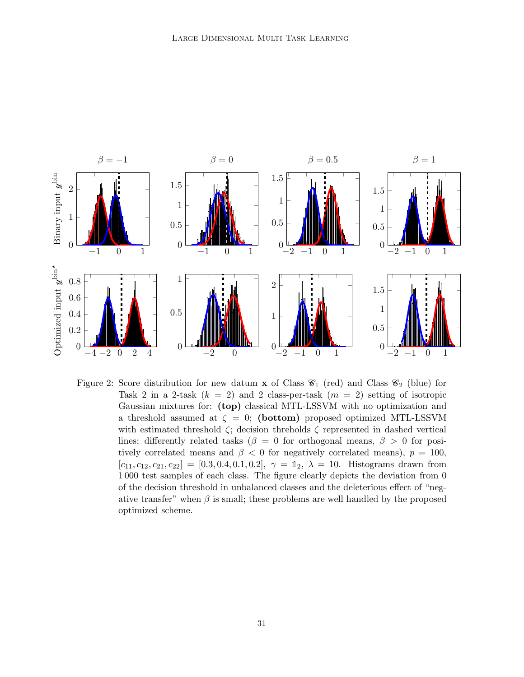

<span id="page-30-0"></span>Figure 2: Score distribution for new datum **x** of Class  $\mathcal{C}_1$  (red) and Class  $\mathcal{C}_2$  (blue) for Task 2 in a 2-task  $(k = 2)$  and 2 class-per-task  $(m = 2)$  setting of isotropic Gaussian mixtures for: (top) classical MTL-LSSVM with no optimization and a threshold assumed at  $\zeta = 0$ ; (bottom) proposed optimized MTL-LSSVM with estimated threshold  $\zeta$ ; decision threholds  $\zeta$  represented in dashed vertical lines; differently related tasks ( $\beta = 0$  for orthogonal means,  $\beta > 0$  for positively correlated means and  $\beta$  < 0 for negatively correlated means),  $p = 100$ ,  $[c_{11}, c_{12}, c_{21}, c_{22}] = [0.3, 0.4, 0.1, 0.2], \gamma = \mathbb{1}_2, \lambda = 10.$  Histograms drawn from 1 000 test samples of each class. The figure clearly depicts the deviation from 0 of the decision threshold in unbalanced classes and the deleterious effect of "negative transfer" when  $\beta$  is small; these problems are well handled by the proposed optimized scheme.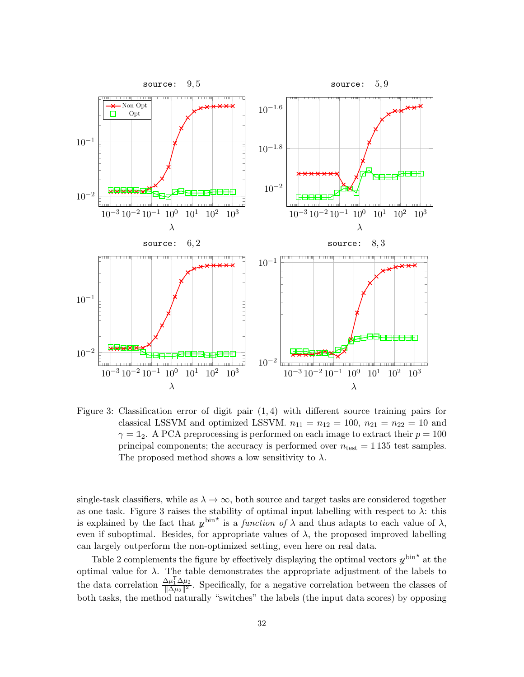

<span id="page-31-0"></span>Figure 3: Classification error of digit pair (1, 4) with different source training pairs for classical LSSVM and optimized LSSVM.  $n_{11} = n_{12} = 100$ ,  $n_{21} = n_{22} = 10$  and  $\gamma = \mathbb{1}_2$ . A PCA preprocessing is performed on each image to extract their  $p = 100$ principal components; the accuracy is performed over  $n_{\text{test}} = 1135$  test samples. The proposed method shows a low sensitivity to  $\lambda$ .

single-task classifiers, while as  $\lambda \to \infty$ , both source and target tasks are considered together as one task. Figure [3](#page-31-0) raises the stability of optimal input labelling with respect to  $\lambda$ : this is explained by the fact that  $y^{\text{bin}}$  is a *function of*  $\lambda$  and thus adapts to each value of  $\lambda$ , even if suboptimal. Besides, for appropriate values of  $\lambda$ , the proposed improved labelling can largely outperform the non-optimized setting, even here on real data.

Table [2](#page-32-0) complements the figure by effectively displaying the optimal vectors  $y^{\text{bin}}$  at the optimal value for  $\lambda$ . The table demonstrates the appropriate adjustment of the labels to the data correlation  $\frac{\Delta \mu_1^{\mathrm{T}} \Delta \mu_2}{\|\Delta \mu_2\|^2}$  $\frac{\Delta\mu_1 \Delta\mu_2}{\|\Delta\mu_2\|^2}$ . Specifically, for a negative correlation between the classes of both tasks, the method naturally "switches" the labels (the input data scores) by opposing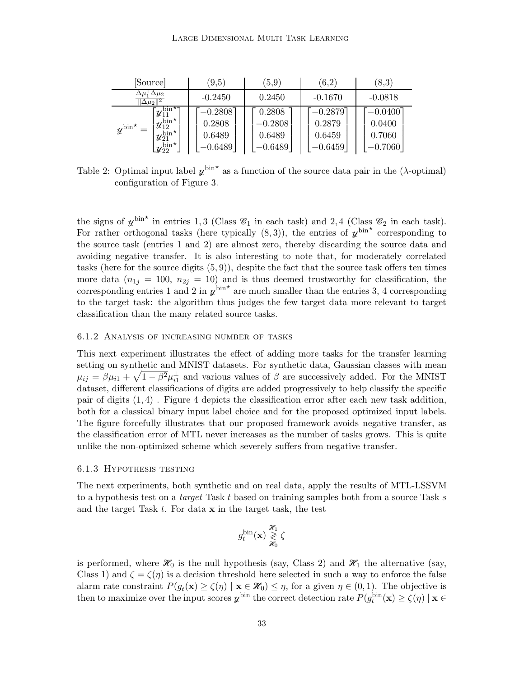| [Source]                                                                                                                                                                           | (9,5)                                        | (5.9)                                      | (6,2)                                      | (8,3)                                     |  |
|------------------------------------------------------------------------------------------------------------------------------------------------------------------------------------|----------------------------------------------|--------------------------------------------|--------------------------------------------|-------------------------------------------|--|
| $\Delta \mu_1 \, \Delta \mu_2$<br>$\Delta \mu_2$                                                                                                                                   | $-0.2450$                                    | 0.2450                                     | $-0.1670$                                  | $-0.0818$                                 |  |
| $1\overline{y}_{11}^{\overline{\text{bin}}\star}$<br>$y_{12}^{\overline{\text{bin}}\star}$<br>$y^{\text{bin}}$<br>,bin*<br>$y_{21}$<br>$\mathcal{L} \nu_{22}^{\mathrm{bin} \star}$ | $-0.2808$ ]<br>0.2808<br>0.6489<br>$-0.6489$ | 0.2808<br>$-0.2808$<br>0.6489<br>$-0.6489$ | $-0.2879$<br>0.2879<br>0.6459<br>$-0.6459$ | $-0.0400$ ]<br>0.0400<br>0.7060<br>0.7060 |  |

<span id="page-32-0"></span>Table 2: Optimal input label  $\psi^{\text{bin}}$  as a function of the source data pair in the ( $\lambda$ -optimal) configuration of Figure [3.](#page-31-0)

the signs of  $y^{\text{bin}}$  in entries 1, 3 (Class  $\mathscr{C}_1$  in each task) and 2, 4 (Class  $\mathscr{C}_2$  in each task). For rather orthogonal tasks (here typically  $(8,3)$ ), the entries of  $\psi^{\text{bin}}$  corresponding to the source task (entries 1 and 2) are almost zero, thereby discarding the source data and avoiding negative transfer. It is also interesting to note that, for moderately correlated tasks (here for the source digits  $(5, 9)$ ), despite the fact that the source task offers ten times more data  $(n_{1j} = 100, n_{2j} = 10)$  and is thus deemed trustworthy for classification, the corresponding entries 1 and 2 in  $\chi^{bin*}$  are much smaller than the entries 3, 4 corresponding to the target task: the algorithm thus judges the few target data more relevant to target classification than the many related source tasks.

### 6.1.2 Analysis of increasing number of tasks

This next experiment illustrates the effect of adding more tasks for the transfer learning setting on synthetic and MNIST datasets. For synthetic data, Gaussian classes with mean  $\mu_{ij} = \beta \mu_{i1} + \sqrt{1 - \beta^2} \mu_{i1}^{\perp}$  and various values of  $\beta$  are successively added. For the MNIST dataset, different classifications of digits are added progressively to help classify the specific pair of digits (1, 4) . Figure [4](#page-33-0) depicts the classification error after each new task addition, both for a classical binary input label choice and for the proposed optimized input labels. The figure forcefully illustrates that our proposed framework avoids negative transfer, as the classification error of MTL never increases as the number of tasks grows. This is quite unlike the non-optimized scheme which severely suffers from negative transfer.

#### 6.1.3 Hypothesis testing

The next experiments, both synthetic and on real data, apply the results of MTL-LSSVM to a hypothesis test on a *target* Task  $t$  based on training samples both from a source Task  $s$ and the target Task  $t$ . For data  $x$  in the target task, the test

$$
g_t^{\rm bin}(\mathbf{x}) \underset{\mathcal{H}_0}{\overset{\mathcal{H}_1}{\gtrless}} \zeta
$$

is performed, where  $\mathcal{H}_0$  is the null hypothesis (say, Class 2) and  $\mathcal{H}_1$  the alternative (say, Class 1) and  $\zeta = \zeta(\eta)$  is a decision threshold here selected in such a way to enforce the false alarm rate constraint  $P(g_t(\mathbf{x}) \ge \zeta(\eta) \mid \mathbf{x} \in \mathcal{H}_0) \le \eta$ , for a given  $\eta \in (0,1)$ . The objective is then to maximize over the input scores  $y^{\text{bin}}$  the correct detection rate  $P(g_t^{\text{bin}}(\mathbf{x}) \geq \zeta(\eta) \mid \mathbf{x} \in$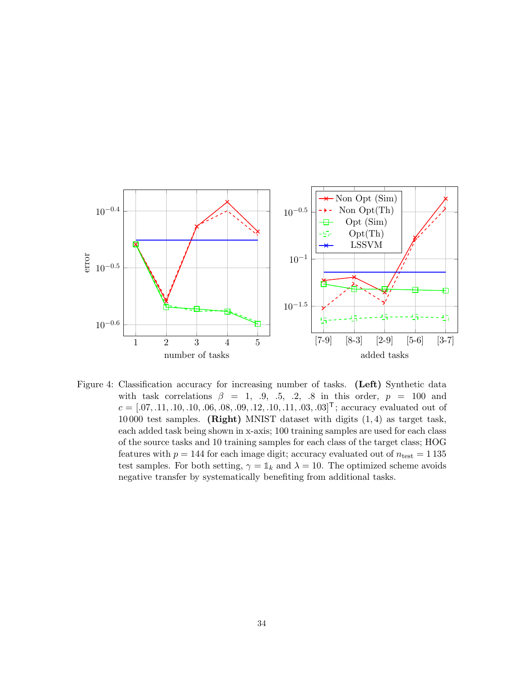

<span id="page-33-0"></span>Figure 4: Classification accuracy for increasing number of tasks. (Left) Synthetic data with task correlations  $\beta = 1, 0, .5, .2, .8$  in this order,  $p = 100$  and  $c = [.07, .11, .10, .10, .06, .08, .09, .12, .10, .11, .03, .03]$ , accuracy evaluated out of 10 000 test samples. (Right) MNIST dataset with digits (1, 4) as target task, each added task being shown in x-axis; 100 training samples are used for each class of the source tasks and 10 training samples for each class of the target class; HOG features with  $p = 144$  for each image digit; accuracy evaluated out of  $n_{\text{test}} = 1135$ test samples. For both setting,  $\gamma = \mathbb{1}_k$  and  $\lambda = 10$ . The optimized scheme avoids negative transfer by systematically benefiting from additional tasks.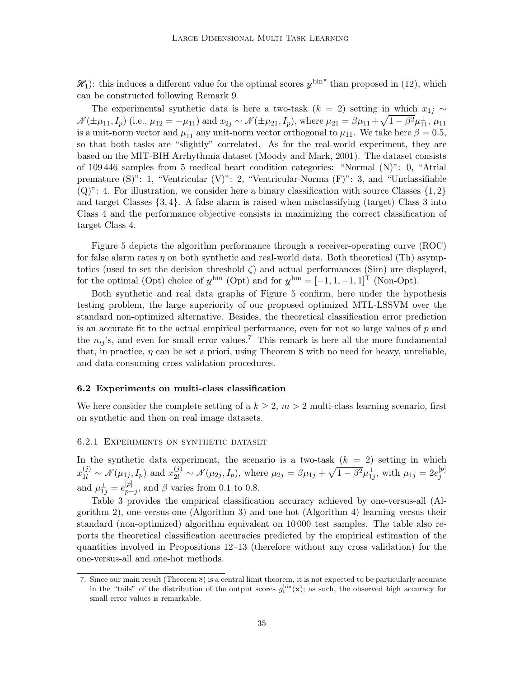$\mathcal{H}_1$ : this induces a different value for the optimal scores  $y^{\text{bin}}$  than proposed in [\(12\)](#page-20-0), which can be constructed following Remark [9.](#page-19-1)

The experimental synthetic data is here a two-task ( $k = 2$ ) setting in which  $x_{1i} \sim$  $\mathcal{N}(\pm \mu_{11}, I_p)$  (i.e.,  $\mu_{12} = -\mu_{11}$ ) and  $x_{2j} \sim \mathcal{N}(\pm \mu_{21}, I_p)$ , where  $\mu_{21} = \beta \mu_{11} + \sqrt{1 - \beta^2 \mu_{11}^2}$ ,  $\mu_{11}$ is a unit-norm vector and  $\mu_{11}^{\perp}$  any unit-norm vector orthogonal to  $\mu_{11}$ . We take here  $\beta = 0.5$ , so that both tasks are "slightly" correlated. As for the real-world experiment, they are based on the MIT-BIH Arrhythmia dataset [\(Moody and Mark, 2001\)](#page-52-11). The dataset consists of 109 446 samples from 5 medical heart condition categories: "Normal (N)": 0, "Atrial premature (S)": 1, "Ventricular (V)": 2, "Ventricular-Norma (F)": 3, and "Unclassifiable  $(Q)$ ": 4. For illustration, we consider here a binary classification with source Classes  $\{1, 2\}$ and target Classes  $\{3, 4\}$ . A false alarm is raised when misclassifying (target) Class 3 into Class 4 and the performance objective consists in maximizing the correct classification of target Class 4.

Figure [5](#page-35-0) depicts the algorithm performance through a receiver-operating curve (ROC) for false alarm rates  $\eta$  on both synthetic and real-world data. Both theoretical (Th) asymptotics (used to set the decision threshold  $\zeta$ ) and actual performances (Sim) are displayed, for the optimal (Opt) choice of  $y^{\text{bin}}$  (Opt) and for  $y^{\text{bin}} = [-1, 1, -1, 1]$ <sup>†</sup> (Non-Opt).

Both synthetic and real data graphs of Figure [5](#page-35-0) confirm, here under the hypothesis testing problem, the large superiority of our proposed optimized MTL-LSSVM over the standard non-optimized alternative. Besides, the theoretical classification error prediction is an accurate fit to the actual empirical performance, even for not so large values of  $p$  and the  $n_{ij}$ 's, and even for small error values.<sup>[7](#page-34-1)</sup> This remark is here all the more fundamental that, in practice,  $\eta$  can be set a priori, using Theorem [8](#page-19-0) with no need for heavy, unreliable, and data-consuming cross-validation procedures.

#### <span id="page-34-0"></span>6.2 Experiments on multi-class classification

We here consider the complete setting of a  $k \geq 2$ ,  $m > 2$  multi-class learning scenario, first on synthetic and then on real image datasets.

### 6.2.1 Experiments on synthetic dataset

In the synthetic data experiment, the scenario is a two-task  $(k = 2)$  setting in which  $x_{1l}^{(j)} \sim \mathcal{N}(\mu_{1j}, I_p)$  and  $x_{2l}^{(j)} \sim \mathcal{N}(\mu_{2j}, I_p)$ , where  $\mu_{2j} = \beta \mu_{1j} + \sqrt{1 - \beta^2} \mu_{1j}^{\perp}$ , with  $\mu_{1j} = 2e_j^{[p]}$ j and  $\mu_{1j}^{\perp} = e_{p-}^{[p]}$  $_{p-j}^{[p]}$ , and  $\beta$  varies from 0.1 to 0.8.

Table [3](#page-36-0) provides the empirical classification accuracy achieved by one-versus-all (Algorithm [2\)](#page-25-0), one-versus-one (Algorithm [3\)](#page-27-1) and one-hot (Algorithm [4\)](#page-28-1) learning versus their standard (non-optimized) algorithm equivalent on 10 000 test samples. The table also reports the theoretical classification accuracies predicted by the empirical estimation of the quantities involved in Propositions [12–](#page-25-1)[13](#page-27-3) (therefore without any cross validation) for the one-versus-all and one-hot methods.

<span id="page-34-1"></span><sup>7.</sup> Since our main result (Theorem [8\)](#page-19-0) is a central limit theorem, it is not expected to be particularly accurate in the "tails" of the distribution of the output scores  $g_i^{\text{bin}}(x)$ ; as such, the observed high accuracy for small error values is remarkable.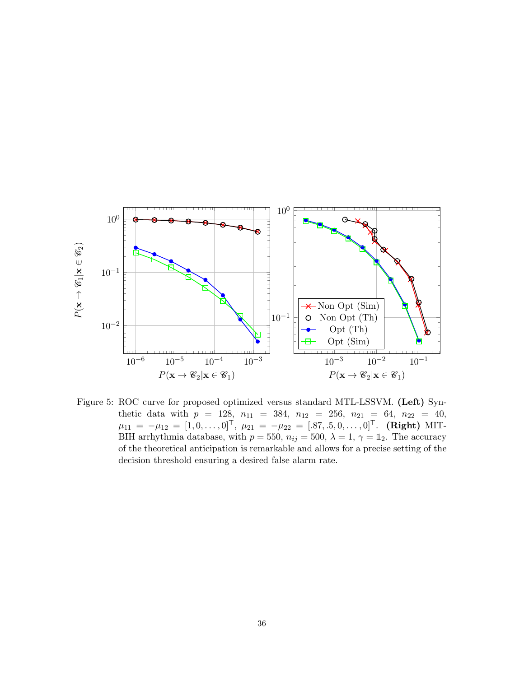

<span id="page-35-0"></span>Figure 5: ROC curve for proposed optimized versus standard MTL-LSSVM. (Left) Synthetic data with  $p = 128$ ,  $n_{11} = 384$ ,  $n_{12} = 256$ ,  $n_{21} = 64$ ,  $n_{22} = 40$ ,  $\mu_{11} = -\mu_{12} = [1, 0, \dots, 0]^{\mathsf{T}}, \mu_{21} = -\mu_{22} = [.87, .5, 0, \dots, 0]^{\mathsf{T}}.$  (Right) MIT-BIH arrhythmia database, with  $p = 550$ ,  $n_{ij} = 500$ ,  $\lambda = 1$ ,  $\gamma = \mathbb{1}_2$ . The accuracy of the theoretical anticipation is remarkable and allows for a precise setting of the decision threshold ensuring a desired false alarm rate.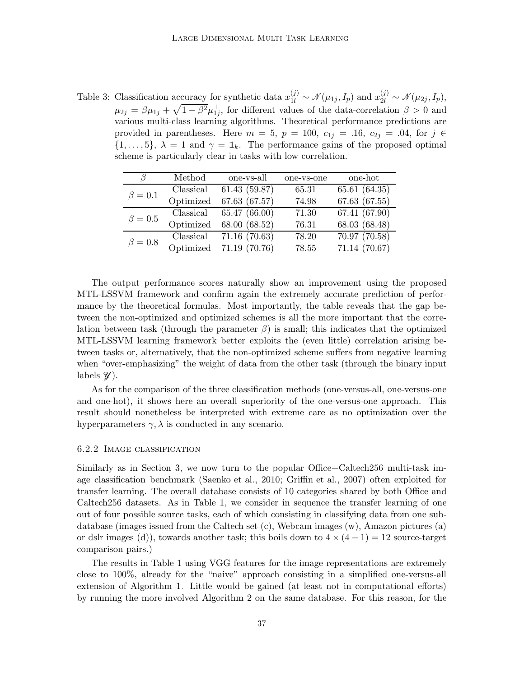<span id="page-36-0"></span>Table 3: Classification accuracy for synthetic data  $x_{1l}^{(j)} \sim \mathcal{N}(\mu_{1j}, I_p)$  and  $x_{2l}^{(j)} \sim \mathcal{N}(\mu_{2j}, I_p)$ ,  $\mu_{2j} = \beta \mu_{1j} + \sqrt{1 - \beta^2} \mu_{1j}^{\perp}$ , for different values of the data-correlation  $\beta > 0$  and various multi-class learning algorithms. Theoretical performance predictions are provided in parentheses. Here  $m = 5$ ,  $p = 100$ ,  $c_{1j} = .16$ ,  $c_{2j} = .04$ , for  $j \in$  $\{1, \ldots, 5\}, \ \lambda = 1 \text{ and } \gamma = \mathbb{1}_k.$  The performance gains of the proposed optimal scheme is particularly clear in tasks with low correlation.

|               | Method    | one-vs-all    | one-vs-one | one-hot       |
|---------------|-----------|---------------|------------|---------------|
| $\beta=0.1$   | Classical | 61.43(59.87)  | 65.31      | 65.61 (64.35) |
|               | Optimized | 67.63 (67.57) | 74.98      | 67.63 (67.55) |
| $\beta = 0.5$ | Classical | 65.47 (66.00) | 71.30      | 67.41 (67.90) |
|               | Optimized | 68.00 (68.52) | 76.31      | 68.03 (68.48) |
| $\beta = 0.8$ | Classical | 71.16 (70.63) | 78.20      | 70.97 (70.58) |
|               | Optimized | 71.19 (70.76) | 78.55      | 71.14 (70.67) |

The output performance scores naturally show an improvement using the proposed MTL-LSSVM framework and confirm again the extremely accurate prediction of performance by the theoretical formulas. Most importantly, the table reveals that the gap between the non-optimized and optimized schemes is all the more important that the correlation between task (through the parameter  $\beta$ ) is small; this indicates that the optimized MTL-LSSVM learning framework better exploits the (even little) correlation arising between tasks or, alternatively, that the non-optimized scheme suffers from negative learning when "over-emphasizing" the weight of data from the other task (through the binary input labels  $\mathscr{Y}$ ).

As for the comparison of the three classification methods (one-versus-all, one-versus-one and one-hot), it shows here an overall superiority of the one-versus-one approach. This result should nonetheless be interpreted with extreme care as no optimization over the hyperparameters  $\gamma$ ,  $\lambda$  is conducted in any scenario.

#### 6.2.2 Image classification

Similarly as in Section [3,](#page-9-0) we now turn to the popular Office+Caltech256 multi-task image classification benchmark [\(Saenko et al., 2010](#page-52-8); [Griffin et al., 2007](#page-50-8)) often exploited for transfer learning. The overall database consists of 10 categories shared by both Office and Caltech256 datasets. As in Table [1,](#page-17-1) we consider in sequence the transfer learning of one out of four possible source tasks, each of which consisting in classifying data from one subdatabase (images issued from the Caltech set (c), Webcam images (w), Amazon pictures (a) or dslr images (d)), towards another task; this boils down to  $4 \times (4-1) = 12$  source-target comparison pairs.)

The results in Table [1](#page-17-1) using VGG features for the image representations are extremely close to 100%, already for the "naive" approach consisting in a simplified one-versus-all extension of Algorithm [1.](#page-15-0) Little would be gained (at least not in computational efforts) by running the more involved Algorithm [2](#page-25-0) on the same database. For this reason, for the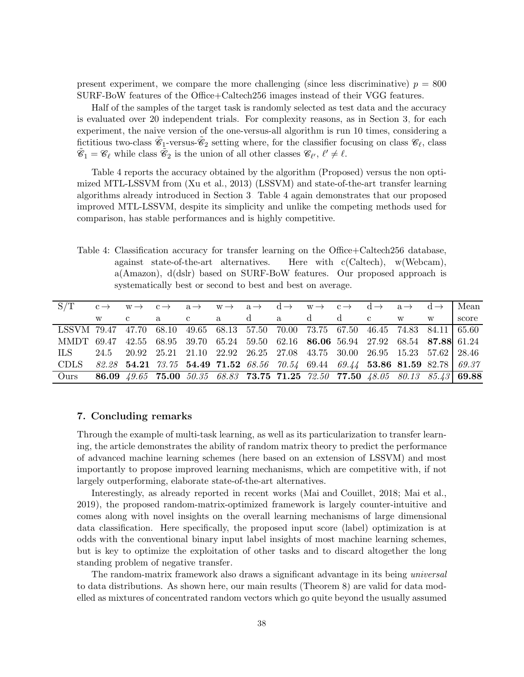present experiment, we compare the more challenging (since less discriminative)  $p = 800$ SURF-BoW features of the Office+Caltech256 images instead of their VGG features.

Half of the samples of the target task is randomly selected as test data and the accuracy is evaluated over 20 independent trials. For complexity reasons, as in Section [3,](#page-9-0) for each experiment, the naive version of the one-versus-all algorithm is run 10 times, considering a fictitious two-class  $\tilde{e}_1$ -versus- $\tilde{e}_2$  setting where, for the classifier focusing on class  $\mathscr{C}_\ell$ , class  $\tilde{\mathscr{C}}_1 = \mathscr{C}_{\ell}$  while class  $\tilde{\mathscr{C}}_2$  is the union of all other classes  $\mathscr{C}_{\ell'}, \ell' \neq \ell$ .

Table [4](#page-37-0) reports the accuracy obtained by the algorithm (Proposed) versus the non optimized MTL-LSSVM from [\(Xu et al.](#page-52-1), [2013](#page-52-1)) (LSSVM) and state-of-the-art transfer learning algorithms already introduced in Section [3.](#page-9-0) Table [4](#page-37-0) again demonstrates that our proposed improved MTL-LSSVM, despite its simplicity and unlike the competing methods used for comparison, has stable performances and is highly competitive.

<span id="page-37-0"></span>Table 4: Classification accuracy for transfer learning on the Office+Caltech256 database, against state-of-the-art alternatives. Here with c(Caltech), w(Webcam), a(Amazon), d(dslr) based on SURF-BoW features. Our proposed approach is systematically best or second to best and best on average.

| S/T                                                                                 |  | $c \rightarrow w \rightarrow c \rightarrow a \rightarrow w \rightarrow a \rightarrow d \rightarrow w \rightarrow c \rightarrow d \rightarrow a \rightarrow d \rightarrow l$ Mean |                               |  |             |  |   |       |
|-------------------------------------------------------------------------------------|--|----------------------------------------------------------------------------------------------------------------------------------------------------------------------------------|-------------------------------|--|-------------|--|---|-------|
|                                                                                     |  | $\mathbf{a}$                                                                                                                                                                     | $\mathbf{c}$ and $\mathbf{c}$ |  | a da dd c w |  | W | score |
| LSSVM 79.47 47.70 68.10 49.65 68.13 57.50 70.00 73.75 67.50 46.45 74.83 84.11 65.60 |  |                                                                                                                                                                                  |                               |  |             |  |   |       |
| MMDT 69.47 42.55 68.95 39.70 65.24 59.50 62.16 86.06 56.94 27.92 68.54 87.88 61.24  |  |                                                                                                                                                                                  |                               |  |             |  |   |       |
| ILS —                                                                               |  | $24.5$ $20.92$ $25.21$ $21.10$ $22.92$ $26.25$ $27.08$ $43.75$ $30.00$ $26.95$ $15.23$ $57.62$ $28.46$                                                                           |                               |  |             |  |   |       |
| CDLS 82.28 54.21 73.75 54.49 71.52 68.56 70.54 69.44 69.44 53.86 81.59 82.78 69.37  |  |                                                                                                                                                                                  |                               |  |             |  |   |       |
| Ours                                                                                |  | 86.09 49.65 75.00 50.35 68.83 73.75 71.25 72.50 77.50 48.05 80.13 85.43 69.88                                                                                                    |                               |  |             |  |   |       |

# 7. Concluding remarks

Through the example of multi-task learning, as well as its particularization to transfer learning, the article demonstrates the ability of random matrix theory to predict the performance of advanced machine learning schemes (here based on an extension of LSSVM) and most importantly to propose improved learning mechanisms, which are competitive with, if not largely outperforming, elaborate state-of-the-art alternatives.

Interestingly, as already reported in recent works [\(Mai and](#page-51-11) Couillet, [2018](#page-51-11); [Mai et al.](#page-51-2), [2019\)](#page-51-2), the proposed random-matrix-optimized framework is largely counter-intuitive and comes along with novel insights on the overall learning mechanisms of large dimensional data classification. Here specifically, the proposed input score (label) optimization is at odds with the conventional binary input label insights of most machine learning schemes, but is key to optimize the exploitation of other tasks and to discard altogether the long standing problem of negative transfer.

The random-matrix framework also draws a significant advantage in its being universal to data distributions. As shown here, our main results (Theorem [8\)](#page-19-0) are valid for data modelled as mixtures of concentrated random vectors which go quite beyond the usually assumed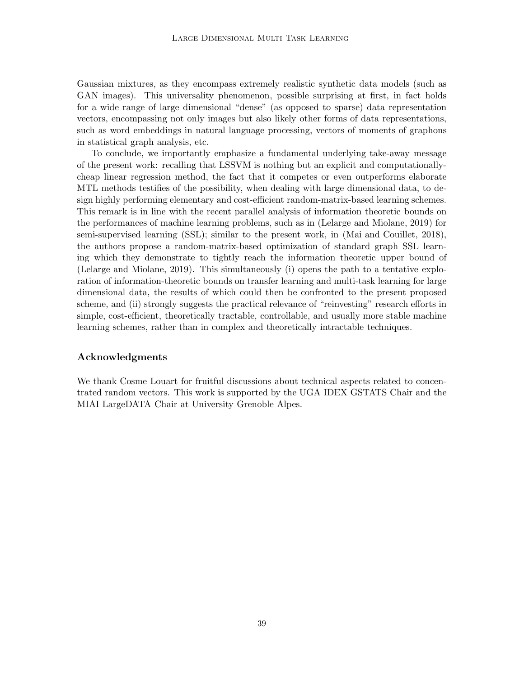Gaussian mixtures, as they encompass extremely realistic synthetic data models (such as GAN images). This universality phenomenon, possible surprising at first, in fact holds for a wide range of large dimensional "dense" (as opposed to sparse) data representation vectors, encompassing not only images but also likely other forms of data representations, such as word embeddings in natural language processing, vectors of moments of graphons in statistical graph analysis, etc.

To conclude, we importantly emphasize a fundamental underlying take-away message of the present work: recalling that LSSVM is nothing but an explicit and computationallycheap linear regression method, the fact that it competes or even outperforms elaborate MTL methods testifies of the possibility, when dealing with large dimensional data, to design highly performing elementary and cost-efficient random-matrix-based learning schemes. This remark is in line with the recent parallel analysis of information theoretic bounds on the performances of machine learning problems, such as in [\(Lelarge and Miolane](#page-51-12), [2019](#page-51-12)) for semi-supervised learning (SSL); similar to the present work, in [\(Mai and Couillet](#page-51-11), [2018\)](#page-51-11), the authors propose a random-matrix-based optimization of standard graph SSL learning which they demonstrate to tightly reach the information theoretic upper bound of [\(Lelarge and Miolane, 2019](#page-51-12)). This simultaneously (i) opens the path to a tentative exploration of information-theoretic bounds on transfer learning and multi-task learning for large dimensional data, the results of which could then be confronted to the present proposed scheme, and (ii) strongly suggests the practical relevance of "reinvesting" research efforts in simple, cost-efficient, theoretically tractable, controllable, and usually more stable machine learning schemes, rather than in complex and theoretically intractable techniques.

# Acknowledgments

We thank Cosme Louart for fruitful discussions about technical aspects related to concentrated random vectors. This work is supported by the UGA IDEX GSTATS Chair and the MIAI LargeDATA Chair at University Grenoble Alpes.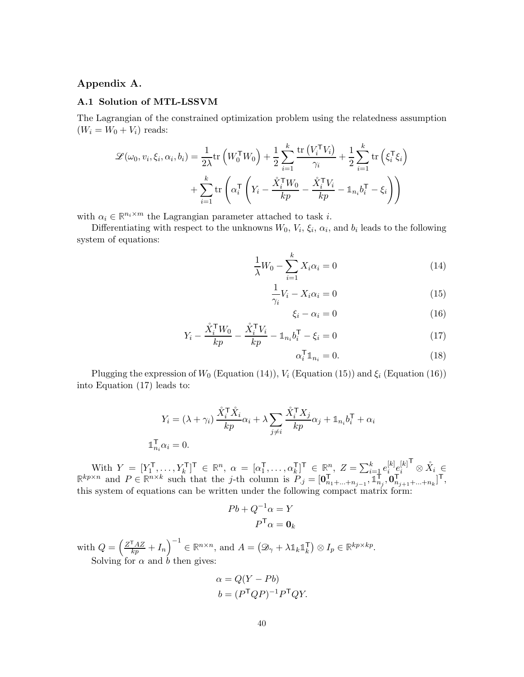# <span id="page-39-0"></span>Appendix A.

### A.1 Solution of MTL-LSSVM

The Lagrangian of the constrained optimization problem using the relatedness assumption  $(W_i = W_0 + V_i)$  reads:

$$
\mathcal{L}(\omega_0, v_i, \xi_i, \alpha_i, b_i) = \frac{1}{2\lambda} \text{tr}\left(W_0^{\mathsf{T}} W_0\right) + \frac{1}{2} \sum_{i=1}^k \frac{\text{tr}\left(V_i^{\mathsf{T}} V_i\right)}{\gamma_i} + \frac{1}{2} \sum_{i=1}^k \text{tr}\left(\xi_i^{\mathsf{T}} \xi_i\right) + \sum_{i=1}^k \text{tr}\left(\alpha_i^{\mathsf{T}} \left(Y_i - \frac{\mathring{X}_i^{\mathsf{T}} W_0}{k p} - \frac{\mathring{X}_i^{\mathsf{T}} V_i}{k p} - \mathbb{1}_{n_i} b_i^{\mathsf{T}} - \xi_i\right)\right)
$$

with  $\alpha_i \in \mathbb{R}^{n_i \times m}$  the Lagrangian parameter attached to task *i*.

Differentiating with respect to the unknowns  $W_0$ ,  $V_i$ ,  $\xi_i$ ,  $\alpha_i$ , and  $b_i$  leads to the following system of equations:

$$
\frac{1}{\lambda}W_0 - \sum_{i=1}^k X_i \alpha_i = 0
$$
\n(14)

$$
\frac{1}{\gamma_i} V_i - X_i \alpha_i = 0 \tag{15}
$$

<span id="page-39-3"></span><span id="page-39-2"></span><span id="page-39-1"></span>
$$
\xi_i - \alpha_i = 0 \tag{16}
$$

$$
Y_i - \frac{\mathring{X}_i^{\mathsf{T}} W_0}{kp} - \frac{\mathring{X}_i^{\mathsf{T}} V_i}{kp} - \mathbb{1}_{n_i} b_i^{\mathsf{T}} - \xi_i = 0 \tag{17}
$$

<span id="page-39-4"></span>
$$
\alpha_i^{\mathsf{T}} \mathbb{1}_{n_i} = 0. \tag{18}
$$

Plugging the expression of  $W_0$  (Equation [\(14\)](#page-39-1)),  $V_i$  (Equation [\(15\)](#page-39-2)) and  $\xi_i$  (Equation [\(16\)](#page-39-3)) into Equation [\(17\)](#page-39-4) leads to:

$$
Y_i = (\lambda + \gamma_i) \frac{\mathring{X}_i^{\mathsf{T}} \mathring{X}_i}{kp} \alpha_i + \lambda \sum_{j \neq i} \frac{\mathring{X}_i^{\mathsf{T}} X_j}{kp} \alpha_j + \mathbb{1}_{n_i} b_i^{\mathsf{T}} + \alpha_i
$$
  

$$
\mathbb{1}_{n_i}^{\mathsf{T}} \alpha_i = 0.
$$

With  $Y = [Y_1^{\mathsf{T}}]$  $[Y_1^{\mathsf{T}}, \ldots, Y_k^{\mathsf{T}}]^\mathsf{T} \in \mathbb{R}^n, \alpha = [\alpha_1^{\mathsf{T}}]$  $[\overline{X}_1^{\mathsf{T}}, \ldots, \alpha_k^{\mathsf{T}}]^{\mathsf{T}} \in \mathbb{R}^n, \ Z = \sum_{i=1}^k e_i^{[k]}$  $\left[ k \right]_e \hspace{-1mm} \left[ \hspace{-1mm} \begin{array}{c} k \end{array} \hspace{-1mm} \right]$ i  $\mathbf{F} \otimes \mathring{X}_i \in$  $\mathbb{R}^{kp \times n}$  and  $P \in \mathbb{R}^{n \times k}$  such that the j-th column is  $P_{.j} = [\mathbf{0}_n]$  $\prod_{n_1+\ldots+n_{j-1}}^{n}$ ,  $\prod_{n_i}^{n-1}$  $_{n_j}^{\dagger}, \mathbf{\overset{\text{\tiny r}}{o}}_{n_j}^{\dagger}$  $T_{n_{j+1}+\ldots+n_k}^{\mathsf{r}}]^{\mathsf{T}},$ this system of equations can be written under the following compact matrix form:

$$
Pb + Q^{-1}\alpha = Y
$$

$$
P^{\mathsf{T}}\alpha = \mathbf{0}_k
$$

with  $Q = \left(\frac{Z^{\mathsf{T}} A Z}{kp} + I_n\right)^{-1} \in \mathbb{R}^{n \times n}$ , and  $A = \left(\mathcal{D}_\gamma + \lambda \mathbb{1}_k \mathbb{1}_k^{\mathsf{T}}\right)$  $\begin{aligned} \mathcal{F}_k \end{aligned} \big) \otimes I_p \in \mathbb{R}^{kp \times kp}.$ Solving for  $\alpha$  and  $\dot{b}$  then gives:

$$
\alpha = Q(Y - Pb)
$$
  

$$
b = (P^{\mathsf{T}}QP)^{-1}P^{\mathsf{T}}QY.
$$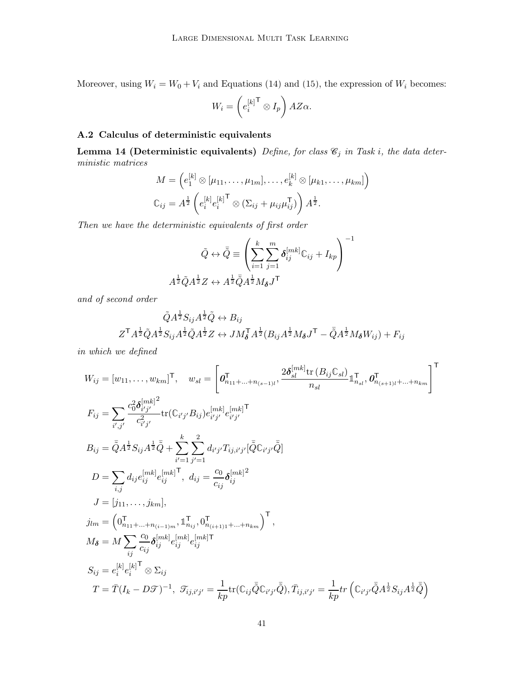Moreover, using  $W_i = W_0 + V_i$  and Equations [\(14\)](#page-39-1) and [\(15\)](#page-39-2), the expression of  $W_i$  becomes:

$$
W_i = \left(e_i^{[k]}\right) \otimes I_p\right) AZ\alpha.
$$

# <span id="page-40-1"></span><span id="page-40-0"></span>A.2 Calculus of deterministic equivalents

Lemma 14 (Deterministic equivalents) Define, for class  $\mathcal{C}_j$  in Task i, the data deterministic matrices

$$
M = \left(e_1^{[k]} \otimes [\mu_{11}, \dots, \mu_{1m}], \dots, e_k^{[k]} \otimes [\mu_{k1}, \dots, \mu_{km}]\right)
$$
  

$$
\mathbb{C}_{ij} = A^{\frac{1}{2}} \left(e_i^{[k]} e_i^{[k]^\mathsf{T}} \otimes (\Sigma_{ij} + \mu_{ij} \mu_{ij}^\mathsf{T})\right) A^{\frac{1}{2}}.
$$

Then we have the deterministic equivalents of first order

$$
\tilde{Q} \leftrightarrow \tilde{\bar{Q}} \equiv \left( \sum_{i=1}^{k} \sum_{j=1}^{m} \delta_{ij}^{[mk]} \mathbb{C}_{ij} + I_{kp} \right)^{-1}
$$

$$
A^{\frac{1}{2}} \tilde{Q} A^{\frac{1}{2}} Z \leftrightarrow A^{\frac{1}{2}} \tilde{Q} A^{\frac{1}{2}} M_{\delta} J^{\mathsf{T}}
$$

and of second order

$$
\tilde{Q}A^{\frac{1}{2}}S_{ij}A^{\frac{1}{2}}\tilde{Q} \leftrightarrow B_{ij}
$$

$$
Z^{\mathsf{T}}A^{\frac{1}{2}}\tilde{Q}A^{\frac{1}{2}}S_{ij}A^{\frac{1}{2}}\tilde{Q}A^{\frac{1}{2}}Z \leftrightarrow JM_{\delta}^{\mathsf{T}}A^{\frac{1}{2}}(B_{ij}A^{\frac{1}{2}}M_{\delta}J^{\mathsf{T}} - \bar{Q}A^{\frac{1}{2}}M_{\delta}W_{ij}) + F_{ij}
$$

in which we defined

$$
W_{ij} = [w_{11}, \dots, w_{km}]^{\mathsf{T}}, \quad w_{sl} = \left[ \mathbf{0}_{n_{11} + \dots + n_{(s-1)l}}^{\mathsf{T}}, \frac{2\delta_{sl}^{[mk]} \text{tr} (B_{ij} C_{sl})}{n_{sl}} \mathbf{1}_{n_{sl}}^{\mathsf{T}}, \mathbf{0}_{n_{(s+1)l} + \dots + n_{km}}^{\mathsf{T}} \right]^{\mathsf{T}}
$$
  
\n
$$
F_{ij} = \sum_{i',j'} \frac{c_0^2 \delta_{i'j'}^{[mk]^2}}{c_{i'j'}^2} \text{tr} (C_{i'j'} B_{ij}) e_{i'j'}^{[mk]} \mathbf{1}_{i'j'}
$$
  
\n
$$
B_{ij} = \bar{Q} A^{\frac{1}{2}} S_{ij} A^{\frac{1}{2}} \bar{Q} + \sum_{i'=1}^{k} \sum_{j'=1}^{2} d_{i'j'} T_{ij,i'j'} [\bar{Q} C_{i'j'} \bar{Q}]
$$
  
\n
$$
D = \sum_{i,j} d_{ij} e_{ij}^{[mk]} e_{ij}^{[mk]} \mathbf{1}_{j'}^{\mathsf{T}}, d_{ij} = \frac{c_0}{c_{ij}} \delta_{ij}^{[mk]^2}
$$
  
\n
$$
J = [j_{11}, \dots, j_{km}],
$$
  
\n
$$
j_{lm} = \left( 0_{n_{11} + \dots + n_{(i-1)m}}^{\mathsf{T}}, 1_{n_{ij}}^{\mathsf{T}}, 0_{n_{(i+1)1} + \dots + n_{km}}^{\mathsf{T}} \right)^{\mathsf{T}},
$$
  
\n
$$
M_{\delta} = M \sum_{ij} \frac{c_0}{c_{ij}} \delta_{ij}^{[mk]} e_{ij}^{[mk]} e_{ij}^{[mk] \mathsf{T}}
$$
  
\n
$$
S_{ij} = e_i^{[k]} e_i^{[k] \mathsf{T}} \otimes \Sigma_{ij}
$$
  
\n
$$
T = \bar{T} (I_k - D\mathcal{T})^{-1}, \ \mathcal{T}_{ij,i'j'} = \frac{1}{kp} \text{tr} (\mathbb{C}_{ij} \bar{\tilde{Q}} \mathbb{C}_{i'j'} \bar{\tilde{Q}}), \bar{T}_{ij,i'j'} = \frac{1}{kp} \text{tr} (\mathbb{
$$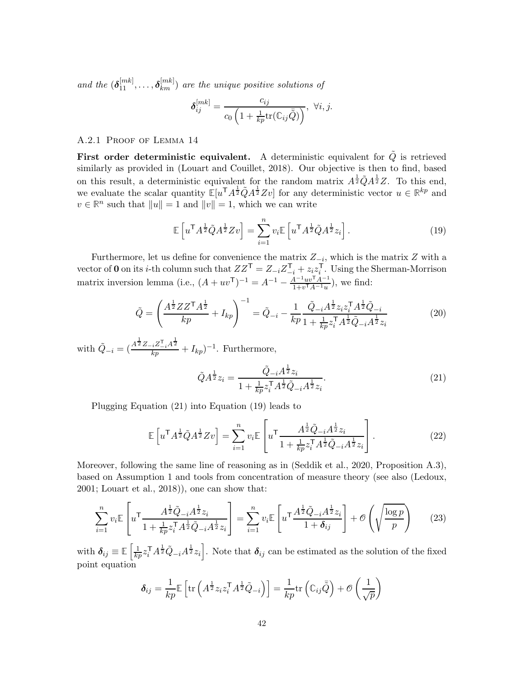and the  $(\boldsymbol{\delta}_{11}^{[mk]}, \ldots, \boldsymbol{\delta}_{km}^{[mk]})$  are the unique positive solutions of

$$
\delta_{ij}^{[mk]} = \frac{c_{ij}}{c_0 \left(1 + \frac{1}{kp} \text{tr}(\mathbb{C}_{ij} \bar{\tilde{Q}})\right)}, \ \forall i, j.
$$

# A.2.1 Proof of Lemma [14](#page-40-0)

First order deterministic equivalent. A deterministic equivalent for  $\tilde{Q}$  is retrieved similarly as provided in [\(Louart and Couillet](#page-51-10), [2018](#page-51-10)). Our objective is then to find, based on this result, a deterministic equivalent for the random matrix  $A^{\frac{1}{2}}\tilde{Q}A^{\frac{1}{2}}Z$ . To this end, we evaluate the scalar quantity  $\mathbb{E}[u^{\mathsf{T}} A^{\frac{1}{2}} Z v]$  for any deterministic vector  $u \in \mathbb{R}^{kp}$  and  $v \in \mathbb{R}^n$  such that  $||u|| = 1$  and  $||v|| = 1$ , which we can write

<span id="page-41-1"></span>
$$
\mathbb{E}\left[u^{\mathsf{T}}A^{\frac{1}{2}}\tilde{Q}A^{\frac{1}{2}}Zv\right] = \sum_{i=1}^{n} v_i \mathbb{E}\left[u^{\mathsf{T}}A^{\frac{1}{2}}\tilde{Q}A^{\frac{1}{2}}z_i\right].\tag{19}
$$

Furthermore, let us define for convenience the matrix  $Z_{-i}$ , which is the matrix  $Z$  with a vector of 0 on its *i*-th column such that  $ZZ^{\mathsf{T}} = Z_{-i}Z_{-i}^{\mathsf{T}} + z_i z_i^{\mathsf{T}}$  $i<sup>1</sup>$ . Using the Sherman-Morrison matrix inversion lemma (i.e.,  $(A + uv^{\mathsf{T}})^{-1} = A^{-1} - \frac{A^{-1}uv^{\mathsf{T}}A^{-1}}{1+v^{\mathsf{T}}A^{-1}u}$  $\frac{4^{-1}uv^{\dagger}A^{-1}}{1+v^{\dagger}A^{-1}u}$ , we find:

$$
\tilde{Q} = \left(\frac{A^{\frac{1}{2}} Z Z^{\mathsf{T}} A^{\frac{1}{2}}}{k p} + I_{k p}\right)^{-1} = \tilde{Q}_{-i} - \frac{1}{k p} \frac{\tilde{Q}_{-i} A^{\frac{1}{2}} z_i z_i^{\mathsf{T}} A^{\frac{1}{2}} \tilde{Q}_{-i}}{1 + \frac{1}{k p} z_i^{\mathsf{T}} A^{\frac{1}{2}} \tilde{Q}_{-i} A^{\frac{1}{2}} z_i}
$$
(20)

with  $\tilde{Q}_{-i} = (\frac{A^{\frac{1}{2}}Z_{-i}Z_{-i}^{\mathrm{T}}A^{\frac{1}{2}}}{kp} + I_{kp})^{-1}$ . Furthermore,

<span id="page-41-3"></span><span id="page-41-2"></span><span id="page-41-0"></span>
$$
\tilde{Q}A^{\frac{1}{2}}z_i = \frac{\tilde{Q}_{-i}A^{\frac{1}{2}}z_i}{1 + \frac{1}{kp}z_i^{\mathsf{T}}A^{\frac{1}{2}}\tilde{Q}_{-i}A^{\frac{1}{2}}z_i}.
$$
\n(21)

Plugging Equation [\(21\)](#page-41-0) into Equation [\(19\)](#page-41-1) leads to

$$
\mathbb{E}\left[u^{\mathsf{T}}A^{\frac{1}{2}}\tilde{Q}A^{\frac{1}{2}}Zv\right] = \sum_{i=1}^{n} v_i \mathbb{E}\left[u^{\mathsf{T}}\frac{A^{\frac{1}{2}}\tilde{Q}_{-i}A^{\frac{1}{2}}z_i}{1 + \frac{1}{kp}z_i^{\mathsf{T}}A^{\frac{1}{2}}\tilde{Q}_{-i}A^{\frac{1}{2}}z_i}\right].
$$
\n(22)

Moreover, following the same line of reasoning as in [\(Seddik](#page-52-5) et al., [2020,](#page-52-5) Proposition A.3), based on Assumption [1](#page-8-0) and tools from concentration of measure theory (see also [\(Ledoux](#page-51-3), [2001;](#page-51-3) [Louart et al., 2018](#page-51-9))), one can show that:

$$
\sum_{i=1}^{n} v_i \mathbb{E} \left[ u^{\mathsf{T}} \frac{A^{\frac{1}{2}} \tilde{Q}_{-i} A^{\frac{1}{2}} z_i}{1 + \frac{1}{kp} z_i^{\mathsf{T}} A^{\frac{1}{2}} \tilde{Q}_{-i} A^{\frac{1}{2}} z_i} \right] = \sum_{i=1}^{n} v_i \mathbb{E} \left[ u^{\mathsf{T}} \frac{A^{\frac{1}{2}} \tilde{Q}_{-i} A^{\frac{1}{2}} z_i}{1 + \delta_{ij}} \right] + \mathcal{O} \left( \sqrt{\frac{\log p}{p}} \right) \tag{23}
$$

with  $\delta_{ij} \equiv \mathbb{E}\left[\frac{1}{kp} z_i^{\mathsf{T}} A^{\frac{1}{2}} \tilde{Q}_{-i} A^{\frac{1}{2}} z_i\right]$ . Note that  $\delta_{ij}$  can be estimated as the solution of the fixed point equation

$$
\delta_{ij} = \frac{1}{kp} \mathbb{E} \left[ \text{tr} \left( A^{\frac{1}{2}} z_i z_i^{\mathsf{T}} A^{\frac{1}{2}} \tilde{Q}_{-i} \right) \right] = \frac{1}{kp} \text{tr} \left( \mathbb{C}_{ij} \tilde{\bar{Q}} \right) + \mathcal{O} \left( \frac{1}{\sqrt{p}} \right)
$$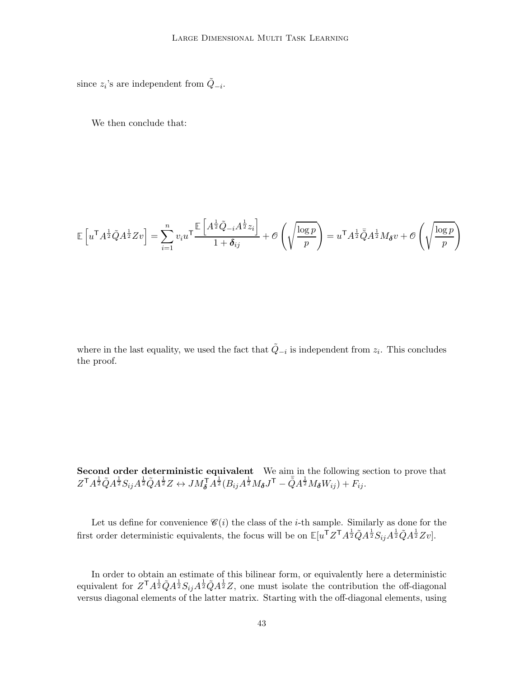since  $z_i$ 's are independent from  $\tilde{Q}_{-i}$ .

We then conclude that:

$$
\mathbb{E}\left[u^{\mathsf{T}}A^{\frac{1}{2}}\tilde{Q}A^{\frac{1}{2}}Zv\right] = \sum_{i=1}^{n} v_i u^{\mathsf{T}}\frac{\mathbb{E}\left[A^{\frac{1}{2}}\tilde{Q}_{-i}A^{\frac{1}{2}}z_i\right]}{1+\delta_{ij}} + \mathcal{O}\left(\sqrt{\frac{\log p}{p}}\right) = u^{\mathsf{T}}A^{\frac{1}{2}}\bar{Q}A^{\frac{1}{2}}M_{\delta}v + \mathcal{O}\left(\sqrt{\frac{\log p}{p}}\right)
$$

where in the last equality, we used the fact that  $\tilde{Q}_{-i}$  is independent from  $z_i$ . This concludes the proof.

Second order deterministic equivalent We aim in the following section to prove that  $Z^{\mathsf{T}}A^{\frac{1}{2}}\tilde{Q}A^{\frac{1}{2}}\tilde{Q}A^{\frac{1}{2}}Z \leftrightarrow JM_{\boldsymbol{\delta}}^{\mathsf{T}}A^{\frac{1}{2}}(B_{ij}A^{\frac{1}{2}}M_{\boldsymbol{\delta}}J^{\mathsf{T}}-\bar{\tilde{Q}}A^{\frac{1}{2}}M_{\boldsymbol{\delta}}W_{ij})+\widetilde{F}_{ij}.$ 

Let us define for convenience  $\mathcal{C}(i)$  the class of the *i*-th sample. Similarly as done for the first order deterministic equivalents, the focus will be on  $\mathbb{E}[u^{\mathsf{T}}Z^{\mathsf{T}}A^{\frac{1}{2}}\tilde{Q}A^{\frac{1}{2}}S_{ij}A^{\frac{1}{2}}\tilde{Q}A^{\frac{1}{2}}Zv]$ .

In order to obtain an estimate of this bilinear form, or equivalently here a deterministic equivalent for  $Z^T A^{\frac{1}{2}} \tilde{Q} A^{\frac{1}{2}} \tilde{Q} A^{\frac{1}{2}} Z$ , one must isolate the contribution the off-diagonal versus diagonal elements of the latter matrix. Starting with the off-diagonal elements, using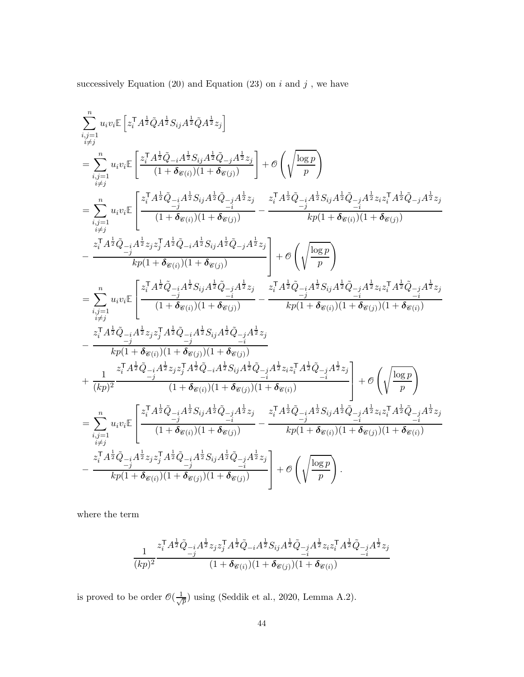successively Equation [\(20\)](#page-41-2) and Equation [\(23\)](#page-41-3) on  $i$  and  $j$  , we have

$$
\begin{split} &\sum_{\substack{i,j=1\\i\neq j}}^{n}u_iv_i\mathbb{E}\left[z_i^{\mathsf{T}}A^{\frac{1}{2}}\bar{Q}A^{\frac{1}{2}}S_{ij}A^{\frac{1}{2}}\bar{Q}A^{\frac{1}{2}}z_j\right]\\ &=\sum_{\substack{i,j=1\\i\neq j}}^{n}u_iv_i\mathbb{E}\left[\frac{z_i^{\mathsf{T}}A^{\frac{1}{2}}\bar{Q}_{-i}A^{\frac{1}{2}}S_{ij}A^{\frac{1}{2}}\bar{Q}_{-j}A^{\frac{1}{2}}z_j}{(1+\delta_{\mathcal{C}(i)})(1+\delta_{\mathcal{C}(j)})}\right]+\mathcal{O}\left(\sqrt{\frac{\log p}{p}}\right)\\ &=\sum_{\substack{i,j=1\\i\neq j}}^{n}u_iv_i\mathbb{E}\left[\frac{z_i^{\mathsf{T}}A^{\frac{1}{2}}\bar{Q}_{-i}A^{\frac{1}{2}}S_{ij}A^{\frac{1}{2}}\bar{Q}_{-j}A^{\frac{1}{2}}z_j}{(1+\delta_{\mathcal{C}(i)})(1+\delta_{\mathcal{C}(j)})}-\frac{z_i^{\mathsf{T}}A^{\frac{1}{2}}\bar{Q}_{-i}A^{\frac{1}{2}}S_{ij}A^{\frac{1}{2}}\bar{Q}_{-j}A^{\frac{1}{2}}z_j}{k p(1+\delta_{\mathcal{C}(i)})(1+\delta_{\mathcal{C}(j)})}\\ &-\frac{z_i^{\mathsf{T}}A^{\frac{1}{2}}\bar{Q}_{-i}A^{\frac{1}{2}}z_jz_j^{\mathsf{T}}A^{\frac{1}{2}}\bar{Q}_{-i}A^{\frac{1}{2}}S_{ij}A^{\frac{1}{2}}\bar{Q}_{-j}A^{\frac{1}{2}}z_j}{k p(1+\delta_{\mathcal{C}(i)})(1+\delta_{\mathcal{C}(j)})}\right]+\mathcal{O}\left(\sqrt{\frac{\log p}{p}}\right)\\ &=\sum_{\substack{i,j=1\\i\neq j}}^{n}u_iv_i\mathbb{E}\left[\frac{z_i^{\mathsf{T}}A^{\frac{1}{2}}\bar{Q}_{-i}A^{\frac{1}{2}}S_{ij}A^{\frac{1}{2}}\bar{Q}_{-j}A^{\frac{1}{2}}z_j}{(1+\delta_{\mathcal{C}(i)})(1+\delta_{\mathcal{C}(j
$$

where the term

$$
\frac{1}{(kp)^2}\frac{z_i^\mathsf{T} A^{\frac{1}{2}}\tilde{Q}_{-i}A^{\frac{1}{2}}z_jz_j^\mathsf{T} A^{\frac{1}{2}}\tilde{Q}_{-i}A^{\frac{1}{2}}S_{ij}A^{\frac{1}{2}}\tilde{Q}_{-j}A^{\frac{1}{2}}z_iz_i^\mathsf{T} A^{\frac{1}{2}}\tilde{Q}_{-j}A^{\frac{1}{2}}z_j}{(1+\pmb\delta_{\mathscr{C}(i)})(1+\pmb\delta_{\mathscr{C}(j)})(1+\pmb\delta_{\mathscr{C}(i)})}
$$

is proved to be order  $\mathcal{O}(\frac{1}{\sqrt{2}})$  $\frac{1}{p}$ ) using [\(Seddik et al., 2020](#page-52-5), Lemma A.2).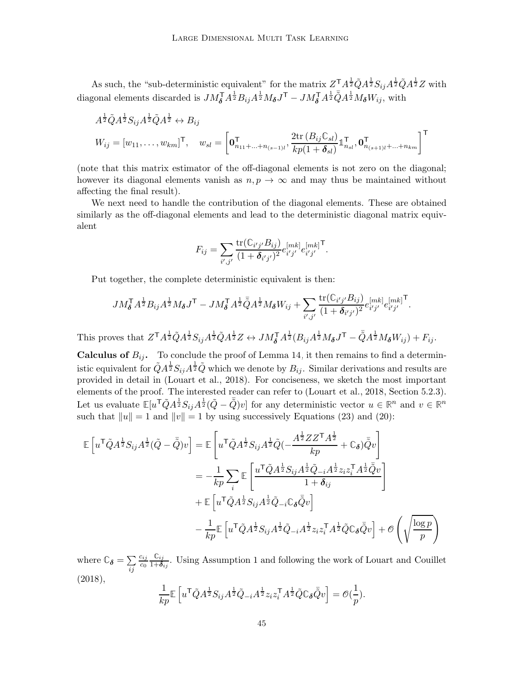As such, the "sub-deterministic equivalent" for the matrix  $Z^T A^{\frac{1}{2}} \tilde{Q} A^{\frac{1}{2}} S_{ij} A^{\frac{1}{2}} \tilde{Q} A^{\frac{1}{2}} Z$  with diagonal elements discarded is  $J M_{\delta}^{\mathsf{T}} \overline{A^{\frac{1}{2}}} B_{ij} A^{\frac{1}{2}} M_{\delta} J^{\mathsf{T}} - J M_{\delta}^{\mathsf{T}} A^{\frac{1}{2}} \overline{Q} A^{\frac{1}{2}} M_{\delta} W_{ij}$ , with

$$
A^{\frac{1}{2}}\tilde{Q}A^{\frac{1}{2}}S_{ij}A^{\frac{1}{2}}\tilde{Q}A^{\frac{1}{2}} \leftrightarrow B_{ij}
$$
  

$$
W_{ij} = [w_{11}, \dots, w_{km}]^{\mathsf{T}}, \quad w_{sl} = \left[\mathbf{0}_{n_{11} + \dots + n_{(s-1)l}}^{\mathsf{T}}, \frac{2 \text{tr}\left(B_{ij} \mathbb{C}_{sl}\right)}{kp(1+\delta_{sl})} \mathbb{1}_{n_{sl}}^{\mathsf{T}}, \mathbf{0}_{n_{(s+1)l} + \dots + n_{km}}^{\mathsf{T}}\right]^{\mathsf{T}}
$$

(note that this matrix estimator of the off-diagonal elements is not zero on the diagonal; however its diagonal elements vanish as  $n, p \to \infty$  and may thus be maintained without affecting the final result).

We next need to handle the contribution of the diagonal elements. These are obtained similarly as the off-diagonal elements and lead to the deterministic diagonal matrix equivalent

$$
F_{ij} = \sum_{i',j'} \frac{\text{tr}(\mathbb{C}_{i'j'}B_{ij})}{(1+\delta_{i'j'})^2} e_{i'j'}^{[mk]} e_{i'j'}^{[mk]}^{\mathsf{T}}.
$$

Put together, the complete deterministic equivalent is then:

$$
J M_{\delta}^{\mathsf{T}} A^{\frac{1}{2}} B_{ij} A^{\frac{1}{2}} M_{\delta} J^{\mathsf{T}} - J M_{\delta}^{\mathsf{T}} A^{\frac{1}{2}} \overline{\tilde{Q}} A^{\frac{1}{2}} M_{\delta} W_{ij} + \sum_{i',j'} \frac{\text{tr}(\mathbb{C}_{i'j'} B_{ij})}{(1 + \delta_{i'j'})^2} e_{i'j'}^{[mk]} e_{i'j'}^{[mk]}^{\mathsf{T}}.
$$

This proves that  $Z^{\mathsf{T}} A^{\frac{1}{2}} \tilde{Q} A^{\frac{1}{2}} S_{ij} A^{\frac{1}{2}} \tilde{Q} A^{\frac{1}{2}} Z \leftrightarrow J M_{\boldsymbol{\delta}}^{\mathsf{T}} A^{\frac{1}{2}} (B_{ij} A^{\frac{1}{2}} M_{\boldsymbol{\delta}} J^{\mathsf{T}} - \tilde{Q} A^{\frac{1}{2}} M_{\boldsymbol{\delta}} W_{ij}) + F_{ij}$ .

**Calculus of**  $B_{ij}$ . To conclude the proof of Lemma [14,](#page-40-0) it then remains to find a deterministic equivalent for  $\tilde{Q}A^{\frac{1}{2}}S_{ij}A^{\frac{1}{2}}\tilde{Q}$  which we denote by  $B_{ij}$ . Similar derivations and results are provided in detail in [\(Louart et al.](#page-51-9), [2018](#page-51-9)). For conciseness, we sketch the most important elements of the proof. The interested reader can refer to [\(Louart et al., 2018](#page-51-9), Section 5.2.3). Let us evaluate  $\mathbb{E}[u^{\mathsf{T}}\tilde{Q}A^{\frac{1}{2}}S_{ij}A^{\frac{1}{2}}(\tilde{Q}-\tilde{\bar{Q}})v]$  for any deterministic vector  $u \in \mathbb{R}^n$  and  $v \in \mathbb{R}^n$ such that  $||u|| = 1$  and  $||v|| = 1$  by using successively Equations [\(23\)](#page-41-3) and [\(20\)](#page-41-2):

$$
\mathbb{E}\left[u^{\mathsf{T}}\tilde{Q}A^{\frac{1}{2}}S_{ij}A^{\frac{1}{2}}(\tilde{Q}-\bar{\tilde{Q}})v\right] = \mathbb{E}\left[u^{\mathsf{T}}\tilde{Q}A^{\frac{1}{2}}S_{ij}A^{\frac{1}{2}}\tilde{Q}(-\frac{A^{\frac{1}{2}}ZZ^{\mathsf{T}}A^{\frac{1}{2}}}{kp}+\mathbb{C}_{\boldsymbol{\delta}})\bar{\tilde{Q}}v\right]
$$
  
\n
$$
= -\frac{1}{kp}\sum_{i}\mathbb{E}\left[\frac{u^{\mathsf{T}}\tilde{Q}A^{\frac{1}{2}}S_{ij}A^{\frac{1}{2}}\tilde{Q}_{-i}A^{\frac{1}{2}}z_{i}z_{i}^{\mathsf{T}}A^{\frac{1}{2}}\bar{\tilde{Q}}v}{1+\delta_{ij}}\right]
$$
  
\n
$$
+ \mathbb{E}\left[u^{\mathsf{T}}\tilde{Q}A^{\frac{1}{2}}S_{ij}A^{\frac{1}{2}}\tilde{Q}_{-i}\mathbb{C}_{\boldsymbol{\delta}}\bar{\tilde{Q}}v\right]
$$
  
\n
$$
-\frac{1}{kp}\mathbb{E}\left[u^{\mathsf{T}}\tilde{Q}A^{\frac{1}{2}}S_{ij}A^{\frac{1}{2}}\tilde{Q}_{-i}A^{\frac{1}{2}}z_{i}z_{i}^{\mathsf{T}}A^{\frac{1}{2}}\tilde{Q}\mathbb{C}_{\boldsymbol{\delta}}\bar{\tilde{Q}}v\right] + \mathcal{O}\left(\sqrt{\frac{\log p}{p}}\right)
$$

where  $\mathbb{C}_{\delta} = \sum$ ij cij  $c_0$ **C**ij  $\frac{\mathbb{U}_{ij}}{1+\delta_{ij}}$ . Using Assumption [1](#page-8-0) and following the work of [Louart and Couillet](#page-51-10) [\(2018](#page-51-10)),

$$
\frac{1}{kp}\mathbb{E}\left[u^{\mathsf{T}}\tilde{Q}A^{\frac{1}{2}}S_{ij}A^{\frac{1}{2}}\tilde{Q}_{-i}A^{\frac{1}{2}}z_iz_i^{\mathsf{T}}A^{\frac{1}{2}}\tilde{Q}\mathbb{C}_{\delta}\bar{\tilde{Q}}v\right] = \mathcal{O}(\frac{1}{p}).
$$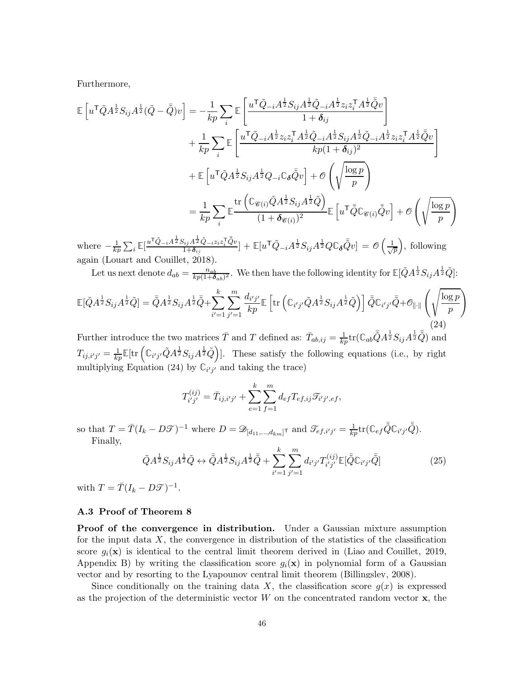Furthermore,

$$
\mathbb{E}\left[u^{\mathsf{T}}\tilde{Q}A^{\frac{1}{2}}S_{ij}A^{\frac{1}{2}}(\tilde{Q}-\bar{\tilde{Q}})v\right] = -\frac{1}{kp}\sum_{i}\mathbb{E}\left[\frac{u^{\mathsf{T}}\tilde{Q}_{-i}A^{\frac{1}{2}}S_{ij}A^{\frac{1}{2}}\tilde{Q}_{-i}A^{\frac{1}{2}}z_{i}z_{i}^{\mathsf{T}}A^{\frac{1}{2}}\tilde{Q}v}{1+\delta_{ij}}\right] \n+\frac{1}{kp}\sum_{i}\mathbb{E}\left[\frac{u^{\mathsf{T}}\tilde{Q}_{-i}A^{\frac{1}{2}}z_{i}z_{i}^{\mathsf{T}}A^{\frac{1}{2}}\tilde{Q}_{-i}A^{\frac{1}{2}}S_{ij}A^{\frac{1}{2}}\tilde{Q}_{-i}A^{\frac{1}{2}}z_{i}z_{i}^{\mathsf{T}}A^{\frac{1}{2}}\tilde{Q}v}{kp(1+\delta_{ij})^{2}}\right] \n+\mathbb{E}\left[u^{\mathsf{T}}\tilde{Q}A^{\frac{1}{2}}S_{ij}A^{\frac{1}{2}}Q_{-i}\mathbb{C}_{\delta}\bar{\tilde{Q}}v\right] + \mathcal{O}\left(\sqrt{\frac{\log p}{p}}\right) \n=\frac{1}{kp}\sum_{i}\mathbb{E}\frac{\text{tr}\left(\mathbb{C}_{\mathscr{C}(i)}\tilde{Q}A^{\frac{1}{2}}S_{ij}A^{\frac{1}{2}}\tilde{Q}\right)}{(1+\delta_{\mathscr{C}(i)})^{2}}\mathbb{E}\left[u^{\mathsf{T}}\bar{\tilde{Q}}\mathbb{C}_{\mathscr{C}(i)}\bar{\tilde{Q}}v\right] + \mathcal{O}\left(\sqrt{\frac{\log p}{p}}\right)
$$

where  $-\frac{1}{k_l}$  $\frac{1}{kp}\sum_i \mathbb{E}[\frac{u^\mathsf{T} \tilde{Q}_{-i} A^{\frac{1}{2}} S_{ij} A^{\frac{1}{2}} \tilde{Q}_{-i} z_iz_i^\mathsf{T} \bar{\tilde{Q}}v} {1+\boldsymbol{\delta}_{ij}}$  $[\tilde{a}_{ij}A^{\frac{1}{2}}\tilde{Q}_{-i}z_iz_i^{\intercal}\tilde{Q}v]+ \mathbb{E}[u^{\sf T}\tilde{Q}_{-i}A^{\frac{1}{2}}S_{ij}A^{\frac{1}{2}}Q\mathbb{C}_{\bm\delta}\bar{\tilde{Q}}v]=\mathscr{O}\left(\frac{1}{\sqrt{2}}\right)$ p , following again [\(Louart and Couillet](#page-51-10), [2018](#page-51-10)).

Let us next denote  $d_{ab} = \frac{n_{ab}}{kp(1+\delta_{ab})^2}$ . We then have the following identity for  $\mathbb{E}[\tilde{Q}A^{\frac{1}{2}}S_{ij}A^{\frac{1}{2}}\tilde{Q}]$ :

<span id="page-45-1"></span>
$$
\mathbb{E}[\tilde{Q}A^{\frac{1}{2}}S_{ij}A^{\frac{1}{2}}\tilde{Q}] = \bar{\tilde{Q}}A^{\frac{1}{2}}S_{ij}A^{\frac{1}{2}}\bar{\tilde{Q}} + \sum_{i'=1}^{k} \sum_{j'=1}^{m} \frac{d_{i'j'}}{kp} \mathbb{E}\left[\text{tr}\left(\mathbb{C}_{i'j'}\tilde{Q}A^{\frac{1}{2}}S_{ij}A^{\frac{1}{2}}\tilde{Q}\right)\right] \bar{\tilde{Q}}\mathbb{C}_{i'j'}\bar{\tilde{Q}} + \mathcal{O}_{\|\cdot\|}\left(\sqrt{\frac{\log p}{p}}\right)
$$
\n
$$
\tag{24}
$$

Further introduce the two matrices  $\bar{T}$  and T defined as:  $\bar{T}_{ab,ij} = \frac{1}{kp} \text{tr}(\mathbb{C}_{ab} \bar{\tilde{Q}} A^{\frac{1}{2}} S_{ij} A^{\frac{1}{2}} \bar{\tilde{Q}})$  and  $T_{ij,i'j'} = \frac{1}{kp} \mathbb{E}[\text{tr}\left(\mathbb{C}_{i'j'}\tilde{Q}A^{\frac{1}{2}}S_{ij}A^{\frac{1}{2}}\tilde{Q}\right)].$  These satisfy the following equations (i.e., by right multiplying Equation [\(24\)](#page-45-1) by  $\mathbb{C}_{i'j'}$  and taking the trace)

$$
T_{i'j'}^{(ij)} = \bar{T}_{ij,i'j'} + \sum_{e=1}^{k} \sum_{f=1}^{m} d_{ef} T_{ef,ij} \mathcal{T}_{i'j',ef},
$$

so that  $T = \overline{T}(I_k - D\mathcal{T})^{-1}$  where  $D = \mathcal{D}_{[d_{11},...,d_{km}]^T}$  and  $\mathcal{T}_{ef,i'j'} = \frac{1}{kp} \text{tr}(\mathbb{C}_{ef} \overline{\tilde{Q}} \mathbb{C}_{i'j'} \overline{\tilde{Q}})$ . Finally,

<span id="page-45-2"></span>
$$
\tilde{Q}A^{\frac{1}{2}}S_{ij}A^{\frac{1}{2}}\tilde{Q} \leftrightarrow \bar{\tilde{Q}}A^{\frac{1}{2}}S_{ij}A^{\frac{1}{2}}\bar{\tilde{Q}} + \sum_{i'=1}^{k} \sum_{j'=1}^{m} d_{i'j'}T_{i'j'}^{(ij)} \mathbb{E}[\bar{\tilde{Q}}\mathbb{C}_{i'j'}\bar{\tilde{Q}}]
$$
(25)

with  $T = \overline{T}(I_k - D\mathcal{T})^{-1}$ .

## <span id="page-45-0"></span>A.3 Proof of Theorem [8](#page-19-0)

Proof of the convergence in distribution. Under a Gaussian mixture assumption for the input data  $X$ , the convergence in distribution of the statistics of the classification score  $g_i(\mathbf{x})$  is identical to the central limit theorem derived in [\(Liao and Couillet](#page-51-1), [2019](#page-51-1), Appendix B) by writing the classification score  $g_i(\mathbf{x})$  in polynomial form of a Gaussian vector and by resorting to the Lyapounov central limit theorem [\(Billingsley](#page-50-14), [2008](#page-50-14)).

Since conditionally on the training data X, the classification score  $g(x)$  is expressed as the projection of the deterministic vector  $W$  on the concentrated random vector  $x$ , the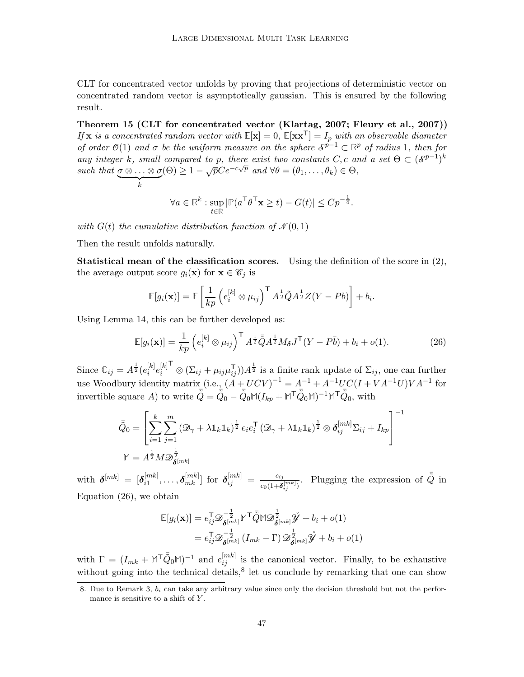CLT for concentrated vector unfolds by proving that projections of deterministic vector on concentrated random vector is asymptotically gaussian. This is ensured by the following result.

Theorem 15 (CLT for concentrated vector [\(Klartag](#page-51-13), [2007;](#page-51-13) [Fleury et al., 2007](#page-50-15))) If **x** is a concentrated random vector with  $\mathbb{E}[\mathbf{x}] = 0$ ,  $\mathbb{E}[\mathbf{x}\mathbf{x}^{\mathsf{T}}] = I_p$  with an observable diameter of order  $\mathcal{O}(1)$  and  $\sigma$  be the uniform measure on the sphere  $\mathcal{S}^{p-1} \subset \mathbb{R}^p$  of radius 1, then for any integer k, small compared to p, there exist two constants C, c and a set  $\Theta \subset (\mathcal{S}^{p-1})^k$ such that  $\underline{\sigma \otimes \ldots \otimes \sigma}$  $\overbrace{k}$  $(\Theta) \geq 1 - \sqrt{p} C e^{-c\sqrt{p}}$  and  $\forall \theta = (\theta_1, \dots, \theta_k) \in \Theta$ ,

$$
\forall a \in \mathbb{R}^k : \sup_{t \in \mathbb{R}} |\mathbb{P}(a^{\mathsf{T}} \theta^{\mathsf{T}} \mathbf{x} \ge t) - G(t)| \le C p^{-\frac{1}{4}}.
$$

with  $G(t)$  the cumulative distribution function of  $\mathcal{N}(0, 1)$ 

Then the result unfolds naturally.

**Statistical mean of the classification scores.** Using the definition of the score in  $(2)$ , the average output score  $g_i(\mathbf{x})$  for  $\mathbf{x} \in \mathscr{C}_j$  is

<span id="page-46-0"></span>
$$
\mathbb{E}[g_i(\mathbf{x})] = \mathbb{E}\left[\frac{1}{kp}\left(e_i^{[k]}\otimes\mu_{ij}\right)^{\mathsf{T}}A^{\frac{1}{2}}\tilde{Q}A^{\frac{1}{2}}Z(Y-Pb)\right] + b_i.
$$

Using Lemma [14,](#page-40-0) this can be further developed as:

$$
\mathbb{E}[g_i(\mathbf{x})] = \frac{1}{kp} \left( e_i^{[k]} \otimes \mu_{ij} \right)^{\mathsf{T}} A^{\frac{1}{2}} \overline{\tilde{Q}} A^{\frac{1}{2}} M_{\boldsymbol{\delta}} J^{\mathsf{T}} (Y - P\bar{b}) + b_i + o(1). \tag{26}
$$

Since  $\mathbb{C}_{ij} = A^{\frac{1}{2}}(e_i^{[k]})$  $\left[ k \right]_e \!\!\left[ \begin{smallmatrix} k \ i \end{smallmatrix} \right] \!\!\! e_i^{[k]}$ i T  $\otimes (\Sigma_{ij} + \mu_{ij}\mu_{ij}^{\mathsf{T}}))A^{\frac{1}{2}}$  is a finite rank update of  $\Sigma_{ij}$ , one can further use Woodbury identity matrix (i.e.,  $(A + UCV)^{-1} = A^{-1} + A^{-1}UC(I + VA^{-1}U)VA^{-1}$  for invertible square A) to write  $\bar{\tilde{Q}} = \bar{\tilde{Q}}_0 - \bar{\tilde{Q}}_0 \mathbb{M}(I_{kp} + \mathbb{M}^\mathsf{T} \bar{\tilde{Q}}_0 \mathbb{M})^{-1} \mathbb{M}^\mathsf{T} \bar{\tilde{Q}}_0$ , with

$$
\bar{\tilde{Q}}_0 = \left[ \sum_{i=1}^k \sum_{j=1}^m (\mathcal{D}_{\gamma} + \lambda \mathbb{1}_k \mathbb{1}_k)^{\frac{1}{2}} e_i e_i^{\mathsf{T}} (\mathcal{D}_{\gamma} + \lambda \mathbb{1}_k \mathbb{1}_k)^{\frac{1}{2}} \otimes \delta_{ij}^{[mk]} \Sigma_{ij} + I_{kp} \right]^{-1}
$$

$$
\mathbb{M} = A^{\frac{1}{2}} M \mathcal{D}_{\boldsymbol{\delta}^{[mk]}}^{\frac{1}{2}}
$$

with  $\boldsymbol{\delta}^{[mk]}$  =  $[\boldsymbol{\delta}^{[mk]}_{i1}]$  $\delta_{i1}^{[mk]},\ldots,\boldsymbol{\delta}_{mk}^{[mk]}]$  for  $\boldsymbol{\delta}_{ij}^{[mk]} = \frac{c_{ij}}{c_0(1+\delta)}$  $\frac{c_{ij}}{c_0(1+\boldsymbol{\delta}_{ij}^{[mk]})}$ . Plugging the expression of  $\tilde{\tilde{Q}}$  in Equation [\(26\)](#page-46-0), we obtain

$$
\mathbb{E}[g_i(\mathbf{x})] = e_{ij}^\mathsf{T} \mathcal{D}_{\boldsymbol{\delta}^{[mk]}}^{-\frac{1}{2}} \mathbb{M}^\mathsf{T} \bar{\tilde{\mathcal{Q}}} \mathbb{M} \mathcal{D}_{\boldsymbol{\delta}^{[mk]}}^{\frac{1}{2}} \hat{\mathcal{Y}} + b_i + o(1) \n= e_{ij}^\mathsf{T} \mathcal{D}_{\boldsymbol{\delta}^{[mk]}}^{-\frac{1}{2}} (I_{mk} - \Gamma) \mathcal{D}_{\boldsymbol{\delta}^{[mk]}}^{\frac{1}{2}} \hat{\mathcal{Y}} + b_i + o(1)
$$

with  $\Gamma = (I_{mk} + \mathbb{M}^T \bar{Q}_0 \mathbb{M})^{-1}$  and  $e_{ij}^{[mk]}$  is the canonical vector. Finally, to be exhaustive without going into the technical details, $\delta$  let us conclude by remarking that one can show

<span id="page-46-1"></span><sup>8.</sup> Due to Remark [3,](#page-7-0)  $b_i$  can take any arbitrary value since only the decision threshold but not the performance is sensitive to a shift of Y.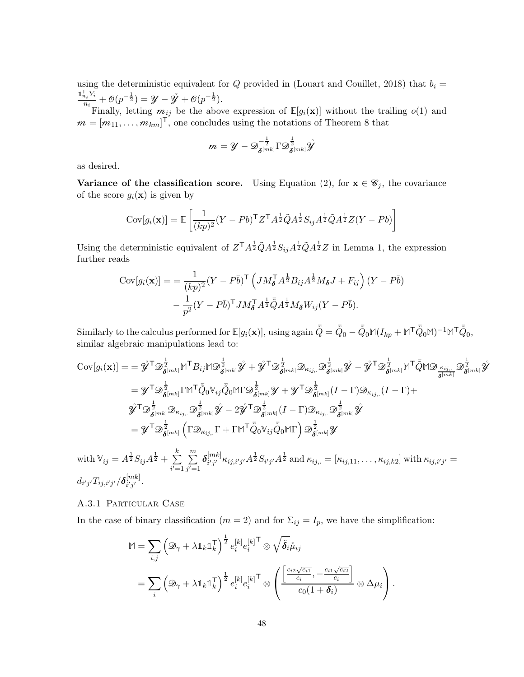using the deterministic equivalent for Q provided in [\(Louart and Couillet](#page-51-10), [2018](#page-51-10)) that  $b_i =$  $\mathbb{1}_{n_i}^{\mathsf{T}} Y_i$  $\frac{n_i Y_i}{n_i} + \mathcal{O}(p^{-\frac{1}{2}}) = \mathcal{Y} - \mathcal{Y} + \mathcal{O}(p^{-\frac{1}{2}}).$ 

Finally, letting  $m_{ij}$  be the above expression of  $\mathbb{E}[g_i(\mathbf{x})]$  without the trailing  $o(1)$  and  $m = [m_{11}, \ldots, m_{km}]^T$ , one concludes using the notations of Theorem [8](#page-19-0) that

$$
m = \mathscr{Y} - \mathscr{D}_{\boldsymbol{\delta}^{[mk]}}^{-\frac{1}{2}} \Gamma \mathscr{D}_{\boldsymbol{\delta}^{[mk]}}^{\frac{1}{2}} \mathring{\mathscr{Y}}
$$

as desired.

Variance of the classification score. Using Equation [\(2\)](#page-7-1), for  $x \in \mathscr{C}_j$ , the covariance of the score  $g_i(\mathbf{x})$  is given by

$$
Cov[g_i(\mathbf{x})] = \mathbb{E}\left[\frac{1}{(kp)^2}(Y - Pb)^{\mathsf{T}}Z^{\mathsf{T}}A^{\frac{1}{2}}\tilde{Q}A^{\frac{1}{2}}S_{ij}A^{\frac{1}{2}}\tilde{Q}A^{\frac{1}{2}}Z(Y - Pb)\right]
$$

Using the deterministic equivalent of  $Z^{\mathsf{T}} A^{\frac{1}{2}} \tilde{Q} A^{\frac{1}{2}} S_{ij} A^{\frac{1}{2}} \tilde{Q} A^{\frac{1}{2}} Z$  in Lemma 1, the expression further reads

$$
Cov[g_i(\mathbf{x})] = \frac{1}{(kp)^2} (Y - P\bar{b})^{\mathsf{T}} \left( J M_{\delta}^{\mathsf{T}} A^{\frac{1}{2}} B_{ij} A^{\frac{1}{2}} M_{\delta} J + F_{ij} \right) (Y - P\bar{b})
$$

$$
- \frac{1}{p^2} (Y - P\bar{b})^{\mathsf{T}} J M_{\delta}^{\mathsf{T}} A^{\frac{1}{2}} \tilde{Q} A^{\frac{1}{2}} M_{\delta} W_{ij} (Y - P\bar{b}).
$$

 $\text{Similarly to the calculus performed for } \mathbb{E}[g_i(\mathbf{x})], \text{ using again } \bar{\tilde{Q}} = \bar{\tilde{Q}}_0 - \bar{\tilde{Q}}_0 \mathbb{M}(I_{kp} + \mathbb{M}^\mathsf{T} \bar{\tilde{Q}}_0 \mathbb{M})^{-1} \mathbb{M}^\mathsf{T} \bar{\tilde{Q}}_0,$ similar algebraic manipulations lead to:

$$
\begin{split} \text{Cov}[g_i(\mathbf{x})] & = = \hat{\mathbf{y}}^{\mathsf{T}} \mathcal{D}_{\pmb{\delta}^{[mk]}}^{\frac{1}{2}} \mathbb{M}^{\mathsf{T}} B_{ij} \mathbb{M} \mathcal{D}_{\pmb{\delta}^{[mk]}}^{\frac{1}{2}} \hat{\mathbf{y}} + \hat{\mathbf{y}}^{\mathsf{T}} \mathcal{D}_{\pmb{\delta}^{[mk]}}^{\frac{1}{2}} \mathcal{D}_{\pmb{\delta}^{[mk]}} \hat{\mathbf{y}} - \hat{\mathbf{y}}^{\mathsf{T}} \mathcal{D}_{\pmb{\delta}^{[mk]}}^{\frac{1}{2}} \mathbb{M}^{\mathsf{T}} \tilde{Q} \mathbb{M} \mathcal{D}_{\pmb{\delta}^{[mk]}} \hat{\mathbf{y}} \\ & = \mathcal{Y}^{\mathsf{T}} \mathcal{D}_{\pmb{\delta}^{[mk]}}^{\frac{1}{2}} \Gamma \mathbb{M}^{\mathsf{T}} \bar{Q}_{0} \mathbb{V}_{ij} \bar{\tilde{Q}}_{0} \mathbb{M} \Gamma \mathcal{D}_{\pmb{\delta}^{[mk]}}^{\frac{1}{2}} \mathcal{Y} + \mathcal{Y}^{\mathsf{T}} \mathcal{D}_{\pmb{\delta}^{[mk]}}^{\frac{1}{2}} (I - \Gamma) \mathcal{D}_{\kappa_{ij,.}} (I - \Gamma) + \\ \hat{\mathbf{y}}^{\mathsf{T}} \mathcal{D}_{\pmb{\delta}^{[mk]}}^{\frac{1}{2}} \mathcal{D}_{\kappa_{ij,.}} \mathcal{D}_{\pmb{\delta}^{[mk]}}^{\frac{1}{2}} \hat{\mathbf{y}} - 2 \hat{\mathbf{y}}^{\mathsf{T}} \mathcal{D}_{\pmb{\delta}^{[mk]}}^{\frac{1}{2}} (I - \Gamma) \mathcal{D}_{\kappa_{ij,.}} \mathcal{D}_{\pmb{\delta}^{[mk]}}^{\frac{1}{2}} \hat{\mathbf{y}} \\ & = \mathcal{Y}^{\mathsf{T}} \mathcal{D}_{\pmb{\delta}^{[mk]}}^{\frac{1}{2}} \left( \Gamma \mathcal{D}_{\kappa_{ij,.}} \Gamma + \Gamma \mathbb{M}^{\mathsf{T}} \bar{\tilde{Q}}_{0} \mathbb{V}_{ij} \bar{\tilde{Q}}_{0} \mathbb{M} \Gamma \right) \mathcal{D}_{\pmb{\delta
$$

with  $\mathbb{V}_{ij} = A^{\frac{1}{2}} S_{ij} A^{\frac{1}{2}} + \sum_{i=1}^{k} A_i$  $i\equiv 1$  $\sum_{i=1}^{m}$  $j\equiv1$  $\boldsymbol\delta^{[mk]}$  ${}^{[mk]}_{i'j'}\kappa_{ij,i'j'}A^{\frac{1}{2}}S_{i'j'}A^{\frac{1}{2}}$  and  $\kappa_{ij,.}=[\kappa_{ij,11},\ldots,\kappa_{ij,k2}]$  with  $\kappa_{ij,i'j'}=$  $d_{i'j'}T_{ij,i'j'}/\pmb\delta^{[mk]}_{i'j'}$  $_{i^{\prime }j^{\prime }}^{m\kappa }$  .

# A.3.1 Particular Case

In the case of binary classification ( $m = 2$ ) and for  $\Sigma_{ij} = I_p$ , we have the simplification:

$$
\mathbb{M} = \sum_{i,j} \left( \mathcal{D}_{\gamma} + \lambda \mathbb{1}_{k} \mathbb{1}_{k}^{\mathsf{T}} \right)^{\frac{1}{2}} e_{i}^{[k]} e_{i}^{[k]}^{\mathsf{T}} \otimes \sqrt{\tilde{\delta}_{i}} \tilde{\mu}_{ij}
$$
  

$$
= \sum_{i} \left( \mathcal{D}_{\gamma} + \lambda \mathbb{1}_{k} \mathbb{1}_{k}^{\mathsf{T}} \right)^{\frac{1}{2}} e_{i}^{[k]} e_{i}^{[k]}^{\mathsf{T}} \otimes \left( \frac{\left[ \frac{c_{i2} \sqrt{c_{i1}}}{c_{i}} , -\frac{c_{i1} \sqrt{c_{i2}}}{c_{i}} \right]}{c_{0} (1 + \delta_{i})} \otimes \Delta \mu_{i} \right).
$$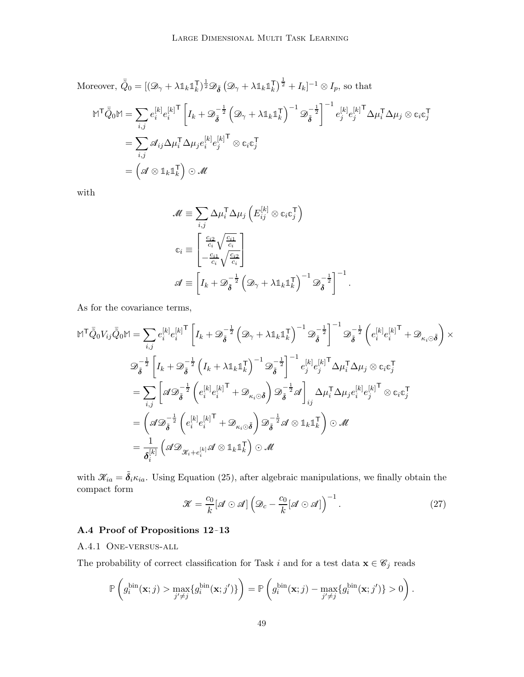Moreover, 
$$
\begin{split}\n\bar{Q}_0 &= [(\mathcal{D}_\gamma + \lambda \mathbb{1}_k \mathbb{1}_k^\top)^{\frac{1}{2}} \mathcal{D}_{\tilde{\boldsymbol{\delta}}} \left( \mathcal{D}_\gamma + \lambda \mathbb{1}_k \mathbb{1}_k^\top \right)^{\frac{1}{2}} + I_k]^{-1} \otimes I_p \text{, so that} \\
\mathbb{M}^\top \bar{\tilde{Q}}_0 \mathbb{M} &= \sum_{i,j} e_i^{[k]} e_i^{[k]^\top} \left[ I_k + \mathcal{D}_{\tilde{\boldsymbol{\delta}}}^{-\frac{1}{2}} \left( \mathcal{D}_\gamma + \lambda \mathbb{1}_k \mathbb{1}_k^\top \right)^{-1} \mathcal{D}_{\tilde{\boldsymbol{\delta}}}^{-\frac{1}{2}} \right]^{-1} e_j^{[k]} e_j^{[k]^\top} \Delta \mu_i^\top \Delta \mu_j \otimes \mathbb{c}_i \mathbb{c}_j^\top \\
&= \sum_{i,j} \mathcal{A}_{ij} \Delta \mu_i^\top \Delta \mu_j e_i^{[k]} e_j^{[k]^\top} \otimes \mathbb{c}_i \mathbb{c}_j^\top \\
&= \left( \mathcal{A} \otimes \mathbb{1}_k \mathbb{1}_k^\top \right) \odot \mathcal{M}\n\end{split}
$$

with

$$
\mathcal{M} \equiv \sum_{i,j} \Delta \mu_i^{\mathsf{T}} \Delta \mu_j \left( E_{ij}^{[k]} \otimes c_i c_j^{\mathsf{T}} \right)
$$

$$
c_i \equiv \begin{bmatrix} \frac{c_{i2}}{c_i} \sqrt{\frac{c_{i1}}{c_i}} \\ -\frac{c_{i1}}{c_i} \sqrt{\frac{c_{i2}}{c_i}} \end{bmatrix}
$$

$$
\mathcal{A} \equiv \left[ I_k + \mathcal{D}_{\tilde{\boldsymbol{\delta}}}^{-\frac{1}{2}} \left( \mathcal{D}_{\gamma} + \lambda \mathbb{1}_k \mathbb{1}_k^{\mathsf{T}} \right)^{-1} \mathcal{D}_{\tilde{\boldsymbol{\delta}}}^{-\frac{1}{2}} \right]^{-1}
$$

As for the covariance terms,

$$
\begin{split} \mathbb{M}^{\mathsf{T}}\bar{\tilde{Q}}_{0}V_{ij}\bar{\tilde{Q}}_{0}\mathbb{M} &= \sum_{i,j}e_{i}^{[k]}e_{i}^{[k] \mathsf{T}}\left[I_{k}+\mathscr{D}_{\tilde{\delta}}^{-\frac{1}{2}}\left(\mathscr{D}_{\gamma}+\lambda\mathbb{1}_{k}\mathbb{1}_{k}^{\mathsf{T}}\right)^{-1}\mathscr{D}_{\tilde{\delta}}^{-\frac{1}{2}}\right]^{-1}\mathscr{D}_{\tilde{\delta}}^{-\frac{1}{2}}\left(e_{i}^{[k]}e_{i}^{[k] \mathsf{T}}+\mathscr{D}_{\kappa_{i}\odot\tilde{\delta}}\right)\times\\ &\mathscr{D}_{\tilde{\delta}}^{-\frac{1}{2}}\left[I_{k}+\mathscr{D}_{\tilde{\delta}}^{-\frac{1}{2}}\left(I_{k}+\lambda\mathbb{1}_{k}\mathbb{1}_{k}^{\mathsf{T}}\right)^{-1}\mathscr{D}_{\tilde{\delta}}^{-\frac{1}{2}}\right]^{-1}e_{j}^{[k]}e_{j}^{[k] \mathsf{T}}\Delta\mu_{i}^{\mathsf{T}}\Delta\mu_{j}\otimes\mathbb{c}_{i}\mathbb{c}_{j}^{\mathsf{T}}\\ &=\sum_{i,j}\left[\mathscr{A}\mathscr{D}_{\tilde{\delta}}^{-\frac{1}{2}}\left(e_{i}^{[k]}e_{i}^{[k] \mathsf{T}}+\mathscr{D}_{\kappa_{i}\odot\tilde{\delta}}\right)\mathscr{D}_{\tilde{\delta}}^{-\frac{1}{2}}\mathscr{A}\right]_{ij}\Delta\mu_{i}^{\mathsf{T}}\Delta\mu_{j}e_{i}^{[k]}e_{j}^{[k] \mathsf{T}}\otimes\mathbb{c}_{i}\mathbb{c}_{j}^{\mathsf{T}}\\ &=\left(\mathscr{A}\mathscr{D}_{\tilde{\delta}}^{-\frac{1}{2}}\left(e_{i}^{[k]}e_{i}^{[k] \mathsf{T}}+\mathscr{D}_{\kappa_{i}\odot\tilde{\delta}}\right)\mathscr{D}_{\tilde{\delta}}^{-\frac{1}{2}}\mathscr{A}\otimes\mathbb{1}_{k}\mathbb{1}_{k}^{\mathsf{T}}\right)\odot\mathscr{M}\\ &=\frac{1}{\delta_{i}^{[k]}}\left(\mathscr{A}\mathscr{D}_{\mathscr{K}_{i}+e_{i}^{[
$$

with  $\mathcal{K}_{ia} = \tilde{\delta}_i \kappa_{ia}$ . Using Equation [\(25\)](#page-45-2), after algebraic manipulations, we finally obtain the compact form

$$
\mathcal{K} = \frac{c_0}{k} [\mathcal{A} \odot \mathcal{A}] \left( \mathcal{D}_c - \frac{c_0}{k} [\mathcal{A} \odot \mathcal{A}] \right)^{-1}.
$$
 (27)

.

# A.4 Proof of Propositions [12–](#page-25-1)[13](#page-27-3)

## A.4.1 One-versus-all

The probability of correct classification for Task i and for a test data  $\mathbf{x} \in \mathcal{C}_j$  reads

$$
\mathbb{P}\left(g_i^{\text{bin}}(\mathbf{x};j) > \max_{j' \neq j} \{g_i^{\text{bin}}(\mathbf{x};j')\}\right) = \mathbb{P}\left(g_i^{\text{bin}}(\mathbf{x};j) - \max_{j' \neq j} \{g_i^{\text{bin}}(\mathbf{x};j')\} > 0\right).
$$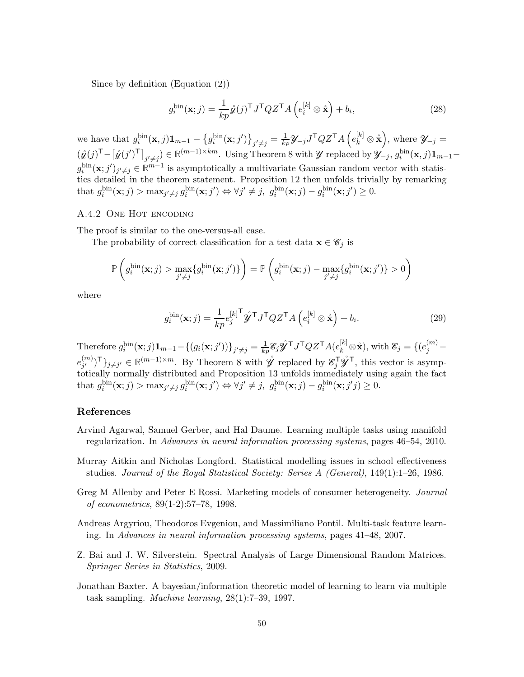Since by definition (Equation [\(2\)](#page-7-1))

$$
g_i^{\text{bin}}(\mathbf{x};j) = \frac{1}{kp}\hat{\mathbf{z}}(j)^{\mathsf{T}}J^{\mathsf{T}}QZ^{\mathsf{T}}A\left(e_i^{[k]}\otimes\hat{\mathbf{x}}\right) + b_i,\tag{28}
$$

we have that  $g_i^{\text{bin}}(\mathbf{x},j)\mathbf{1}_{m-1} - \left\{g_i^{\text{bin}}(\mathbf{x};j')\right\}_{j'\neq j} = \frac{1}{kp}\mathscr{Y}_{-j}J^{\mathsf{T}}QZ^{\mathsf{T}}A\left(e_k^{[k]}\otimes \mathring{\mathbf{x}}\right)$ , where  $\mathscr{Y}_{-j} =$  $(\hat{\mathbf{y}}(j)^{\mathsf{T}} - [\hat{\mathbf{y}}(j')^{\mathsf{T}}]_{j' \neq j}) \in \mathbb{R}^{(m-1)\times km}$ . Using Theorem [8](#page-19-0) with  $\mathcal{Y}$  replaced by  $\mathcal{Y}_{-j}$ ,  $g_i^{\text{bin}}(\mathbf{x},j) \mathbf{1}_{m-1}$  $g_i^{\text{bin}}(\mathbf{x};j')_{j'\neq j} \in \mathbb{R}^{m-1}$  is asymptotically a multivariate Gaussian random vector with statistics detailed in the theorem statement. Proposition [12](#page-25-1) then unfolds trivially by remarking that  $g_i^{\text{bin}}(\mathbf{x};j) > \max_{j' \neq j} g_i^{\text{bin}}(\mathbf{x};j') \Leftrightarrow \forall j' \neq j, g_i^{\text{bin}}(\mathbf{x};j) - g_i^{\text{bin}}(\mathbf{x};j') \geq 0.$ 

# A.4.2 One Hot encoding

The proof is similar to the one-versus-all case.

The probability of correct classification for a test data  $\mathbf{x} \in \mathscr{C}_j$  is

$$
\mathbb{P}\left(g_i^{\text{bin}}(\mathbf{x};j) > \max_{j' \neq j} \{g_i^{\text{bin}}(\mathbf{x};j')\}\right) = \mathbb{P}\left(g_i^{\text{bin}}(\mathbf{x};j) - \max_{j' \neq j} \{g_i^{\text{bin}}(\mathbf{x};j')\} > 0\right)
$$

where

$$
g_i^{\text{bin}}(\mathbf{x};j) = \frac{1}{kp} e_j^{[k]^\mathsf{T}} \hat{\mathbf{y}}^\mathsf{T} J^\mathsf{T} Q Z^\mathsf{T} A \left( e_i^{[k]} \otimes \hat{\mathbf{x}} \right) + b_i.
$$
 (29)

Therefore  $g_i^{\text{bin}}(\mathbf{x};j)\mathbf{1}_{m-1} - \{(g_i(\mathbf{x};j'))\}_{j'\neq j} = \frac{1}{kp} \mathcal{E}_j \mathcal{Y}^\mathsf{T} J^\mathsf{T} Q Z^\mathsf{T} A(e_k^{[k]} \otimes \mathbf{x}),$  with  $\mathcal{E}_j = \{(e_j^{(m)} - \mathbf{1}_{j'})\}_{j'\neq j}$  $e_{i'}^{(m)}$  $\mathcal{F}_{j'}^{(m)}$ <sup>T</sup>}<sub>j≠j'</sub> ∈  $\mathbb{R}^{(m-1)\times m}$ . By Theorem [8](#page-19-0) with  $\mathring{\mathscr{Y}}$  replaced by  $\mathscr{E}_{j}^{\mathsf{T}}\mathscr{\hat{Y}}^{\mathsf{T}}$ , this vector is asymptotically normally distributed and Proposition [13](#page-27-3) unfolds immediately using again the fact that  $g_i^{\text{bin}}(\mathbf{x};j) > \max_{j' \neq j} g_i^{\text{bin}}(\mathbf{x};j') \Leftrightarrow \forall j' \neq j$ ,  $g_i^{\text{bin}}(\mathbf{x};j) - g_i^{\text{bin}}(\mathbf{x};j') \geq 0$ .

## References

- <span id="page-49-3"></span>Arvind Agarwal, Samuel Gerber, and Hal Daume. Learning multiple tasks using manifold regularization. In Advances in neural information processing systems, pages 46–54, 2010.
- <span id="page-49-0"></span>Murray Aitkin and Nicholas Longford. Statistical modelling issues in school effectiveness studies. Journal of the Royal Statistical Society: Series A (General), 149(1):1–26, 1986.
- <span id="page-49-1"></span>Greg M Allenby and Peter E Rossi. Marketing models of consumer heterogeneity. Journal of econometrics, 89(1-2):57–78, 1998.
- <span id="page-49-2"></span>Andreas Argyriou, Theodoros Evgeniou, and Massimiliano Pontil. Multi-task feature learning. In Advances in neural information processing systems, pages 41–48, 2007.
- <span id="page-49-5"></span>Z. Bai and J. W. Silverstein. Spectral Analysis of Large Dimensional Random Matrices. Springer Series in Statistics, 2009.
- <span id="page-49-4"></span>Jonathan Baxter. A bayesian/information theoretic model of learning to learn via multiple task sampling. Machine learning, 28(1):7–39, 1997.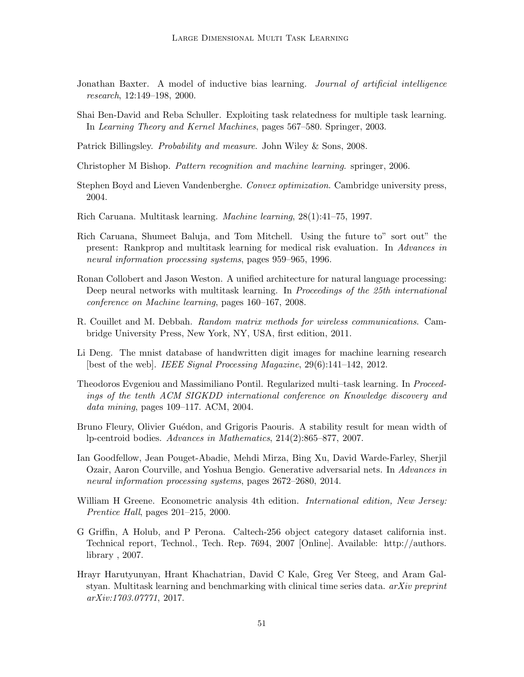- <span id="page-50-6"></span>Jonathan Baxter. A model of inductive bias learning. *Journal of artificial intelligence* research, 12:149–198, 2000.
- <span id="page-50-7"></span>Shai Ben-David and Reba Schuller. Exploiting task relatedness for multiple task learning. In Learning Theory and Kernel Machines, pages 567–580. Springer, 2003.
- <span id="page-50-14"></span>Patrick Billingsley. *Probability and measure.* John Wiley & Sons, 2008.
- <span id="page-50-11"></span>Christopher M Bishop. Pattern recognition and machine learning. springer, 2006.
- <span id="page-50-12"></span>Stephen Boyd and Lieven Vandenberghe. Convex optimization. Cambridge university press, 2004.
- <span id="page-50-0"></span>Rich Caruana. Multitask learning. Machine learning, 28(1):41–75, 1997.
- <span id="page-50-3"></span>Rich Caruana, Shumeet Baluja, and Tom Mitchell. Using the future to" sort out" the present: Rankprop and multitask learning for medical risk evaluation. In Advances in neural information processing systems, pages 959–965, 1996.
- <span id="page-50-1"></span>Ronan Collobert and Jason Weston. A unified architecture for natural language processing: Deep neural networks with multitask learning. In Proceedings of the 25th international conference on Machine learning, pages 160–167, 2008.
- <span id="page-50-9"></span>R. Couillet and M. Debbah. Random matrix methods for wireless communications. Cambridge University Press, New York, NY, USA, first edition, 2011.
- <span id="page-50-13"></span>Li Deng. The mnist database of handwritten digit images for machine learning research [best of the web]. IEEE Signal Processing Magazine, 29(6):141–142, 2012.
- <span id="page-50-5"></span>Theodoros Evgeniou and Massimiliano Pontil. Regularized multi–task learning. In Proceedings of the tenth ACM SIGKDD international conference on Knowledge discovery and data mining, pages 109–117. ACM, 2004.
- <span id="page-50-15"></span>Bruno Fleury, Olivier Guédon, and Grigoris Paouris. A stability result for mean width of lp-centroid bodies. Advances in Mathematics, 214(2):865–877, 2007.
- <span id="page-50-10"></span>Ian Goodfellow, Jean Pouget-Abadie, Mehdi Mirza, Bing Xu, David Warde-Farley, Sherjil Ozair, Aaron Courville, and Yoshua Bengio. Generative adversarial nets. In Advances in neural information processing systems, pages 2672–2680, 2014.
- <span id="page-50-4"></span>William H Greene. Econometric analysis 4th edition. International edition, New Jersey: Prentice Hall, pages 201–215, 2000.
- <span id="page-50-8"></span>G Griffin, A Holub, and P Perona. Caltech-256 object category dataset california inst. Technical report, Technol., Tech. Rep. 7694, 2007 [Online]. Available: http://authors. library , 2007.
- <span id="page-50-2"></span>Hrayr Harutyunyan, Hrant Khachatrian, David C Kale, Greg Ver Steeg, and Aram Galstyan. Multitask learning and benchmarking with clinical time series data. arXiv preprint arXiv:1703.07771, 2017.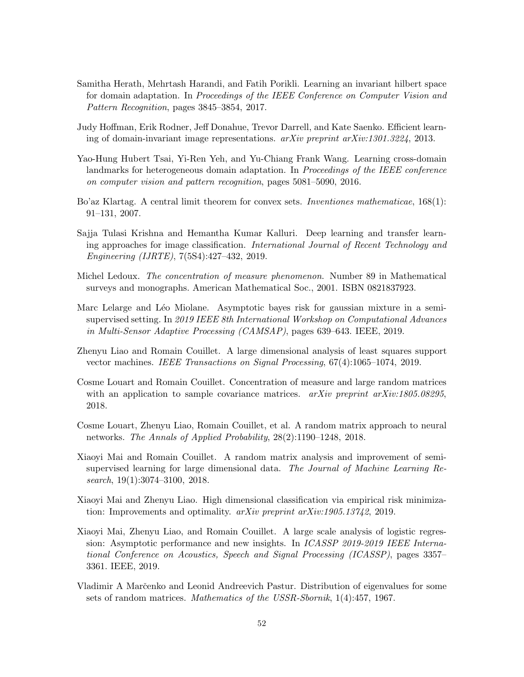- <span id="page-51-7"></span>Samitha Herath, Mehrtash Harandi, and Fatih Porikli. Learning an invariant hilbert space for domain adaptation. In Proceedings of the IEEE Conference on Computer Vision and Pattern Recognition, pages 3845–3854, 2017.
- <span id="page-51-5"></span>Judy Hoffman, Erik Rodner, Jeff Donahue, Trevor Darrell, and Kate Saenko. Efficient learning of domain-invariant image representations. arXiv preprint arXiv:1301.3224, 2013.
- <span id="page-51-6"></span>Yao-Hung Hubert Tsai, Yi-Ren Yeh, and Yu-Chiang Frank Wang. Learning cross-domain landmarks for heterogeneous domain adaptation. In Proceedings of the IEEE conference on computer vision and pattern recognition, pages 5081–5090, 2016.
- <span id="page-51-13"></span>Bo'az Klartag. A central limit theorem for convex sets. Inventiones mathematicae, 168(1): 91–131, 2007.
- <span id="page-51-4"></span>Sajja Tulasi Krishna and Hemantha Kumar Kalluri. Deep learning and transfer learning approaches for image classification. International Journal of Recent Technology and Engineering (IJRTE), 7(5S4):427–432, 2019.
- <span id="page-51-3"></span>Michel Ledoux. The concentration of measure phenomenon. Number 89 in Mathematical surveys and monographs. American Mathematical Soc., 2001. ISBN 0821837923.
- <span id="page-51-12"></span>Marc Lelarge and Léo Miolane. Asymptotic bayes risk for gaussian mixture in a semisupervised setting. In 2019 IEEE 8th International Workshop on Computational Advances in Multi-Sensor Adaptive Processing (CAMSAP), pages 639–643. IEEE, 2019.
- <span id="page-51-1"></span>Zhenyu Liao and Romain Couillet. A large dimensional analysis of least squares support vector machines. IEEE Transactions on Signal Processing, 67(4):1065–1074, 2019.
- <span id="page-51-10"></span>Cosme Louart and Romain Couillet. Concentration of measure and large random matrices with an application to sample covariance matrices.  $arXiv$  preprint  $arXiv:1805.08295$ , 2018.
- <span id="page-51-9"></span>Cosme Louart, Zhenyu Liao, Romain Couillet, et al. A random matrix approach to neural networks. The Annals of Applied Probability, 28(2):1190–1248, 2018.
- <span id="page-51-11"></span>Xiaoyi Mai and Romain Couillet. A random matrix analysis and improvement of semisupervised learning for large dimensional data. The Journal of Machine Learning Research, 19(1):3074–3100, 2018.
- <span id="page-51-0"></span>Xiaoyi Mai and Zhenyu Liao. High dimensional classification via empirical risk minimization: Improvements and optimality. arXiv preprint arXiv:1905.13742, 2019.
- <span id="page-51-2"></span>Xiaoyi Mai, Zhenyu Liao, and Romain Couillet. A large scale analysis of logistic regression: Asymptotic performance and new insights. In ICASSP 2019-2019 IEEE International Conference on Acoustics, Speech and Signal Processing (ICASSP), pages 3357– 3361. IEEE, 2019.
- <span id="page-51-8"></span>Vladimir A Marčenko and Leonid Andreevich Pastur. Distribution of eigenvalues for some sets of random matrices. Mathematics of the USSR-Sbornik, 1(4):457, 1967.